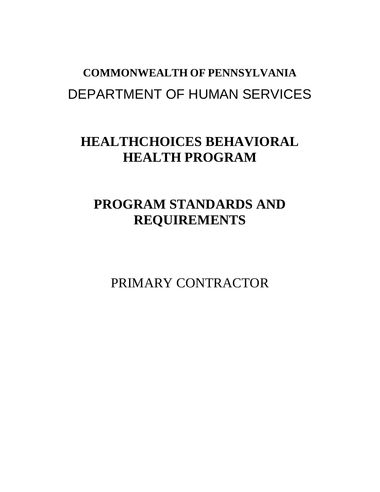# **COMMONWEALTH OF PENNSYLVANIA** DEPARTMENT OF HUMAN SERVICES

## **HEALTHCHOICES BEHAVIORAL HEALTH PROGRAM**

## **PROGRAM STANDARDS AND REQUIREMENTS**

PRIMARY CONTRACTOR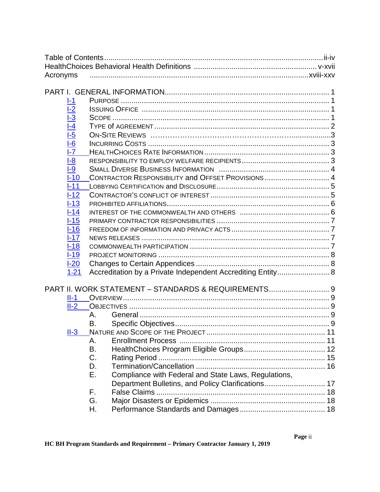| Acronyms                                 |        |                                                             |  |
|------------------------------------------|--------|-------------------------------------------------------------|--|
|                                          |        |                                                             |  |
|                                          |        |                                                             |  |
| $I-1$                                    |        |                                                             |  |
|                                          |        |                                                             |  |
|                                          |        |                                                             |  |
| <u>I-2<br/>I-3<br/>I-4</u><br>I-5        |        |                                                             |  |
|                                          |        |                                                             |  |
| $\frac{1}{\overline{6}}$                 |        |                                                             |  |
| $\overline{\mathsf{I} \cdot \mathsf{Z}}$ |        |                                                             |  |
| $1-8$                                    |        |                                                             |  |
| $-9$                                     |        |                                                             |  |
| $I-10$                                   |        | CONTRACTOR RESPONSIBILITY and OFFSET PROVISIONS 4           |  |
| $1 - 11$                                 |        |                                                             |  |
| $-12$                                    |        |                                                             |  |
| $I-13$                                   |        |                                                             |  |
| $I-14$                                   |        |                                                             |  |
| $-15$                                    |        |                                                             |  |
| $I-16$                                   |        |                                                             |  |
| $1 - 17$                                 |        |                                                             |  |
| $I-18$                                   |        |                                                             |  |
| $-19$                                    |        |                                                             |  |
| $1-20$                                   |        |                                                             |  |
| $1 - 21$                                 |        | Accreditation by a Private Independent Accrediting Entity 8 |  |
|                                          |        |                                                             |  |
|                                          |        | PART II. WORK STATEMENT - STANDARDS & REQUIREMENTS 9        |  |
|                                          | $II-1$ |                                                             |  |
| $II-2$                                   |        |                                                             |  |
|                                          | Α.     |                                                             |  |
|                                          | В.     |                                                             |  |
| $II-3$                                   |        |                                                             |  |
|                                          | А.     |                                                             |  |
|                                          | В.     |                                                             |  |
|                                          | C.     |                                                             |  |
|                                          | D.     |                                                             |  |
|                                          | Е.     | Compliance with Federal and State Laws, Regulations,        |  |
|                                          |        | Department Bulletins, and Policy Clarifications 17          |  |
|                                          | F.     |                                                             |  |
|                                          | G.     |                                                             |  |
|                                          | Н.     |                                                             |  |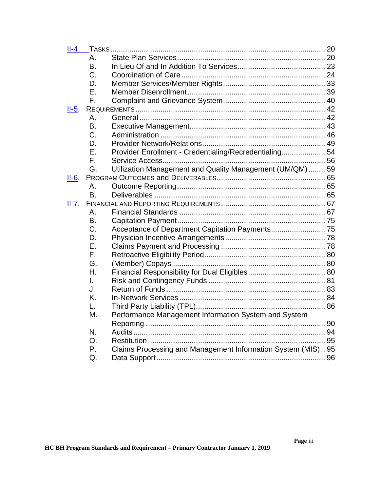| $II-4$  |           |                                                              |  |
|---------|-----------|--------------------------------------------------------------|--|
|         | А.        |                                                              |  |
|         | Β.        |                                                              |  |
|         | C.        |                                                              |  |
|         | D.        |                                                              |  |
|         | Ε.        |                                                              |  |
|         | F.        |                                                              |  |
| $II-5.$ |           |                                                              |  |
|         | Α.        |                                                              |  |
|         | <b>B.</b> |                                                              |  |
|         | C.        |                                                              |  |
|         | D.        |                                                              |  |
|         | F.        | Provider Enrollment - Credentialing/Recredentialing 54       |  |
|         | F.        |                                                              |  |
|         | G.        | Utilization Management and Quality Management (UM/QM)  59    |  |
| $II-6.$ |           |                                                              |  |
|         | Α.        |                                                              |  |
|         | <b>B.</b> |                                                              |  |
| $II-7.$ |           |                                                              |  |
|         | Α.        |                                                              |  |
|         | B.        |                                                              |  |
|         | C.        |                                                              |  |
|         | D.        |                                                              |  |
|         | Ε.        |                                                              |  |
|         | F.        |                                                              |  |
|         | G.        |                                                              |  |
|         | Η.        |                                                              |  |
|         | I.        |                                                              |  |
|         | J.        |                                                              |  |
|         | K.        |                                                              |  |
|         | L.        |                                                              |  |
|         | М.        | Performance Management Information System and System         |  |
|         |           |                                                              |  |
|         | N.        |                                                              |  |
|         | O.        |                                                              |  |
|         | Ρ.        | Claims Processing and Management Information System (MIS) 95 |  |
|         | Q.        |                                                              |  |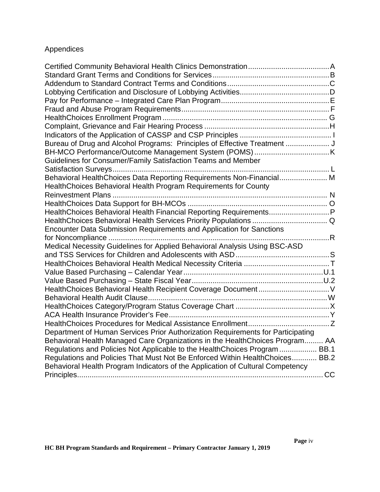### Appendices

| Bureau of Drug and Alcohol Programs: Principles of Effective Treatment          |  |
|---------------------------------------------------------------------------------|--|
|                                                                                 |  |
| Guidelines for Consumer/Family Satisfaction Teams and Member                    |  |
|                                                                                 |  |
| Behavioral HealthChoices Data Reporting Requirements Non-Financial M            |  |
| HealthChoices Behavioral Health Program Requirements for County                 |  |
|                                                                                 |  |
|                                                                                 |  |
| HealthChoices Behavioral Health Financial Reporting RequirementsP               |  |
|                                                                                 |  |
| Encounter Data Submission Requirements and Application for Sanctions            |  |
| . R<br>for Noncompliance                                                        |  |
| Medical Necessity Guidelines for Applied Behavioral Analysis Using BSC-ASD      |  |
|                                                                                 |  |
|                                                                                 |  |
|                                                                                 |  |
|                                                                                 |  |
|                                                                                 |  |
|                                                                                 |  |
|                                                                                 |  |
|                                                                                 |  |
|                                                                                 |  |
| Department of Human Services Prior Authorization Requirements for Participating |  |
| Behavioral Health Managed Care Organizations in the Health Choices Program AA   |  |
| Regulations and Policies Not Applicable to the Health Choices Program  BB.1     |  |
| Regulations and Policies That Must Not Be Enforced Within HealthChoices BB.2    |  |
| Behavioral Health Program Indicators of the Application of Cultural Competency  |  |
|                                                                                 |  |
|                                                                                 |  |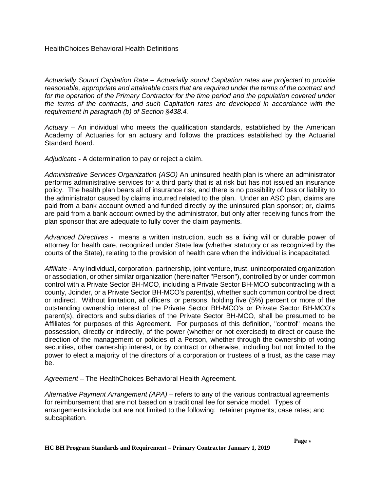*Actuarially Sound Capitation Rate – Actuarially sound Capitation rates are projected to provide reasonable, appropriate and attainable costs that are required under the terms of the contract and*  for the operation of the Primary Contractor for the time period and the population covered under *the terms of the contracts, and such Capitation rates are developed in accordance with the requirement in paragraph (b) of Section §438.4.* 

*Actuary –* An individual who meets the qualification standards, established by the American Academy of Actuaries for an actuary and follows the practices established by the Actuarial Standard Board.

*Adjudicate -* A determination to pay or reject a claim.

*Administrative Services Organization (ASO)* An uninsured health plan is where an administrator performs administrative services for a third party that is at risk but has not issued an insurance policy. The health plan bears all of insurance risk, and there is no possibility of loss or liability to the administrator caused by claims incurred related to the plan. Under an ASO plan, claims are paid from a bank account owned and funded directly by the uninsured plan sponsor; or, claims are paid from a bank account owned by the administrator, but only after receiving funds from the plan sponsor that are adequate to fully cover the claim payments.

*Advanced Directives -* means a written instruction, such as a living will or durable power of attorney for health care, recognized under State law (whether statutory or as recognized by the courts of the State), relating to the provision of health care when the individual is incapacitated.

*Affiliate* - Any individual, corporation, partnership, joint venture, trust, unincorporated organization or association, or other similar organization (hereinafter "Person"), controlled by or under common control with a Private Sector BH-MCO, including a Private Sector BH-MCO subcontracting with a county, Joinder, or a Private Sector BH-MCO's parent(s), whether such common control be direct or indirect. Without limitation, all officers, or persons, holding five (5%) percent or more of the outstanding ownership interest of the Private Sector BH-MCO's or Private Sector BH-MCO's parent(s), directors and subsidiaries of the Private Sector BH-MCO, shall be presumed to be Affiliates for purposes of this Agreement. For purposes of this definition, "control" means the possession, directly or indirectly, of the power (whether or not exercised) to direct or cause the direction of the management or policies of a Person, whether through the ownership of voting securities, other ownership interest, or by contract or otherwise, including but not limited to the power to elect a majority of the directors of a corporation or trustees of a trust, as the case may be.

*Agreement* – The HealthChoices Behavioral Health Agreement.

*Alternative Payment Arrangement (APA)* – refers to any of the various contractual agreements for reimbursement that are not based on a traditional fee for service model. Types of arrangements include but are not limited to the following: retainer payments; case rates; and subcapitation.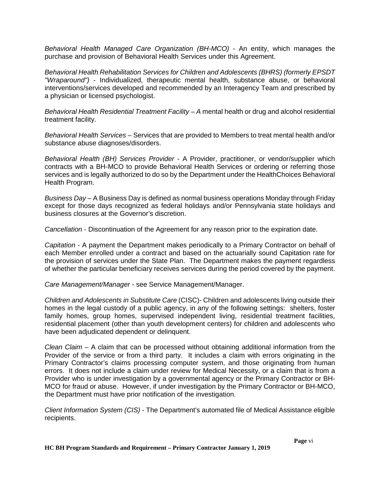*Behavioral Health Managed Care Organization (BH-MCO)* - An entity, which manages the purchase and provision of Behavioral Health Services under this Agreement.

*Behavioral Health Rehabilitation Services for Children and Adolescents (BHRS) (formerly EPSDT "Wraparound")* - Individualized, therapeutic mental health, substance abuse, or behavioral interventions/services developed and recommended by an Interagency Team and prescribed by a physician or licensed psychologist.

*Behavioral Health Residential Treatment Facility – A* mental health or drug and alcohol residential treatment facility.

*Behavioral Health Services –* Services that are provided to Members to treat mental health and/or substance abuse diagnoses/disorders.

*Behavioral Health (BH) Services Provider* - A Provider, practitioner, or vendor/supplier which contracts with a BH-MCO to provide Behavioral Health Services or ordering or referring those services and is legally authorized to do so by the Department under the HealthChoices Behavioral Health Program.

*Business Day* – A Business Day is defined as normal business operations Monday through Friday except for those days recognized as federal holidays and/or Pennsylvania state holidays and business closures at the Governor's discretion.

*Cancellation* - Discontinuation of the Agreement for any reason prior to the expiration date.

*Capitation* - A payment the Department makes periodically to a Primary Contractor on behalf of each Member enrolled under a contract and based on the actuarially sound Capitation rate for the provision of services under the State Plan. The Department makes the payment regardless of whether the particular beneficiary receives services during the period covered by the payment.

*Care Management/Manager* - see Service Management/Manager.

*Children and Adolescents in Substitute Care* (CISC)- Children and adolescents living outside their homes in the legal custody of a public agency, in any of the following settings: shelters, foster family homes, group homes, supervised independent living, residential treatment facilities, residential placement (other than youth development centers) for children and adolescents who have been adjudicated dependent or delinquent.

*Clean Claim –* A claim that can be processed without obtaining additional information from the Provider of the service or from a third party. It includes a claim with errors originating in the Primary Contractor's claims processing computer system, and those originating from human errors. It does not include a claim under review for Medical Necessity, or a claim that is from a Provider who is under investigation by a governmental agency or the Primary Contractor or BH-MCO for fraud or abuse. However, if under investigation by the Primary Contractor or BH-MCO, the Department must have prior notification of the investigation.

*Client Information System (CIS)* - The Department's automated file of Medical Assistance eligible recipients.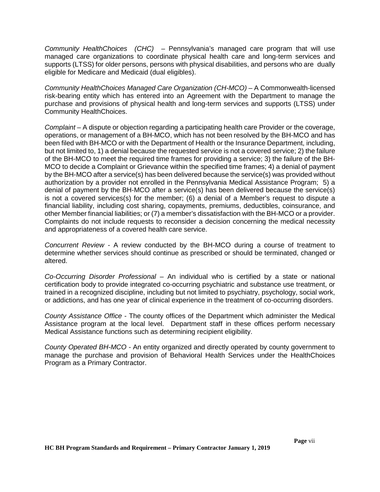*Community HealthChoices (CHC) –* Pennsylvania's managed care program that will use managed care organizations to coordinate physical health care and long-term services and supports (LTSS) for older persons, persons with physical disabilities, and persons who are dually eligible for Medicare and Medicaid (dual eligibles).

*Community HealthChoices Managed Care Organization (CH-MCO) –* A Commonwealth-licensed risk-bearing entity which has entered into an Agreement with the Department to manage the purchase and provisions of physical health and long-term services and supports (LTSS) under Community HealthChoices.

*Complaint* – A dispute or objection regarding a participating health care Provider or the coverage, operations, or management of a BH-MCO, which has not been resolved by the BH-MCO and has been filed with BH-MCO or with the Department of Health or the Insurance Department, including, but not limited to, 1) a denial because the requested service is not a covered service; 2) the failure of the BH-MCO to meet the required time frames for providing a service; 3) the failure of the BH-MCO to decide a Complaint or Grievance within the specified time frames; 4) a denial of payment by the BH-MCO after a service(s) has been delivered because the service(s) was provided without authorization by a provider not enrolled in the Pennsylvania Medical Assistance Program; 5) a denial of payment by the BH-MCO after a service(s) has been delivered because the service(s) is not a covered services(s) for the member; (6) a denial of a Member's request to dispute a financial liability, including cost sharing, copayments, premiums, deductibles, coinsurance, and other Member financial liabilities; or (7) a member's dissatisfaction with the BH-MCO or a provider. Complaints do not include requests to reconsider a decision concerning the medical necessity and appropriateness of a covered health care service.

*Concurrent Review -* A review conducted by the BH-MCO during a course of treatment to determine whether services should continue as prescribed or should be terminated, changed or altered.

*Co-Occurring Disorder Professional* – An individual who is certified by a state or national certification body to provide integrated co-occurring psychiatric and substance use treatment, or trained in a recognized discipline, including but not limited to psychiatry, psychology, social work, or addictions, and has one year of clinical experience in the treatment of co-occurring disorders.

*County Assistance Office* - The county offices of the Department which administer the Medical Assistance program at the local level. Department staff in these offices perform necessary Medical Assistance functions such as determining recipient eligibility.

*County Operated BH-MCO -* An entity organized and directly operated by county government to manage the purchase and provision of Behavioral Health Services under the HealthChoices Program as a Primary Contractor.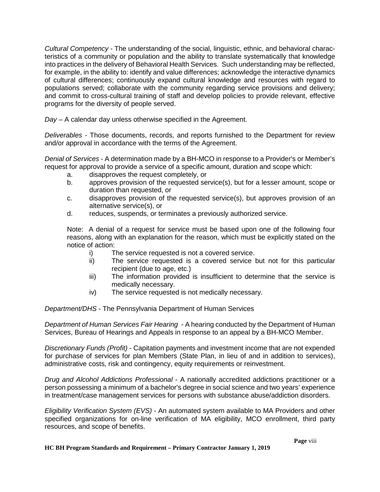*Cultural Competency* - The understanding of the social, linguistic, ethnic, and behavioral characteristics of a community or population and the ability to translate systematically that knowledge into practices in the delivery of Behavioral Health Services. Such understanding may be reflected, for example, in the ability to: identify and value differences; acknowledge the interactive dynamics of cultural differences; continuously expand cultural knowledge and resources with regard to populations served; collaborate with the community regarding service provisions and delivery; and commit to cross-cultural training of staff and develop policies to provide relevant, effective programs for the diversity of people served.

*Day –* A calendar day unless otherwise specified in the Agreement.

*Deliverables* - Those documents, records, and reports furnished to the Department for review and/or approval in accordance with the terms of the Agreement.

*Denial of Services* - A determination made by a BH-MCO in response to a Provider's or Member's request for approval to provide a service of a specific amount, duration and scope which:

- a. disapproves the request completely, or
- b. approves provision of the requested service(s), but for a lesser amount, scope or duration than requested, or
- c. disapproves provision of the requested service(s), but approves provision of an alternative service(s), or
- d. reduces, suspends, or terminates a previously authorized service.

Note: A denial of a request for service must be based upon one of the following four reasons, along with an explanation for the reason, which must be explicitly stated on the notice of action:

- i) The service requested is not a covered service.
- ii) The service requested is a covered service but not for this particular recipient (due to age, etc.)
- iii) The information provided is insufficient to determine that the service is medically necessary.
- iv) The service requested is not medically necessary.

*Department/DHS* - The Pennsylvania Department of Human Services

*Department of Human Services Fair Hearing -* A hearing conducted by the Department of Human Services, Bureau of Hearings and Appeals in response to an appeal by a BH-MCO Member.

*Discretionary Funds (Profit)* - Capitation payments and investment income that are not expended for purchase of services for plan Members (State Plan, in lieu of and in addition to services), administrative costs, risk and contingency, equity requirements or reinvestment.

*Drug and Alcohol Addictions Professional* - A nationally accredited addictions practitioner or a person possessing a minimum of a bachelor's degree in social science and two years' experience in treatment/case management services for persons with substance abuse/addiction disorders.

*Eligibility Verification System (EVS)* - An automated system available to MA Providers and other specified organizations for on-line verification of MA eligibility, MCO enrollment, third party resources, and scope of benefits.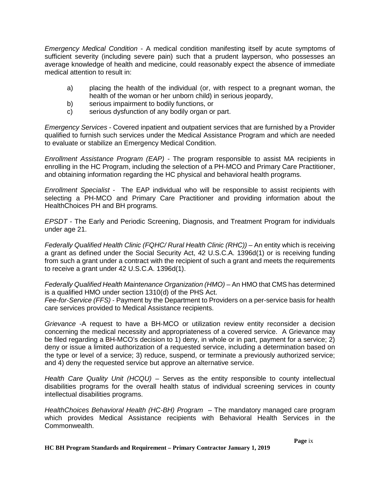*Emergency Medical Condition* - A medical condition manifesting itself by acute symptoms of sufficient severity (including severe pain) such that a prudent layperson, who possesses an average knowledge of health and medicine, could reasonably expect the absence of immediate medical attention to result in:

- a) placing the health of the individual (or, with respect to a pregnant woman, the health of the woman or her unborn child) in serious jeopardy,
- b) serious impairment to bodily functions, or
- c) serious dysfunction of any bodily organ or part.

*Emergency Services* - Covered inpatient and outpatient services that are furnished by a Provider qualified to furnish such services under the Medical Assistance Program and which are needed to evaluate or stabilize an Emergency Medical Condition.

*Enrollment Assistance Program (EAP) -* The program responsible to assist MA recipients in enrolling in the HC Program, including the selection of a PH-MCO and Primary Care Practitioner, and obtaining information regarding the HC physical and behavioral health programs.

*Enrollment Specialist -* The EAP individual who will be responsible to assist recipients with selecting a PH-MCO and Primary Care Practitioner and providing information about the HealthChoices PH and BH programs.

*EPSDT* - The Early and Periodic Screening, Diagnosis, and Treatment Program for individuals under age 21.

*Federally Qualified Health Clinic (FQHC/ Rural Health Clinic (RHC)) –* An entity which is receiving a grant as defined under the Social Security Act, 42 U.S.C.A. 1396d(1) or is receiving funding from such a grant under a contract with the recipient of such a grant and meets the requirements to receive a grant under 42 U.S.C.A. 1396d(1).

*Federally Qualified Health Maintenance Organization (HMO)* – An HMO that CMS has determined is a qualified HMO under section 1310(d) of the PHS Act.

*Fee-for-Service (FFS)* - Payment by the Department to Providers on a per-service basis for health care services provided to Medical Assistance recipients.

*Grievance* -A request to have a BH-MCO or utilization review entity reconsider a decision concerning the medical necessity and appropriateness of a covered service. A Grievance may be filed regarding a BH-MCO's decision to 1) deny, in whole or in part, payment for a service; 2) deny or issue a limited authorization of a requested service, including a determination based on the type or level of a service; 3) reduce, suspend, or terminate a previously authorized service; and 4) deny the requested service but approve an alternative service.

*Health Care Quality Unit (HCQU) –* Serves as the entity responsible to county intellectual disabilities programs for the overall health status of individual screening services in county intellectual disabilities programs.

*HealthChoices Behavioral Health (HC-BH) Program –* The mandatory managed care program which provides Medical Assistance recipients with Behavioral Health Services in the Commonwealth.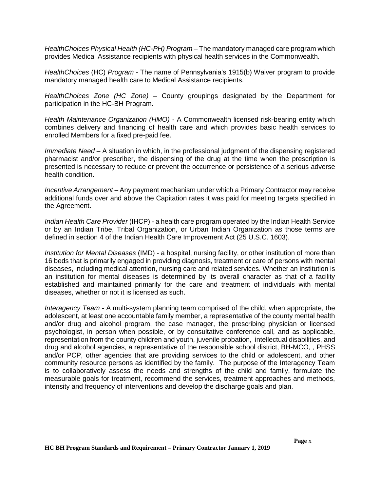*HealthChoices Physical Health (HC-PH) Program –* The mandatory managed care program which provides Medical Assistance recipients with physical health services in the Commonwealth.

*HealthChoices* (HC) *Program* - The name of Pennsylvania's 1915(b) Waiver program to provide mandatory managed health care to Medical Assistance recipients.

*HealthChoices Zone (HC Zone)* – County groupings designated by the Department for participation in the HC-BH Program.

*Health Maintenance Organization (HMO) -* A Commonwealth licensed risk-bearing entity which combines delivery and financing of health care and which provides basic health services to enrolled Members for a fixed pre-paid fee.

*Immediate Need –* A situation in which, in the professional judgment of the dispensing registered pharmacist and/or prescriber, the dispensing of the drug at the time when the prescription is presented is necessary to reduce or prevent the occurrence or persistence of a serious adverse health condition.

*Incentive Arrangement* – Any payment mechanism under which a Primary Contractor may receive additional funds over and above the Capitation rates it was paid for meeting targets specified in the Agreement.

*Indian Health Care Provider* (IHCP) - a health care program operated by the Indian Health Service or by an Indian Tribe, Tribal Organization, or Urban Indian Organization as those terms are defined in section 4 of the Indian Health Care Improvement Act (25 U.S.C. 1603).

*Institution for Mental Diseases* (IMD) - a hospital, nursing facility, or other institution of more than 16 beds that is primarily engaged in providing diagnosis, treatment or care of persons with mental diseases, including medical attention, nursing care and related services. Whether an institution is an institution for mental diseases is determined by its overall character as that of a facility established and maintained primarily for the care and treatment of individuals with mental diseases, whether or not it is licensed as such.

*Interagency Team -* A multi-system planning team comprised of the child, when appropriate, the adolescent, at least one accountable family member, a representative of the county mental health and/or drug and alcohol program, the case manager, the prescribing physician or licensed psychologist, in person when possible, or by consultative conference call, and as applicable, representation from the county children and youth, juvenile probation, intellectual disabilities, and drug and alcohol agencies, a representative of the responsible school district, BH-MCO, , PHSS and/or PCP, other agencies that are providing services to the child or adolescent, and other community resource persons as identified by the family. The purpose of the Interagency Team is to collaboratively assess the needs and strengths of the child and family, formulate the measurable goals for treatment, recommend the services, treatment approaches and methods, intensity and frequency of interventions and develop the discharge goals and plan.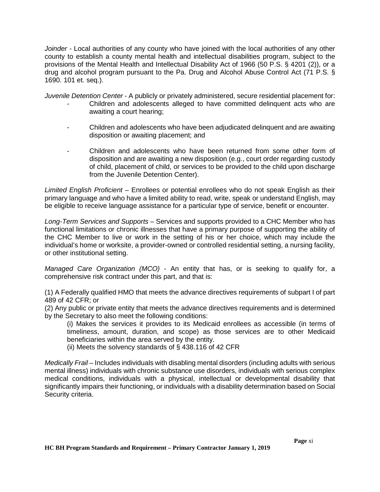*Joinder -* Local authorities of any county who have joined with the local authorities of any other county to establish a county mental health and intellectual disabilities program, subject to the provisions of the Mental Health and Intellectual Disability Act of 1966 (50 P.S. § 4201 (2)), or a drug and alcohol program pursuant to the Pa. Drug and Alcohol Abuse Control Act (71 P.S. § 1690. 101 et. seq.).

*Juvenile Detention Center* - A publicly or privately administered, secure residential placement for:

- Children and adolescents alleged to have committed delinguent acts who are awaiting a court hearing;
- Children and adolescents who have been adjudicated delinquent and are awaiting disposition or awaiting placement; and
- Children and adolescents who have been returned from some other form of disposition and are awaiting a new disposition (e.g., court order regarding custody of child, placement of child, or services to be provided to the child upon discharge from the Juvenile Detention Center).

*Limited English Proficient* – Enrollees or potential enrollees who do not speak English as their primary language and who have a limited ability to read, write, speak or understand English, may be eligible to receive language assistance for a particular type of service, benefit or encounter.

*Long-Term Services and Supports* – Services and supports provided to a CHC Member who has functional limitations or chronic illnesses that have a primary purpose of supporting the ability of the CHC Member to live or work in the setting of his or her choice, which may include the individual's home or worksite, a provider-owned or controlled residential setting, a nursing facility, or other institutional setting.

*Managed Care Organization (MCO)* - An entity that has, or is seeking to qualify for, a comprehensive risk contract under this part, and that is:

(1) A Federally qualified HMO that meets the advance directives requirements of subpart I of part 489 of 42 CFR; or

(2) Any public or private entity that meets the advance directives requirements and is determined by the Secretary to also meet the following conditions:

(i) Makes the services it provides to its Medicaid enrollees as accessible (in terms of timeliness, amount, duration, and scope) as those services are to other Medicaid beneficiaries within the area served by the entity.

(ii) Meets the solvency standards of § 438.116 of 42 CFR

*Medically Frail –* Includes individuals with disabling mental disorders (including adults with serious mental illness) individuals with chronic substance use disorders, individuals with serious complex medical conditions, individuals with a physical, intellectual or developmental disability that significantly impairs their functioning, or individuals with a disability determination based on Social Security criteria.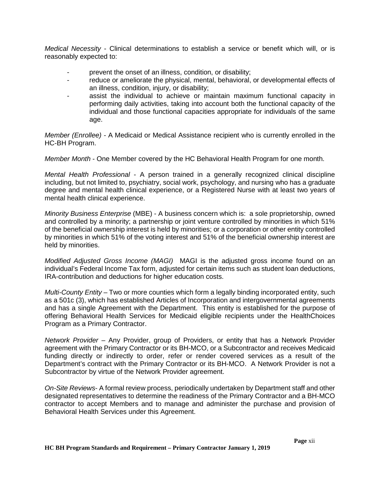*Medical Necessity* - Clinical determinations to establish a service or benefit which will, or is reasonably expected to:

- prevent the onset of an illness, condition, or disability;
- reduce or ameliorate the physical, mental, behavioral, or developmental effects of an illness, condition, injury, or disability;
- assist the individual to achieve or maintain maximum functional capacity in performing daily activities, taking into account both the functional capacity of the individual and those functional capacities appropriate for individuals of the same age.

*Member (Enrollee) -* A Medicaid or Medical Assistance recipient who is currently enrolled in the HC-BH Program.

*Member Month* - One Member covered by the HC Behavioral Health Program for one month.

*Mental Health Professional* - A person trained in a generally recognized clinical discipline including, but not limited to, psychiatry, social work, psychology, and nursing who has a graduate degree and mental health clinical experience, or a Registered Nurse with at least two years of mental health clinical experience.

*Minority Business Enterprise* (MBE) - A business concern which is: a sole proprietorship, owned and controlled by a minority; a partnership or joint venture controlled by minorities in which 51% of the beneficial ownership interest is held by minorities; or a corporation or other entity controlled by minorities in which 51% of the voting interest and 51% of the beneficial ownership interest are held by minorities.

*Modified Adjusted Gross Income (MAGI)* MAGI is the adjusted gross income found on an individual's Federal Income Tax form, adjusted for certain items such as student loan deductions, IRA-contribution and deductions for higher education costs.

*Multi-County Entity* – Two or more counties which form a legally binding incorporated entity, such as a 501c (3), which has established Articles of Incorporation and intergovernmental agreements and has a single Agreement with the Department. This entity is established for the purpose of offering Behavioral Health Services for Medicaid eligible recipients under the HealthChoices Program as a Primary Contractor.

*Network Provider* – Any Provider, group of Providers, or entity that has a Network Provider agreement with the Primary Contractor or its BH-MCO, or a Subcontractor and receives Medicaid funding directly or indirectly to order, refer or render covered services as a result of the Department's contract with the Primary Contractor or its BH-MCO. A Network Provider is not a Subcontractor by virtue of the Network Provider agreement.

*On-Site Reviews*- A formal review process, periodically undertaken by Department staff and other designated representatives to determine the readiness of the Primary Contractor and a BH-MCO contractor to accept Members and to manage and administer the purchase and provision of Behavioral Health Services under this Agreement.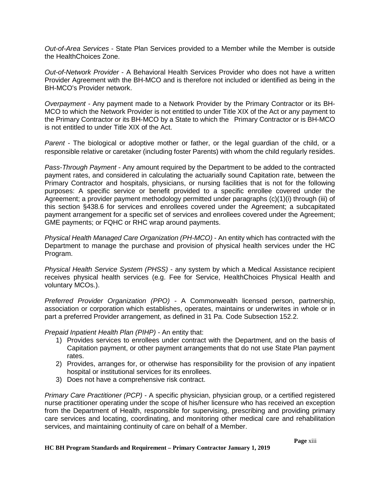*Out-of-Area Services* - State Plan Services provided to a Member while the Member is outside the HealthChoices Zone.

*Out-of-Network Provider* - A Behavioral Health Services Provider who does not have a written Provider Agreement with the BH-MCO and is therefore not included or identified as being in the BH-MCO's Provider network.

*Overpayment -* Any payment made to a Network Provider by the Primary Contractor or its BH-MCO to which the Network Provider is not entitled to under Title XIX of the Act or any payment to the Primary Contractor or its BH-MCO by a State to which the Primary Contractor or is BH-MCO is not entitled to under Title XIX of the Act.

*Parent* - The biological or adoptive mother or father, or the legal guardian of the child, or a responsible relative or caretaker (including foster Parents) with whom the child regularly resides.

*Pass-Through Payment* - Any amount required by the Department to be added to the contracted payment rates, and considered in calculating the actuarially sound Capitation rate, between the Primary Contractor and hospitals, physicians, or nursing facilities that is not for the following purposes: A specific service or benefit provided to a specific enrollee covered under the Agreement; a provider payment methodology permitted under paragraphs (c)(1)(i) through (iii) of this section §438.6 for services and enrollees covered under the Agreement; a subcapitated payment arrangement for a specific set of services and enrollees covered under the Agreement; GME payments; or FQHC or RHC wrap around payments.

*Physical Health Managed Care Organization (PH-MCO)* - An entity which has contracted with the Department to manage the purchase and provision of physical health services under the HC Program.

*Physical Health Service System (PHSS)* - any system by which a Medical Assistance recipient receives physical health services (e.g. Fee for Service, HealthChoices Physical Health and voluntary MCOs.).

*Preferred Provider Organization (PPO) -* A Commonwealth licensed person, partnership, association or corporation which establishes, operates, maintains or underwrites in whole or in part a preferred Provider arrangement, as defined in 31 Pa. Code Subsection 152.2.

*Prepaid Inpatient Health Plan (PIHP) -* An entity that:

- 1) Provides services to enrollees under contract with the Department, and on the basis of Capitation payment, or other payment arrangements that do not use State Plan payment rates.
- 2) Provides, arranges for, or otherwise has responsibility for the provision of any inpatient hospital or institutional services for its enrollees.
- 3) Does not have a comprehensive risk contract.

*Primary Care Practitioner (PCP)* - A specific physician, physician group, or a certified registered nurse practitioner operating under the scope of his/her licensure who has received an exception from the Department of Health, responsible for supervising, prescribing and providing primary care services and locating, coordinating, and monitoring other medical care and rehabilitation services, and maintaining continuity of care on behalf of a Member.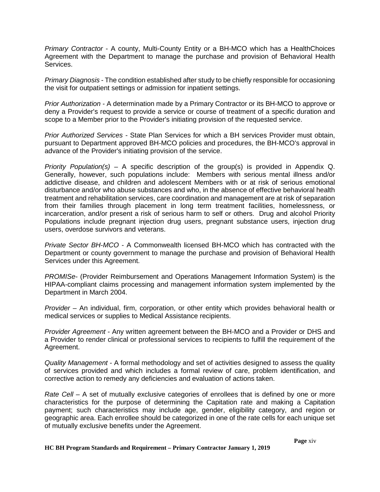*Primary Contractor* - A county, Multi-County Entity or a BH-MCO which has a HealthChoices Agreement with the Department to manage the purchase and provision of Behavioral Health Services.

*Primary Diagnosis* - The condition established after study to be chiefly responsible for occasioning the visit for outpatient settings or admission for inpatient settings.

*Prior Authorization -* A determination made by a Primary Contractor or its BH-MCO to approve or deny a Provider's request to provide a service or course of treatment of a specific duration and scope to a Member prior to the Provider's initiating provision of the requested service.

*Prior Authorized Services -* State Plan Services for which a BH services Provider must obtain, pursuant to Department approved BH-MCO policies and procedures, the BH-MCO's approval in advance of the Provider's initiating provision of the service.

*Priority Population(s)* – A specific description of the group(s) is provided in Appendix Q. Generally, however, such populations include: Members with serious mental illness and/or addictive disease, and children and adolescent Members with or at risk of serious emotional disturbance and/or who abuse substances and who, in the absence of effective behavioral health treatment and rehabilitation services, care coordination and management are at risk of separation from their families through placement in long term treatment facilities, homelessness, or incarceration, and/or present a risk of serious harm to self or others. Drug and alcohol Priority Populations include pregnant injection drug users, pregnant substance users, injection drug users, overdose survivors and veterans.

*Private Sector BH-MCO -* A Commonwealth licensed BH-MCO which has contracted with the Department or county government to manage the purchase and provision of Behavioral Health Services under this Agreement.

*PROMISe-* (Provider Reimbursement and Operations Management Information System) is the HIPAA-compliant claims processing and management information system implemented by the Department in March 2004.

*Provider* – An individual, firm, corporation, or other entity which provides behavioral health or medical services or supplies to Medical Assistance recipients.

*Provider Agreement* - Any written agreement between the BH-MCO and a Provider or DHS and a Provider to render clinical or professional services to recipients to fulfill the requirement of the Agreement.

*Quality Management* - A formal methodology and set of activities designed to assess the quality of services provided and which includes a formal review of care, problem identification, and corrective action to remedy any deficiencies and evaluation of actions taken.

*Rate Cell* – A set of mutually exclusive categories of enrollees that is defined by one or more characteristics for the purpose of determining the Capitation rate and making a Capitation payment; such characteristics may include age, gender, eligibility category, and region or geographic area. Each enrollee should be categorized in one of the rate cells for each unique set of mutually exclusive benefits under the Agreement.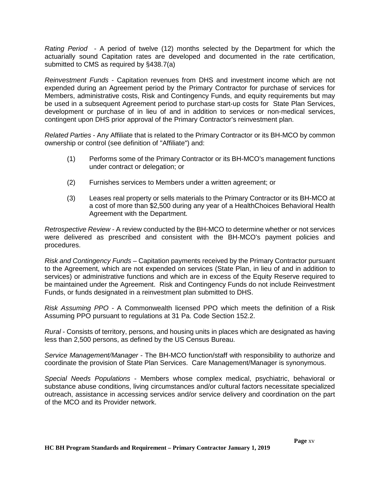*Rating Period* - A period of twelve (12) months selected by the Department for which the actuarially sound Capitation rates are developed and documented in the rate certification, submitted to CMS as required by §438.7(a)

*Reinvestment Funds* - Capitation revenues from DHS and investment income which are not expended during an Agreement period by the Primary Contractor for purchase of services for Members, administrative costs, Risk and Contingency Funds, and equity requirements but may be used in a subsequent Agreement period to purchase start-up costs for State Plan Services, development or purchase of in lieu of and in addition to services or non-medical services, contingent upon DHS prior approval of the Primary Contractor's reinvestment plan.

*Related Parties* - Any Affiliate that is related to the Primary Contractor or its BH-MCO by common ownership or control (see definition of "Affiliate") and:

- (1) Performs some of the Primary Contractor or its BH-MCO's management functions under contract or delegation; or
- (2) Furnishes services to Members under a written agreement; or
- (3) Leases real property or sells materials to the Primary Contractor or its BH-MCO at a cost of more than \$2,500 during any year of a HealthChoices Behavioral Health Agreement with the Department.

*Retrospective Review -* A review conducted by the BH-MCO to determine whether or not services were delivered as prescribed and consistent with the BH-MCO's payment policies and procedures.

*Risk and Contingency Funds* – Capitation payments received by the Primary Contractor pursuant to the Agreement, which are not expended on services (State Plan, in lieu of and in addition to services) or administrative functions and which are in excess of the Equity Reserve required to be maintained under the Agreement. Risk and Contingency Funds do not include Reinvestment Funds, or funds designated in a reinvestment plan submitted to DHS.

*Risk Assuming PPO -* A Commonwealth licensed PPO which meets the definition of a Risk Assuming PPO pursuant to regulations at 31 Pa. Code Section 152.2.

*Rural* - Consists of territory, persons, and housing units in places which are designated as having less than 2,500 persons, as defined by the US Census Bureau.

*Service Management/Manager* - The BH-MCO function/staff with responsibility to authorize and coordinate the provision of State Plan Services. Care Management/Manager is synonymous.

*Special Needs Populations* - Members whose complex medical, psychiatric, behavioral or substance abuse conditions, living circumstances and/or cultural factors necessitate specialized outreach, assistance in accessing services and/or service delivery and coordination on the part of the MCO and its Provider network.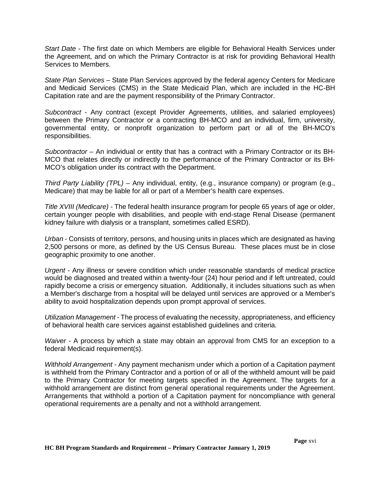*Start Date* - The first date on which Members are eligible for Behavioral Health Services under the Agreement, and on which the Primary Contractor is at risk for providing Behavioral Health Services to Members.

*State Plan Services –* State Plan Services approved by the federal agency Centers for Medicare and Medicaid Services (CMS) in the State Medicaid Plan, which are included in the HC-BH Capitation rate and are the payment responsibility of the Primary Contractor.

*Subcontract* - Any contract (except Provider Agreements, utilities, and salaried employees) between the Primary Contractor or a contracting BH-MCO and an individual, firm, university, governmental entity, or nonprofit organization to perform part or all of the BH-MCO's responsibilities.

*Subcontractor* – An individual or entity that has a contract with a Primary Contractor or its BH-MCO that relates directly or indirectly to the performance of the Primary Contractor or its BH-MCO's obligation under its contract with the Department.

*Third Party Liability (TPL) –* Any individual, entity, (e.g., insurance company) or program (e.g., Medicare) that may be liable for all or part of a Member's health care expenses.

*Title XVIII (Medicare) -* The federal health insurance program for people 65 years of age or older, certain younger people with disabilities, and people with end-stage Renal Disease (permanent kidney failure with dialysis or a transplant, sometimes called ESRD).

*Urban* - Consists of territory, persons, and housing units in places which are designated as having 2,500 persons or more, as defined by the US Census Bureau. These places must be in close geographic proximity to one another.

*Urgent* - Any illness or severe condition which under reasonable standards of medical practice would be diagnosed and treated within a twenty-four (24) hour period and if left untreated, could rapidly become a crisis or emergency situation. Additionally, it includes situations such as when a Member's discharge from a hospital will be delayed until services are approved or a Member's ability to avoid hospitalization depends upon prompt approval of services.

*Utilization Management* - The process of evaluating the necessity, appropriateness, and efficiency of behavioral health care services against established guidelines and criteria.

*Waiver -* A process by which a state may obtain an approval from CMS for an exception to a federal Medicaid requirement(s).

*Withhold Arrangement* - Any payment mechanism under which a portion of a Capitation payment is withheld from the Primary Contractor and a portion of or all of the withheld amount will be paid to the Primary Contractor for meeting targets specified in the Agreement. The targets for a withhold arrangement are distinct from general operational requirements under the Agreement. Arrangements that withhold a portion of a Capitation payment for noncompliance with general operational requirements are a penalty and not a withhold arrangement.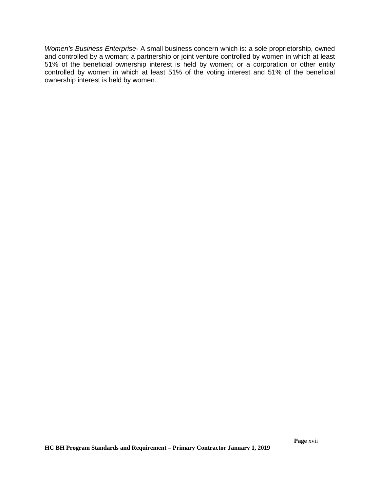*Women's Business Enterprise-* A small business concern which is: a sole proprietorship, owned and controlled by a woman; a partnership or joint venture controlled by women in which at least 51% of the beneficial ownership interest is held by women; or a corporation or other entity controlled by women in which at least 51% of the voting interest and 51% of the beneficial ownership interest is held by women.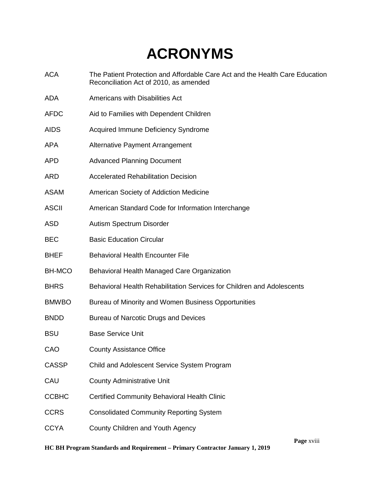# **ACRONYMS**

- ACA The Patient Protection and Affordable Care Act and the Health Care Education Reconciliation Act of 2010, as amended
- ADA Americans with Disabilities Act
- AFDC Aid to Families with Dependent Children
- AIDS Acquired Immune Deficiency Syndrome
- APA Alternative Payment Arrangement
- APD Advanced Planning Document
- ARD Accelerated Rehabilitation Decision
- ASAM American Society of Addiction Medicine
- ASCII American Standard Code for Information Interchange
- ASD Autism Spectrum Disorder
- BEC Basic Education Circular
- BHEF Behavioral Health Encounter File
- BH-MCO Behavioral Health Managed Care Organization
- BHRS Behavioral Health Rehabilitation Services for Children and Adolescents
- BMWBO Bureau of Minority and Women Business Opportunities
- BNDD Bureau of Narcotic Drugs and Devices
- BSU Base Service Unit
- CAO County Assistance Office
- CASSP Child and Adolescent Service System Program
- CAU County Administrative Unit
- CCBHC Certified Community Behavioral Health Clinic
- CCRS Consolidated Community Reporting System
- CCYA County Children and Youth Agency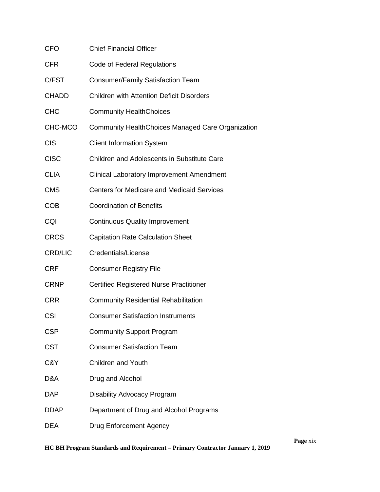| <b>CFO</b>     | <b>Chief Financial Officer</b>                           |
|----------------|----------------------------------------------------------|
| <b>CFR</b>     | Code of Federal Regulations                              |
| C/FST          | Consumer/Family Satisfaction Team                        |
| <b>CHADD</b>   | <b>Children with Attention Deficit Disorders</b>         |
| <b>CHC</b>     | <b>Community HealthChoices</b>                           |
| CHC-MCO        | <b>Community HealthChoices Managed Care Organization</b> |
| <b>CIS</b>     | <b>Client Information System</b>                         |
| <b>CISC</b>    | <b>Children and Adolescents in Substitute Care</b>       |
| <b>CLIA</b>    | <b>Clinical Laboratory Improvement Amendment</b>         |
| <b>CMS</b>     | <b>Centers for Medicare and Medicaid Services</b>        |
| <b>COB</b>     | <b>Coordination of Benefits</b>                          |
| CQI            | <b>Continuous Quality Improvement</b>                    |
| <b>CRCS</b>    | <b>Capitation Rate Calculation Sheet</b>                 |
| <b>CRD/LIC</b> | Credentials/License                                      |
| <b>CRF</b>     | <b>Consumer Registry File</b>                            |
| <b>CRNP</b>    | <b>Certified Registered Nurse Practitioner</b>           |
| <b>CRR</b>     | <b>Community Residential Rehabilitation</b>              |
| <b>CSI</b>     | <b>Consumer Satisfaction Instruments</b>                 |
| <b>CSP</b>     | <b>Community Support Program</b>                         |
| <b>CST</b>     | <b>Consumer Satisfaction Team</b>                        |
| C&Y            | <b>Children and Youth</b>                                |
| D&A            | Drug and Alcohol                                         |
| <b>DAP</b>     | Disability Advocacy Program                              |
| <b>DDAP</b>    | Department of Drug and Alcohol Programs                  |
| <b>DEA</b>     | <b>Drug Enforcement Agency</b>                           |

**Page** xix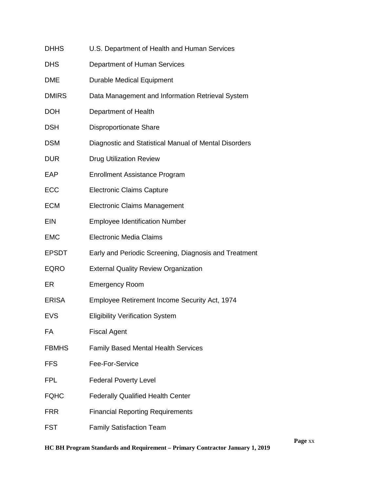| <b>DHHS</b>  | U.S. Department of Health and Human Services          |
|--------------|-------------------------------------------------------|
| <b>DHS</b>   | Department of Human Services                          |
| <b>DME</b>   | <b>Durable Medical Equipment</b>                      |
| <b>DMIRS</b> | Data Management and Information Retrieval System      |
| <b>DOH</b>   | Department of Health                                  |
| <b>DSH</b>   | <b>Disproportionate Share</b>                         |
| DSM          | Diagnostic and Statistical Manual of Mental Disorders |
| DUR          | <b>Drug Utilization Review</b>                        |
| EAP          | <b>Enrollment Assistance Program</b>                  |
| <b>ECC</b>   | <b>Electronic Claims Capture</b>                      |
| <b>ECM</b>   | <b>Electronic Claims Management</b>                   |
| <b>EIN</b>   | <b>Employee Identification Number</b>                 |
| <b>EMC</b>   | <b>Electronic Media Claims</b>                        |
| EPSDT        | Early and Periodic Screening, Diagnosis and Treatment |
| <b>EQRO</b>  | <b>External Quality Review Organization</b>           |
| ER           | <b>Emergency Room</b>                                 |
| <b>ERISA</b> | Employee Retirement Income Security Act, 1974         |
| <b>EVS</b>   | <b>Eligibility Verification System</b>                |
| FA           | <b>Fiscal Agent</b>                                   |
| <b>FBMHS</b> | <b>Family Based Mental Health Services</b>            |
| FFS          | Fee-For-Service                                       |
| <b>FPL</b>   | <b>Federal Poverty Level</b>                          |
| <b>FQHC</b>  | <b>Federally Qualified Health Center</b>              |
| FRR          | <b>Financial Reporting Requirements</b>               |
| FST          | <b>Family Satisfaction Team</b>                       |
|              |                                                       |

**Page** xx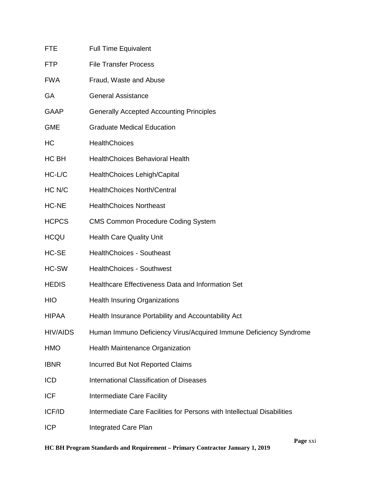| <b>FTE</b>      | <b>Full Time Equivalent</b>                                             |
|-----------------|-------------------------------------------------------------------------|
| <b>FTP</b>      | <b>File Transfer Process</b>                                            |
| <b>FWA</b>      | Fraud, Waste and Abuse                                                  |
| GA              | <b>General Assistance</b>                                               |
| <b>GAAP</b>     | <b>Generally Accepted Accounting Principles</b>                         |
| <b>GME</b>      | <b>Graduate Medical Education</b>                                       |
| HC              | <b>HealthChoices</b>                                                    |
| HC BH           | <b>HealthChoices Behavioral Health</b>                                  |
| HC-L/C          | HealthChoices Lehigh/Capital                                            |
| HC N/C          | <b>HealthChoices North/Central</b>                                      |
| HC-NE           | <b>HealthChoices Northeast</b>                                          |
| <b>HCPCS</b>    | <b>CMS Common Procedure Coding System</b>                               |
| <b>HCQU</b>     | <b>Health Care Quality Unit</b>                                         |
| HC-SE           | <b>HealthChoices - Southeast</b>                                        |
| HC-SW           | <b>HealthChoices - Southwest</b>                                        |
| <b>HEDIS</b>    | Healthcare Effectiveness Data and Information Set                       |
| <b>HIO</b>      | <b>Health Insuring Organizations</b>                                    |
| <b>HIPAA</b>    | Health Insurance Portability and Accountability Act                     |
| <b>HIV/AIDS</b> | Human Immuno Deficiency Virus/Acquired Immune Deficiency Syndrome       |
| <b>HMO</b>      | Health Maintenance Organization                                         |
| <b>IBNR</b>     | <b>Incurred But Not Reported Claims</b>                                 |
| <b>ICD</b>      | <b>International Classification of Diseases</b>                         |
| <b>ICF</b>      | Intermediate Care Facility                                              |
| ICF/ID          | Intermediate Care Facilities for Persons with Intellectual Disabilities |
| <b>ICP</b>      | <b>Integrated Care Plan</b>                                             |

**Page** xxi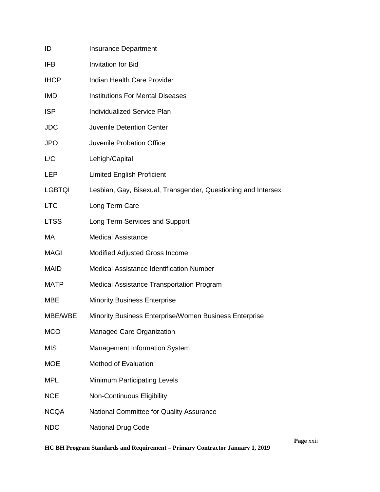| ID            | <b>Insurance Department</b>                                   |
|---------------|---------------------------------------------------------------|
| <b>IFB</b>    | <b>Invitation for Bid</b>                                     |
| <b>IHCP</b>   | Indian Health Care Provider                                   |
| <b>IMD</b>    | <b>Institutions For Mental Diseases</b>                       |
| <b>ISP</b>    | <b>Individualized Service Plan</b>                            |
| <b>JDC</b>    | <b>Juvenile Detention Center</b>                              |
| <b>JPO</b>    | Juvenile Probation Office                                     |
| L/C           | Lehigh/Capital                                                |
| LEP           | <b>Limited English Proficient</b>                             |
| <b>LGBTQI</b> | Lesbian, Gay, Bisexual, Transgender, Questioning and Intersex |
| <b>LTC</b>    | Long Term Care                                                |
| <b>LTSS</b>   | Long Term Services and Support                                |
| МA            | <b>Medical Assistance</b>                                     |
| <b>MAGI</b>   | Modified Adjusted Gross Income                                |
| <b>MAID</b>   | <b>Medical Assistance Identification Number</b>               |
| <b>MATP</b>   | Medical Assistance Transportation Program                     |
| <b>MBE</b>    | <b>Minority Business Enterprise</b>                           |
| MBE/WBE       | Minority Business Enterprise/Women Business Enterprise        |
| <b>MCO</b>    | Managed Care Organization                                     |
| <b>MIS</b>    | <b>Management Information System</b>                          |
| <b>MOE</b>    | <b>Method of Evaluation</b>                                   |
| <b>MPL</b>    | Minimum Participating Levels                                  |
| <b>NCE</b>    | Non-Continuous Eligibility                                    |
| <b>NCQA</b>   | National Committee for Quality Assurance                      |
| <b>NDC</b>    | National Drug Code                                            |

**Page** xxii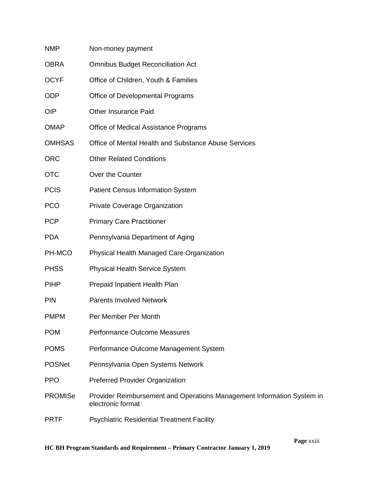| <b>NMP</b>     | Non-money payment                                                                           |
|----------------|---------------------------------------------------------------------------------------------|
| <b>OBRA</b>    | <b>Omnibus Budget Reconciliation Act</b>                                                    |
| <b>OCYF</b>    | Office of Children, Youth & Families                                                        |
| <b>ODP</b>     | Office of Developmental Programs                                                            |
| <b>OIP</b>     | <b>Other Insurance Paid</b>                                                                 |
| <b>OMAP</b>    | Office of Medical Assistance Programs                                                       |
| <b>OMHSAS</b>  | Office of Mental Health and Substance Abuse Services                                        |
| <b>ORC</b>     | <b>Other Related Conditions</b>                                                             |
| <b>OTC</b>     | Over the Counter                                                                            |
| <b>PCIS</b>    | <b>Patient Census Information System</b>                                                    |
| <b>PCO</b>     | Private Coverage Organization                                                               |
| <b>PCP</b>     | <b>Primary Care Practitioner</b>                                                            |
| <b>PDA</b>     | Pennsylvania Department of Aging                                                            |
| PH-MCO         | <b>Physical Health Managed Care Organization</b>                                            |
| <b>PHSS</b>    | <b>Physical Health Service System</b>                                                       |
| <b>PIHP</b>    | Prepaid Inpatient Health Plan                                                               |
| <b>PIN</b>     | <b>Parents Involved Network</b>                                                             |
| <b>PMPM</b>    | Per Member Per Month                                                                        |
| <b>POM</b>     | <b>Performance Outcome Measures</b>                                                         |
| <b>POMS</b>    | Performance Outcome Management System                                                       |
| <b>POSNet</b>  | Pennsylvania Open Systems Network                                                           |
| <b>PPO</b>     | <b>Preferred Provider Organization</b>                                                      |
| <b>PROMISe</b> | Provider Reimbursement and Operations Management Information System in<br>electronic format |
| <b>PRTF</b>    | <b>Psychiatric Residential Treatment Facility</b>                                           |

**Page** xxiii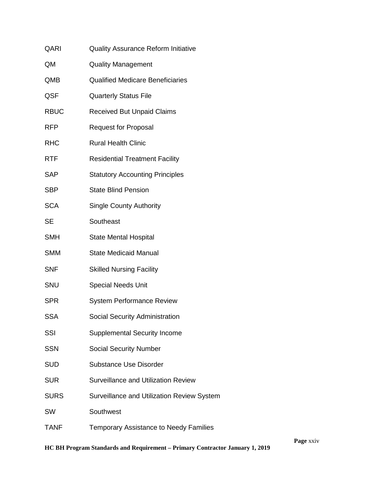| QARI        | <b>Quality Assurance Reform Initiative</b>    |
|-------------|-----------------------------------------------|
| QM          | <b>Quality Management</b>                     |
| QMB         | <b>Qualified Medicare Beneficiaries</b>       |
| QSF         | <b>Quarterly Status File</b>                  |
| <b>RBUC</b> | <b>Received But Unpaid Claims</b>             |
| <b>RFP</b>  | <b>Request for Proposal</b>                   |
| <b>RHC</b>  | <b>Rural Health Clinic</b>                    |
| <b>RTF</b>  | <b>Residential Treatment Facility</b>         |
| SAP         | <b>Statutory Accounting Principles</b>        |
| SBP         | <b>State Blind Pension</b>                    |
| <b>SCA</b>  | <b>Single County Authority</b>                |
| <b>SE</b>   | Southeast                                     |
| <b>SMH</b>  | <b>State Mental Hospital</b>                  |
| <b>SMM</b>  | <b>State Medicaid Manual</b>                  |
| <b>SNF</b>  | <b>Skilled Nursing Facility</b>               |
| SNU         | <b>Special Needs Unit</b>                     |
| <b>SPR</b>  | <b>System Performance Review</b>              |
| <b>SSA</b>  | Social Security Administration                |
| SSI         | <b>Supplemental Security Income</b>           |
| <b>SSN</b>  | <b>Social Security Number</b>                 |
| <b>SUD</b>  | <b>Substance Use Disorder</b>                 |
| <b>SUR</b>  | <b>Surveillance and Utilization Review</b>    |
| <b>SURS</b> | Surveillance and Utilization Review System    |
| <b>SW</b>   | Southwest                                     |
| <b>TANF</b> | <b>Temporary Assistance to Needy Families</b> |

### **HC BH Program Standards and Requirement – Primary Contractor January 1, 2019**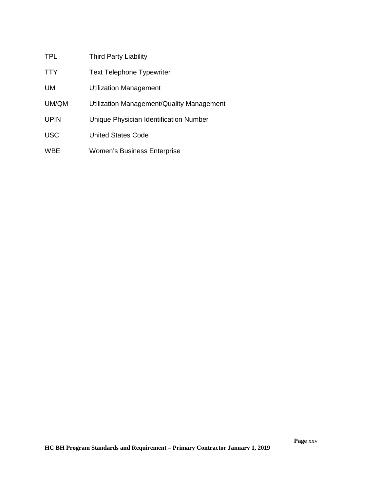| <b>TPL</b>  | <b>Third Party Liability</b>              |
|-------------|-------------------------------------------|
| <b>TTY</b>  | <b>Text Telephone Typewriter</b>          |
| UM.         | Utilization Management                    |
| UM/QM       | Utilization Management/Quality Management |
| <b>UPIN</b> | Unique Physician Identification Number    |
| <b>USC</b>  | United States Code                        |
| <b>WBE</b>  | <b>Women's Business Enterprise</b>        |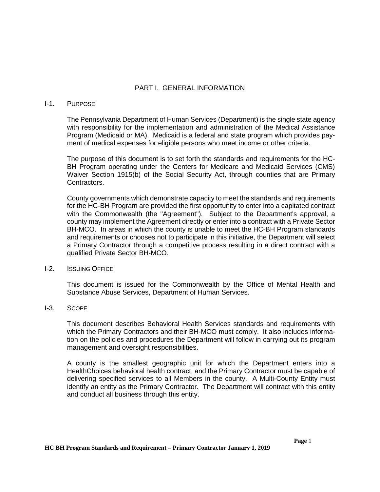#### PART I. GENERAL INFORMATION

#### <span id="page-25-1"></span><span id="page-25-0"></span>I-1. PURPOSE

The Pennsylvania Department of Human Services (Department) is the single state agency with responsibility for the implementation and administration of the Medical Assistance Program (Medicaid or MA). Medicaid is a federal and state program which provides payment of medical expenses for eligible persons who meet income or other criteria.

The purpose of this document is to set forth the standards and requirements for the HC-BH Program operating under the Centers for Medicare and Medicaid Services (CMS) Waiver Section 1915(b) of the Social Security Act, through counties that are Primary Contractors.

County governments which demonstrate capacity to meet the standards and requirements for the HC-BH Program are provided the first opportunity to enter into a capitated contract with the Commonwealth (the "Agreement"). Subject to the Department's approval, a county may implement the Agreement directly or enter into a contract with a Private Sector BH-MCO. In areas in which the county is unable to meet the HC-BH Program standards and requirements or chooses not to participate in this initiative, the Department will select a Primary Contractor through a competitive process resulting in a direct contract with a qualified Private Sector BH-MCO.

#### I-2. ISSUING OFFICE

This document is issued for the Commonwealth by the Office of Mental Health and Substance Abuse Services, Department of Human Services.

#### I-3. SCOPE

This document describes Behavioral Health Services standards and requirements with which the Primary Contractors and their BH-MCO must comply. It also includes information on the policies and procedures the Department will follow in carrying out its program management and oversight responsibilities.

A county is the smallest geographic unit for which the Department enters into a HealthChoices behavioral health contract, and the Primary Contractor must be capable of delivering specified services to all Members in the county. A Multi-County Entity must identify an entity as the Primary Contractor. The Department will contract with this entity and conduct all business through this entity.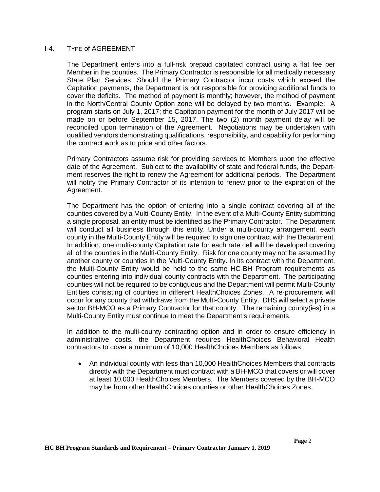#### <span id="page-26-0"></span>I-4. TYPE of AGREEMENT

The Department enters into a full-risk prepaid capitated contract using a flat fee per Member in the counties. The Primary Contractor is responsible for all medically necessary State Plan Services. Should the Primary Contractor incur costs which exceed the Capitation payments, the Department is not responsible for providing additional funds to cover the deficits. The method of payment is monthly; however, the method of payment in the North/Central County Option zone will be delayed by two months. Example: A program starts on July 1, 2017; the Capitation payment for the month of July 2017 will be made on or before September 15, 2017. The two (2) month payment delay will be reconciled upon termination of the Agreement. Negotiations may be undertaken with qualified vendors demonstrating qualifications, responsibility, and capability for performing the contract work as to price and other factors.

Primary Contractors assume risk for providing services to Members upon the effective date of the Agreement. Subject to the availability of state and federal funds, the Department reserves the right to renew the Agreement for additional periods. The Department will notify the Primary Contractor of its intention to renew prior to the expiration of the Agreement.

The Department has the option of entering into a single contract covering all of the counties covered by a Multi-County Entity. In the event of a Multi-County Entity submitting a single proposal, an entity must be identified as the Primary Contractor. The Department will conduct all business through this entity. Under a multi-county arrangement, each county in the Multi-County Entity will be required to sign one contract with the Department. In addition, one multi-county Capitation rate for each rate cell will be developed covering all of the counties in the Multi-County Entity. Risk for one county may not be assumed by another county or counties in the Multi-County Entity. In its contract with the Department, the Multi-County Entity would be held to the same HC-BH Program requirements as counties entering into individual county contracts with the Department. The participating counties will not be required to be contiguous and the Department will permit Multi-County Entities consisting of counties in different HealthChoices Zones. A re-procurement will occur for any county that withdraws from the Multi-County Entity. DHS will select a private sector BH-MCO as a Primary Contractor for that county. The remaining county(ies) in a Multi-County Entity must continue to meet the Department's requirements.

In addition to the multi-county contracting option and in order to ensure efficiency in administrative costs, the Department requires HealthChoices Behavioral Health contractors to cover a minimum of 10,000 HealthChoices Members as follows:

• An individual county with less than 10,000 HealthChoices Members that contracts directly with the Department must contract with a BH-MCO that covers or will cover at least 10,000 HealthChoices Members. The Members covered by the BH-MCO may be from other HealthChoices counties or other HealthChoices Zones.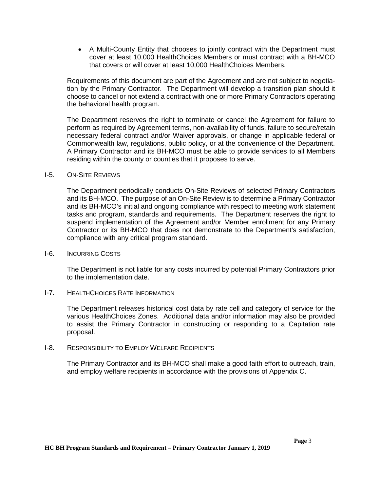<span id="page-27-1"></span>• A Multi-County Entity that chooses to jointly contract with the Department must cover at least 10,000 HealthChoices Members or must contract with a BH-MCO that covers or will cover at least 10,000 HealthChoices Members.

Requirements of this document are part of the Agreement and are not subject to negotiation by the Primary Contractor. The Department will develop a transition plan should it choose to cancel or not extend a contract with one or more Primary Contractors operating the behavioral health program.

The Department reserves the right to terminate or cancel the Agreement for failure to perform as required by Agreement terms, non-availability of funds, failure to secure/retain necessary federal contract and/or Waiver approvals, or change in applicable federal or Commonwealth law, regulations, public policy, or at the convenience of the Department. A Primary Contractor and its BH-MCO must be able to provide services to all Members residing within the county or counties that it proposes to serve.

#### <span id="page-27-0"></span>I-5. ON-SITE REVIEWS

The Department periodically conducts On-Site Reviews of selected Primary Contractors and its BH-MCO. The purpose of an On-Site Review is to determine a Primary Contractor and its BH-MCO's initial and ongoing compliance with respect to meeting work statement tasks and program, standards and requirements. The Department reserves the right to suspend implementation of the Agreement and/or Member enrollment for any Primary Contractor or its BH-MCO that does not demonstrate to the Department's satisfaction, compliance with any critical program standard.

#### I-6. INCURRING COSTS

The Department is not liable for any costs incurred by potential Primary Contractors prior to the implementation date.

#### I-7. HEALTHCHOICES RATE INFORMATION

The Department releases historical cost data by rate cell and category of service for the various HealthChoices Zones. Additional data and/or information may also be provided to assist the Primary Contractor in constructing or responding to a Capitation rate proposal.

#### <span id="page-27-2"></span>I-8. RESPONSIBILITY TO EMPLOY WELFARE RECIPIENTS

<span id="page-27-3"></span>The Primary Contractor and its BH-MCO shall make a good faith effort to outreach, train, and employ welfare recipients in accordance with the provisions of Appendix C.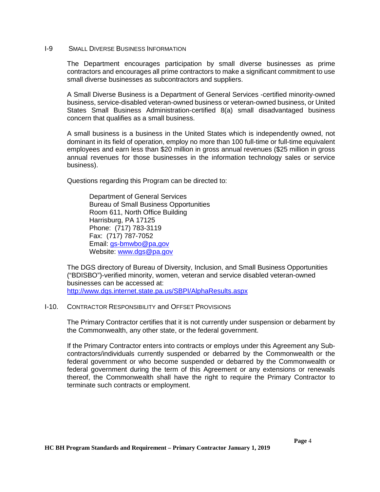#### I-9 SMALL DIVERSE BUSINESS INFORMATION

The Department encourages participation by small diverse businesses as prime contractors and encourages all prime contractors to make a significant commitment to use small diverse businesses as subcontractors and suppliers.

A Small Diverse Business is a Department of General Services -certified minority-owned business, service-disabled veteran-owned business or veteran-owned business, or United States Small Business Administration-certified 8(a) small disadvantaged business concern that qualifies as a small business.

A small business is a business in the United States which is independently owned, not dominant in its field of operation, employ no more than 100 full-time or full-time equivalent employees and earn less than \$20 million in gross annual revenues (\$25 million in gross annual revenues for those businesses in the information technology sales or service business).

Questions regarding this Program can be directed to:

Department of General Services Bureau of Small Business Opportunities Room 611, North Office Building Harrisburg, PA 17125 Phone: (717) 783-3119 Fax: (717) 787-7052 Email: gs-bmwbo@pa,gov Website: [www.dgs@pa.gov](http://www.dgs@pa.gov)

The DGS directory of Bureau of Diversity, Inclusion, and Small Business Opportunities ("BDISBO")-verified minority, women, veteran and service disabled veteran-owned businesses can be accessed at: <http://www.dgs.internet.state.pa.us/SBPI/AlphaResults.aspx>

#### <span id="page-28-0"></span>I-10. CONTRACTOR RESPONSIBILITY and OFFSET PROVISIONS

The Primary Contractor certifies that it is not currently under suspension or debarment by the Commonwealth, any other state, or the federal government.

If the Primary Contractor enters into contracts or employs under this Agreement any Subcontractors/individuals currently suspended or debarred by the Commonwealth or the federal government or who become suspended or debarred by the Commonwealth or federal government during the term of this Agreement or any extensions or renewals thereof, the Commonwealth shall have the right to require the Primary Contractor to terminate such contracts or employment.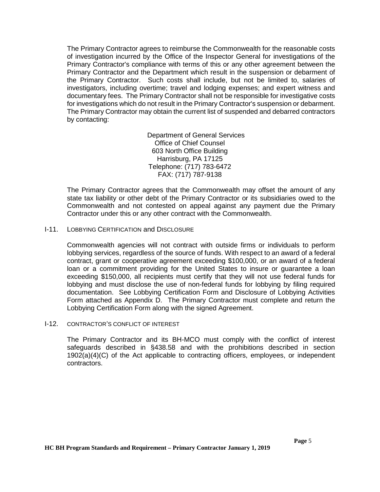<span id="page-29-0"></span>The Primary Contractor agrees to reimburse the Commonwealth for the reasonable costs of investigation incurred by the Office of the Inspector General for investigations of the Primary Contractor's compliance with terms of this or any other agreement between the Primary Contractor and the Department which result in the suspension or debarment of the Primary Contractor. Such costs shall include, but not be limited to, salaries of investigators, including overtime; travel and lodging expenses; and expert witness and documentary fees. The Primary Contractor shall not be responsible for investigative costs for investigations which do not result in the Primary Contractor's suspension or debarment. The Primary Contractor may obtain the current list of suspended and debarred contractors by contacting:

> Department of General Services Office of Chief Counsel 603 North Office Building Harrisburg, PA 17125 Telephone: (717) 783-6472 FAX: (717) 787-9138

The Primary Contractor agrees that the Commonwealth may offset the amount of any state tax liability or other debt of the Primary Contractor or its subsidiaries owed to the Commonwealth and not contested on appeal against any payment due the Primary Contractor under this or any other contract with the Commonwealth.

#### I-11. LOBBYING CERTIFICATION and DISCLOSURE

Commonwealth agencies will not contract with outside firms or individuals to perform lobbying services, regardless of the source of funds. With respect to an award of a federal contract, grant or cooperative agreement exceeding \$100,000, or an award of a federal loan or a commitment providing for the United States to insure or guarantee a loan exceeding \$150,000, all recipients must certify that they will not use federal funds for lobbying and must disclose the use of non-federal funds for lobbying by filing required documentation. See Lobbying Certification Form and Disclosure of Lobbying Activities Form attached as Appendix D. The Primary Contractor must complete and return the Lobbying Certification Form along with the signed Agreement.

#### <span id="page-29-1"></span>I-12. CONTRACTOR'S CONFLICT OF INTEREST

The Primary Contractor and its BH-MCO must comply with the conflict of interest safeguards described in §438.58 and with the prohibitions described in section 1902(a)(4)(C) of the Act applicable to contracting officers, employees, or independent contractors.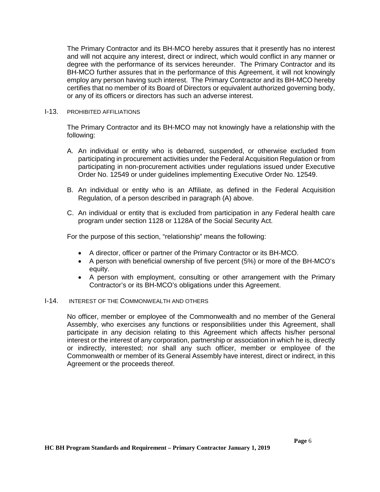The Primary Contractor and its BH-MCO hereby assures that it presently has no interest and will not acquire any interest, direct or indirect, which would conflict in any manner or degree with the performance of its services hereunder. The Primary Contractor and its BH-MCO further assures that in the performance of this Agreement, it will not knowingly employ any person having such interest. The Primary Contractor and its BH-MCO hereby certifies that no member of its Board of Directors or equivalent authorized governing body, or any of its officers or directors has such an adverse interest.

#### <span id="page-30-0"></span>I-13. PROHIBITED AFFILIATIONS

The Primary Contractor and its BH-MCO may not knowingly have a relationship with the following:

- A. An individual or entity who is debarred, suspended, or otherwise excluded from participating in procurement activities under the Federal Acquisition Regulation or from participating in non-procurement activities under regulations issued under Executive Order No. 12549 or under guidelines implementing Executive Order No. 12549.
- B. An individual or entity who is an Affiliate, as defined in the Federal Acquisition Regulation, of a person described in paragraph (A) above.
- C. An individual or entity that is excluded from participation in any Federal health care program under section 1128 or 1128A of the Social Security Act.

For the purpose of this section, "relationship" means the following:

- A director, officer or partner of the Primary Contractor or its BH-MCO.
- A person with beneficial ownership of five percent (5%) or more of the BH-MCO's equity.
- A person with employment, consulting or other arrangement with the Primary Contractor's or its BH-MCO's obligations under this Agreement.

#### <span id="page-30-1"></span>I-14. INTEREST OF THE COMMONWEALTH AND OTHERS

No officer, member or employee of the Commonwealth and no member of the General Assembly, who exercises any functions or responsibilities under this Agreement, shall participate in any decision relating to this Agreement which affects his/her personal interest or the interest of any corporation, partnership or association in which he is, directly or indirectly, interested; nor shall any such officer, member or employee of the Commonwealth or member of its General Assembly have interest, direct or indirect, in this Agreement or the proceeds thereof.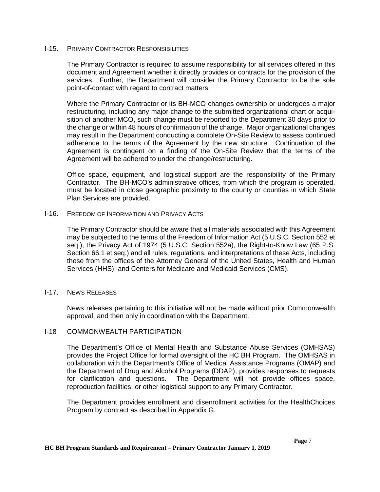#### <span id="page-31-0"></span>I-15. PRIMARY CONTRACTOR RESPONSIBILITIES

The Primary Contractor is required to assume responsibility for all services offered in this document and Agreement whether it directly provides or contracts for the provision of the services. Further, the Department will consider the Primary Contractor to be the sole point-of-contact with regard to contract matters.

Where the Primary Contractor or its BH-MCO changes ownership or undergoes a major restructuring, including any major change to the submitted organizational chart or acquisition of another MCO, such change must be reported to the Department 30 days prior to the change or within 48 hours of confirmation of the change. Major organizational changes may result in the Department conducting a complete On-Site Review to assess continued adherence to the terms of the Agreement by the new structure. Continuation of the Agreement is contingent on a finding of the On-Site Review that the terms of the Agreement will be adhered to under the change/restructuring.

Office space, equipment, and logistical support are the responsibility of the Primary Contractor. The BH-MCO's administrative offices, from which the program is operated, must be located in close geographic proximity to the county or counties in which State Plan Services are provided.

#### I-16. FREEDOM OF INFORMATION AND PRIVACY ACTS

The Primary Contractor should be aware that all materials associated with this Agreement may be subjected to the terms of the Freedom of Information Act (5 U.S.C. Section 552 et seq.), the Privacy Act of 1974 (5 U.S.C. Section 552a), the Right-to-Know Law (65 P.S. Section 66.1 et seq.) and all rules, regulations, and interpretations of these Acts, including those from the offices of the Attorney General of the United States, Health and Human Services (HHS), and Centers for Medicare and Medicaid Services (CMS).

#### I-17. NEWS RELEASES

<span id="page-31-1"></span>News releases pertaining to this initiative will not be made without prior Commonwealth approval, and then only in coordination with the Department.

#### I-18 COMMONWEALTH PARTICIPATION

The Department's Office of Mental Health and Substance Abuse Services (OMHSAS) provides the Project Office for formal oversight of the HC BH Program. The OMHSAS in collaboration with the Department's Office of Medical Assistance Programs (OMAP) and the Department of Drug and Alcohol Programs (DDAP), provides responses to requests for clarification and questions. The Department will not provide offices space, reproduction facilities, or other logistical support to any Primary Contractor.

The Department provides enrollment and disenrollment activities for the HealthChoices Program by contract as described in Appendix G.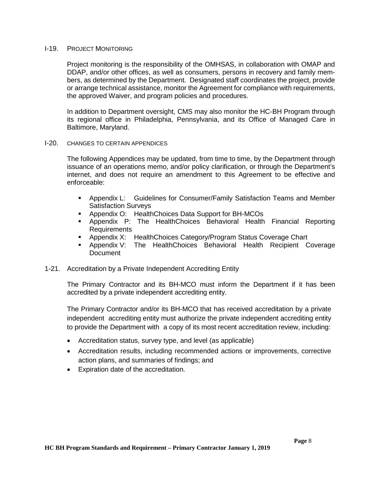#### <span id="page-32-0"></span>I-19. PROJECT MONITORING

Project monitoring is the responsibility of the OMHSAS, in collaboration with OMAP and DDAP, and/or other offices, as well as consumers, persons in recovery and family members, as determined by the Department. Designated staff coordinates the project, provide or arrange technical assistance, monitor the Agreement for compliance with requirements, the approved Waiver, and program policies and procedures.

In addition to Department oversight, CMS may also monitor the HC-BH Program through its regional office in Philadelphia, Pennsylvania, and its Office of Managed Care in Baltimore, Maryland.

#### <span id="page-32-1"></span>I-20. CHANGES TO CERTAIN APPENDICES

The following Appendices may be updated, from time to time, by the Department through issuance of an operations memo, and/or policy clarification, or through the Department's internet, and does not require an amendment to this Agreement to be effective and enforceable:

- Appendix L: Guidelines for Consumer/Family Satisfaction Teams and Member Satisfaction Surveys
- Appendix O: HealthChoices Data Support for BH-MCOs
- Appendix P: The HealthChoices Behavioral Health Financial Reporting **Requirements**
- Appendix X: HealthChoices Category/Program Status Coverage Chart
- Appendix V: The HealthChoices Behavioral Health Recipient Coverage **Document**
- 1-21. Accreditation by a Private Independent Accrediting Entity

The Primary Contractor and its BH-MCO must inform the Department if it has been accredited by a private independent accrediting entity.

The Primary Contractor and/or its BH-MCO that has received accreditation by a private independent accrediting entity must authorize the private independent accrediting entity to provide the Department with a copy of its most recent accreditation review, including:

- Accreditation status, survey type, and level (as applicable)
- Accreditation results, including recommended actions or improvements, corrective action plans, and summaries of findings; and
- Expiration date of the accreditation.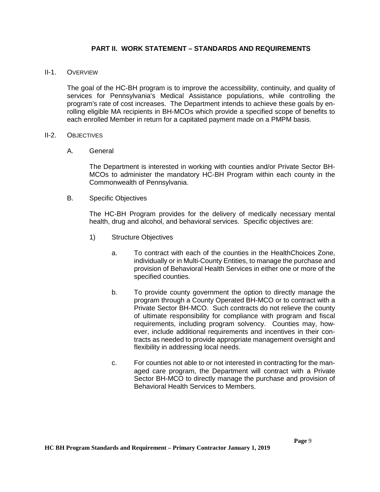#### **PART II. WORK STATEMENT – STANDARDS AND REQUIREMENTS**

#### <span id="page-33-0"></span>II-1. OVERVIEW

The goal of the HC-BH program is to improve the accessibility, continuity, and quality of services for Pennsylvania's Medical Assistance populations, while controlling the program's rate of cost increases. The Department intends to achieve these goals by enrolling eligible MA recipients in BH-MCOs which provide a specified scope of benefits to each enrolled Member in return for a capitated payment made on a PMPM basis.

#### II-2. OBJECTIVES

A. General

The Department is interested in working with counties and/or Private Sector BH-MCOs to administer the mandatory HC-BH Program within each county in the Commonwealth of Pennsylvania.

B. Specific Objectives

The HC-BH Program provides for the delivery of medically necessary mental health, drug and alcohol, and behavioral services. Specific objectives are:

- 1) Structure Objectives
	- a. To contract with each of the counties in the HealthChoices Zone, individually or in Multi-County Entities, to manage the purchase and provision of Behavioral Health Services in either one or more of the specified counties.
	- b. To provide county government the option to directly manage the program through a County Operated BH-MCO or to contract with a Private Sector BH-MCO. Such contracts do not relieve the county of ultimate responsibility for compliance with program and fiscal requirements, including program solvency. Counties may, however, include additional requirements and incentives in their contracts as needed to provide appropriate management oversight and flexibility in addressing local needs.
	- c. For counties not able to or not interested in contracting for the managed care program, the Department will contract with a Private Sector BH-MCO to directly manage the purchase and provision of Behavioral Health Services to Members.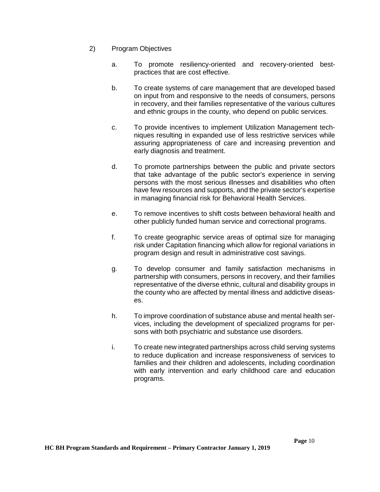- 2) Program Objectives
	- a. To promote resiliency-oriented and recovery-oriented bestpractices that are cost effective.
	- b. To create systems of care management that are developed based on input from and responsive to the needs of consumers, persons in recovery, and their families representative of the various cultures and ethnic groups in the county, who depend on public services.
	- c. To provide incentives to implement Utilization Management techniques resulting in expanded use of less restrictive services while assuring appropriateness of care and increasing prevention and early diagnosis and treatment.
	- d. To promote partnerships between the public and private sectors that take advantage of the public sector's experience in serving persons with the most serious illnesses and disabilities who often have few resources and supports, and the private sector's expertise in managing financial risk for Behavioral Health Services.
	- e. To remove incentives to shift costs between behavioral health and other publicly funded human service and correctional programs.
	- f. To create geographic service areas of optimal size for managing risk under Capitation financing which allow for regional variations in program design and result in administrative cost savings.
	- g. To develop consumer and family satisfaction mechanisms in partnership with consumers, persons in recovery, and their families representative of the diverse ethnic, cultural and disability groups in the county who are affected by mental illness and addictive diseases.
	- h. To improve coordination of substance abuse and mental health services, including the development of specialized programs for persons with both psychiatric and substance use disorders.
	- i. To create new integrated partnerships across child serving systems to reduce duplication and increase responsiveness of services to families and their children and adolescents, including coordination with early intervention and early childhood care and education programs.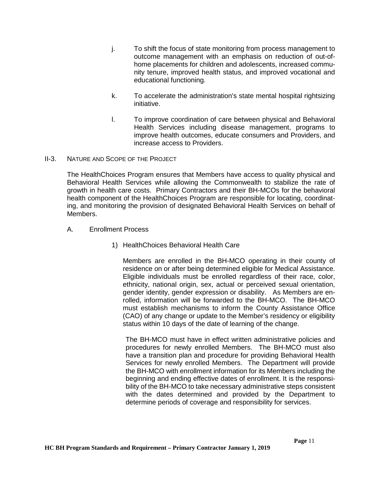- j. To shift the focus of state monitoring from process management to outcome management with an emphasis on reduction of out-ofhome placements for children and adolescents, increased community tenure, improved health status, and improved vocational and educational functioning.
- k. To accelerate the administration's state mental hospital rightsizing initiative.
- l. To improve coordination of care between physical and Behavioral Health Services including disease management, programs to improve health outcomes, educate consumers and Providers, and increase access to Providers.
- <span id="page-35-0"></span>II-3. NATURE AND SCOPE OF THE PROJECT

The HealthChoices Program ensures that Members have access to quality physical and Behavioral Health Services while allowing the Commonwealth to stabilize the rate of growth in health care costs. Primary Contractors and their BH-MCOs for the behavioral health component of the HealthChoices Program are responsible for locating, coordinating, and monitoring the provision of designated Behavioral Health Services on behalf of Members.

- A. Enrollment Process
	- 1) HealthChoices Behavioral Health Care

Members are enrolled in the BH-MCO operating in their county of residence on or after being determined eligible for Medical Assistance. Eligible individuals must be enrolled regardless of their race, color, ethnicity, national origin, sex, actual or perceived sexual orientation, gender identity, gender expression or disability. As Members are enrolled, information will be forwarded to the BH-MCO. The BH-MCO must establish mechanisms to inform the County Assistance Office (CAO) of any change or update to the Member's residency or eligibility status within 10 days of the date of learning of the change.

The BH-MCO must have in effect written administrative policies and procedures for newly enrolled Members. The BH-MCO must also have a transition plan and procedure for providing Behavioral Health Services for newly enrolled Members. The Department will provide the BH-MCO with enrollment information for its Members including the beginning and ending effective dates of enrollment. It is the responsibility of the BH-MCO to take necessary administrative steps consistent with the dates determined and provided by the Department to determine periods of coverage and responsibility for services.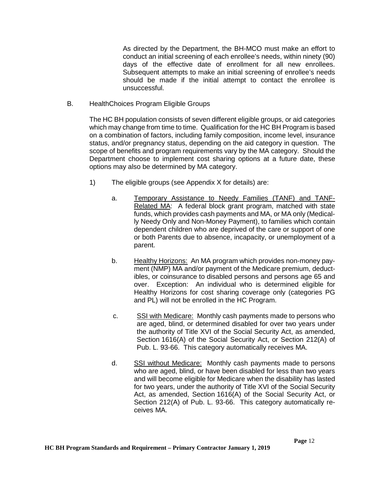As directed by the Department, the BH-MCO must make an effort to conduct an initial screening of each enrollee's needs, within ninety (90) days of the effective date of enrollment for all new enrollees. Subsequent attempts to make an initial screening of enrollee's needs should be made if the initial attempt to contact the enrollee is unsuccessful.

B. HealthChoices Program Eligible Groups

The HC BH population consists of seven different eligible groups, or aid categories which may change from time to time. Qualification for the HC BH Program is based on a combination of factors, including family composition, income level, insurance status, and/or pregnancy status, depending on the aid category in question. The scope of benefits and program requirements vary by the MA category. Should the Department choose to implement cost sharing options at a future date, these options may also be determined by MA category.

- 1) The eligible groups (see Appendix X for details) are:
	- a. Temporary Assistance to Needy Families (TANF) and TANF-Related MA: A federal block grant program, matched with state funds, which provides cash payments and MA, or MA only (Medically Needy Only and Non-Money Payment), to families which contain dependent children who are deprived of the care or support of one or both Parents due to absence, incapacity, or unemployment of a parent.
	- b. Healthy Horizons: An MA program which provides non-money payment (NMP) MA and/or payment of the Medicare premium, deductibles, or coinsurance to disabled persons and persons age 65 and over. Exception: An individual who is determined eligible for Healthy Horizons for cost sharing coverage only (categories PG and PL) will not be enrolled in the HC Program.
	- c. SSI with Medicare: Monthly cash payments made to persons who are aged, blind, or determined disabled for over two years under the authority of Title XVI of the Social Security Act, as amended, Section 1616(A) of the Social Security Act, or Section 212(A) of Pub. L. 93-66. This category automatically receives MA.
	- d. SSI without Medicare: Monthly cash payments made to persons who are aged, blind, or have been disabled for less than two years and will become eligible for Medicare when the disability has lasted for two years, under the authority of Title XVI of the Social Security Act, as amended, Section 1616(A) of the Social Security Act, or Section 212(A) of Pub. L. 93-66. This category automatically receives MA.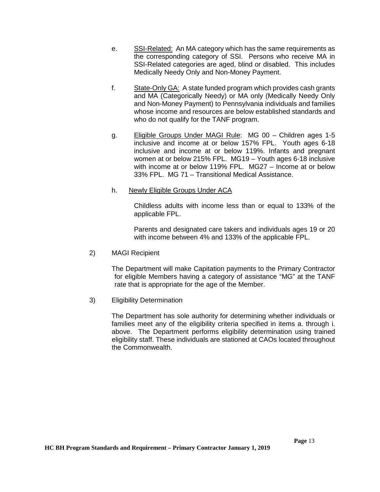- e. SSI-Related: An MA category which has the same requirements as the corresponding category of SSI. Persons who receive MA in SSI-Related categories are aged, blind or disabled. This includes Medically Needy Only and Non-Money Payment.
- f. State-Only GA: A state funded program which provides cash grants and MA (Categorically Needy) or MA only (Medically Needy Only and Non-Money Payment) to Pennsylvania individuals and families whose income and resources are below established standards and who do not qualify for the TANF program.
- g. Eligible Groups Under MAGI Rule: MG 00 Children ages 1-5 inclusive and income at or below 157% FPL. Youth ages 6-18 inclusive and income at or below 119%. Infants and pregnant women at or below 215% FPL. MG19 – Youth ages 6-18 inclusive with income at or below 119% FPL. MG27 – Income at or below 33% FPL. MG 71 – Transitional Medical Assistance.
- h. Newly Eligible Groups Under ACA

Childless adults with income less than or equal to 133% of the applicable FPL.

Parents and designated care takers and individuals ages 19 or 20 with income between 4% and 133% of the applicable FPL.

2) MAGI Recipient

The Department will make Capitation payments to the Primary Contractor for eligible Members having a category of assistance "MG" at the TANF rate that is appropriate for the age of the Member.

3) Eligibility Determination

The Department has sole authority for determining whether individuals or families meet any of the eligibility criteria specified in items a. through i. above. The Department performs eligibility determination using trained eligibility staff. These individuals are stationed at CAOs located throughout the Commonwealth.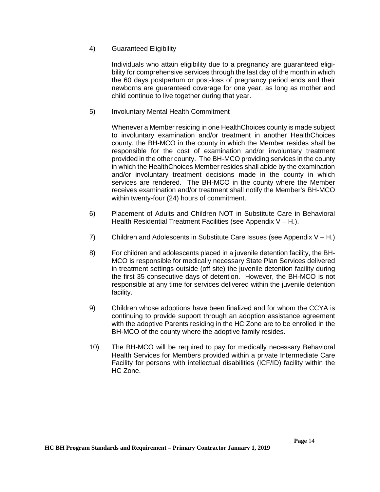# 4) Guaranteed Eligibility

Individuals who attain eligibility due to a pregnancy are guaranteed eligibility for comprehensive services through the last day of the month in which the 60 days postpartum or post-loss of pregnancy period ends and their newborns are guaranteed coverage for one year, as long as mother and child continue to live together during that year.

# 5) Involuntary Mental Health Commitment

Whenever a Member residing in one HealthChoices county is made subject to involuntary examination and/or treatment in another HealthChoices county, the BH-MCO in the county in which the Member resides shall be responsible for the cost of examination and/or involuntary treatment provided in the other county. The BH-MCO providing services in the county in which the HealthChoices Member resides shall abide by the examination and/or involuntary treatment decisions made in the county in which services are rendered. The BH-MCO in the county where the Member receives examination and/or treatment shall notify the Member's BH-MCO within twenty-four (24) hours of commitment.

- 6) Placement of Adults and Children NOT in Substitute Care in Behavioral Health Residential Treatment Facilities (see Appendix  $V - H$ .).
- 7) Children and Adolescents in Substitute Care Issues (see Appendix  $V H$ .)
- 8) For children and adolescents placed in a juvenile detention facility, the BH-MCO is responsible for medically necessary State Plan Services delivered in treatment settings outside (off site) the juvenile detention facility during the first 35 consecutive days of detention. However, the BH-MCO is not responsible at any time for services delivered within the juvenile detention facility.
- 9) Children whose adoptions have been finalized and for whom the CCYA is continuing to provide support through an adoption assistance agreement with the adoptive Parents residing in the HC Zone are to be enrolled in the BH-MCO of the county where the adoptive family resides.
- 10) The BH-MCO will be required to pay for medically necessary Behavioral Health Services for Members provided within a private Intermediate Care Facility for persons with intellectual disabilities (ICF/ID) facility within the HC Zone.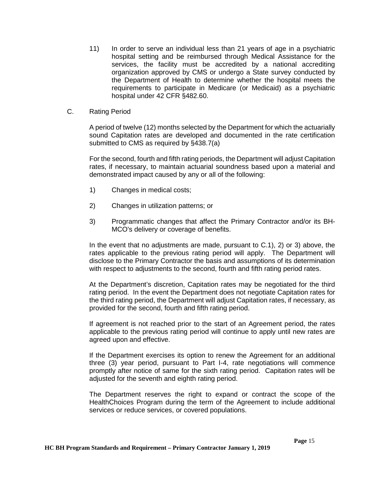- 11) In order to serve an individual less than 21 years of age in a psychiatric hospital setting and be reimbursed through Medical Assistance for the services, the facility must be accredited by a national accrediting organization approved by CMS or undergo a State survey conducted by the Department of Health to determine whether the hospital meets the requirements to participate in Medicare (or Medicaid) as a psychiatric hospital under 42 CFR §482.60.
- C. Rating Period

A period of twelve (12) months selected by the Department for which the actuarially sound Capitation rates are developed and documented in the rate certification submitted to CMS as required by §438.7(a)

For the second, fourth and fifth rating periods, the Department will adjust Capitation rates, if necessary, to maintain actuarial soundness based upon a material and demonstrated impact caused by any or all of the following:

- 1) Changes in medical costs;
- 2) Changes in utilization patterns; or
- 3) Programmatic changes that affect the Primary Contractor and/or its BH-MCO's delivery or coverage of benefits.

In the event that no adjustments are made, pursuant to C.1), 2) or 3) above, the rates applicable to the previous rating period will apply. The Department will disclose to the Primary Contractor the basis and assumptions of its determination with respect to adjustments to the second, fourth and fifth rating period rates.

At the Department's discretion, Capitation rates may be negotiated for the third rating period. In the event the Department does not negotiate Capitation rates for the third rating period, the Department will adjust Capitation rates, if necessary, as provided for the second, fourth and fifth rating period.

If agreement is not reached prior to the start of an Agreement period, the rates applicable to the previous rating period will continue to apply until new rates are agreed upon and effective.

If the Department exercises its option to renew the Agreement for an additional three (3) year period, pursuant to Part I-4, rate negotiations will commence promptly after notice of same for the sixth rating period. Capitation rates will be adjusted for the seventh and eighth rating period.

The Department reserves the right to expand or contract the scope of the HealthChoices Program during the term of the Agreement to include additional services or reduce services, or covered populations.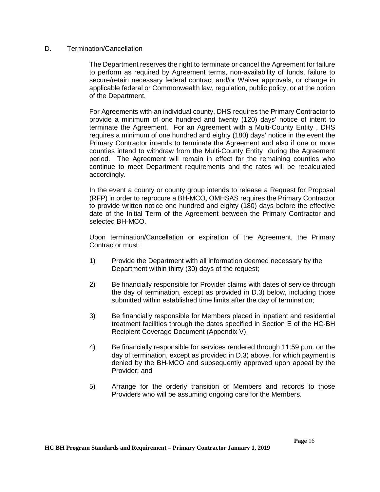## D. Termination/Cancellation

The Department reserves the right to terminate or cancel the Agreement for failure to perform as required by Agreement terms, non-availability of funds, failure to secure/retain necessary federal contract and/or Waiver approvals, or change in applicable federal or Commonwealth law, regulation, public policy, or at the option of the Department.

For Agreements with an individual county, DHS requires the Primary Contractor to provide a minimum of one hundred and twenty (120) days' notice of intent to terminate the Agreement. For an Agreement with a Multi-County Entity , DHS requires a minimum of one hundred and eighty (180) days' notice in the event the Primary Contractor intends to terminate the Agreement and also if one or more counties intend to withdraw from the Multi-County Entity during the Agreement period. The Agreement will remain in effect for the remaining counties who continue to meet Department requirements and the rates will be recalculated accordingly.

In the event a county or county group intends to release a Request for Proposal (RFP) in order to reprocure a BH-MCO, OMHSAS requires the Primary Contractor to provide written notice one hundred and eighty (180) days before the effective date of the Initial Term of the Agreement between the Primary Contractor and selected BH-MCO.

Upon termination/Cancellation or expiration of the Agreement, the Primary Contractor must:

- 1) Provide the Department with all information deemed necessary by the Department within thirty (30) days of the request;
- 2) Be financially responsible for Provider claims with dates of service through the day of termination, except as provided in D.3) below, including those submitted within established time limits after the day of termination;
- 3) Be financially responsible for Members placed in inpatient and residential treatment facilities through the dates specified in Section E of the HC-BH Recipient Coverage Document (Appendix V).
- 4) Be financially responsible for services rendered through 11:59 p.m. on the day of termination, except as provided in D.3) above, for which payment is denied by the BH-MCO and subsequently approved upon appeal by the Provider; and
- 5) Arrange for the orderly transition of Members and records to those Providers who will be assuming ongoing care for the Members.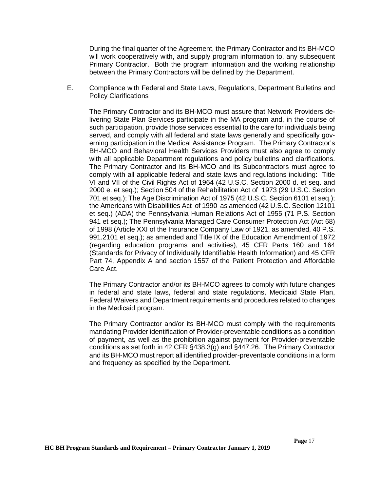During the final quarter of the Agreement, the Primary Contractor and its BH-MCO will work cooperatively with, and supply program information to, any subsequent Primary Contractor. Both the program information and the working relationship between the Primary Contractors will be defined by the Department.

E. Compliance with Federal and State Laws, Regulations, Department Bulletins and Policy Clarifications

The Primary Contractor and its BH-MCO must assure that Network Providers delivering State Plan Services participate in the MA program and, in the course of such participation, provide those services essential to the care for individuals being served, and comply with all federal and state laws generally and specifically governing participation in the Medical Assistance Program. The Primary Contractor's BH-MCO and Behavioral Health Services Providers must also agree to comply with all applicable Department regulations and policy bulletins and clarifications. The Primary Contractor and its BH-MCO and its Subcontractors must agree to comply with all applicable federal and state laws and regulations including: Title VI and VII of the Civil Rights Act of 1964 (42 U.S.C. Section 2000 d. et seq. and 2000 e. et seq.); Section 504 of the Rehabilitation Act of 1973 (29 U.S.C. Section 701 et seq.); The Age Discrimination Act of 1975 (42 U.S.C. Section 6101 et seq.); the Americans with Disabilities Act of 1990 as amended (42 U.S.C. Section 12101 et seq.) (ADA) the Pennsylvania Human Relations Act of 1955 (71 P.S. Section 941 et seq.); The Pennsylvania Managed Care Consumer Protection Act (Act 68) of 1998 (Article XXI of the Insurance Company Law of 1921, as amended, 40 P.S. 991.2101 et seq.); as amended and Title IX of the Education Amendment of 1972 (regarding education programs and activities), 45 CFR Parts 160 and 164 (Standards for Privacy of Individually Identifiable Health Information) and 45 CFR Part 74, Appendix A and section 1557 of the Patient Protection and Affordable Care Act.

The Primary Contractor and/or its BH-MCO agrees to comply with future changes in federal and state laws, federal and state regulations, Medicaid State Plan, Federal Waivers and Department requirements and procedures related to changes in the Medicaid program.

The Primary Contractor and/or its BH-MCO must comply with the requirements mandating Provider identification of Provider-preventable conditions as a condition of payment, as well as the prohibition against payment for Provider-preventable conditions as set forth in 42 CFR §438.3(g) and §447.26. The Primary Contractor and its BH-MCO must report all identified provider-preventable conditions in a form and frequency as specified by the Department.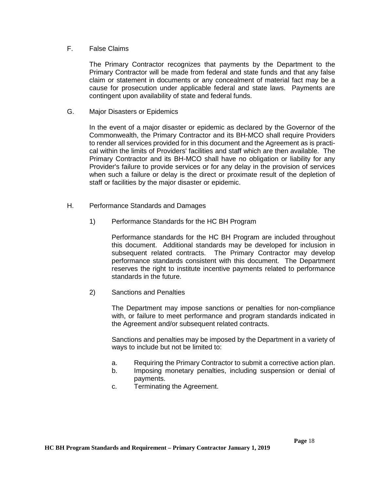### F. False Claims

The Primary Contractor recognizes that payments by the Department to the Primary Contractor will be made from federal and state funds and that any false claim or statement in documents or any concealment of material fact may be a cause for prosecution under applicable federal and state laws. Payments are contingent upon availability of state and federal funds.

G. Major Disasters or Epidemics

In the event of a major disaster or epidemic as declared by the Governor of the Commonwealth, the Primary Contractor and its BH-MCO shall require Providers to render all services provided for in this document and the Agreement as is practical within the limits of Providers' facilities and staff which are then available. The Primary Contractor and its BH-MCO shall have no obligation or liability for any Provider's failure to provide services or for any delay in the provision of services when such a failure or delay is the direct or proximate result of the depletion of staff or facilities by the major disaster or epidemic.

- H. Performance Standards and Damages
	- 1) Performance Standards for the HC BH Program

Performance standards for the HC BH Program are included throughout this document. Additional standards may be developed for inclusion in subsequent related contracts. The Primary Contractor may develop performance standards consistent with this document. The Department reserves the right to institute incentive payments related to performance standards in the future.

2) Sanctions and Penalties

The Department may impose sanctions or penalties for non-compliance with, or failure to meet performance and program standards indicated in the Agreement and/or subsequent related contracts.

Sanctions and penalties may be imposed by the Department in a variety of ways to include but not be limited to:

- a. Requiring the Primary Contractor to submit a corrective action plan.
- b. Imposing monetary penalties, including suspension or denial of payments.
- c. Terminating the Agreement.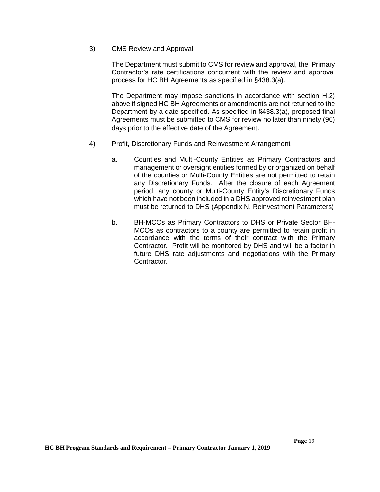## 3) CMS Review and Approval

The Department must submit to CMS for review and approval, the Primary Contractor's rate certifications concurrent with the review and approval process for HC BH Agreements as specified in §438.3(a).

The Department may impose sanctions in accordance with section H.2) above if signed HC BH Agreements or amendments are not returned to the Department by a date specified. As specified in §438.3(a), proposed final Agreements must be submitted to CMS for review no later than ninety (90) days prior to the effective date of the Agreement.

- 4) Profit, Discretionary Funds and Reinvestment Arrangement
	- a. Counties and Multi-County Entities as Primary Contractors and management or oversight entities formed by or organized on behalf of the counties or Multi-County Entities are not permitted to retain any Discretionary Funds. After the closure of each Agreement period, any county or Multi-County Entity's Discretionary Funds which have not been included in a DHS approved reinvestment plan must be returned to DHS (Appendix N, Reinvestment Parameters)
	- b. BH-MCOs as Primary Contractors to DHS or Private Sector BH-MCOs as contractors to a county are permitted to retain profit in accordance with the terms of their contract with the Primary Contractor. Profit will be monitored by DHS and will be a factor in future DHS rate adjustments and negotiations with the Primary Contractor.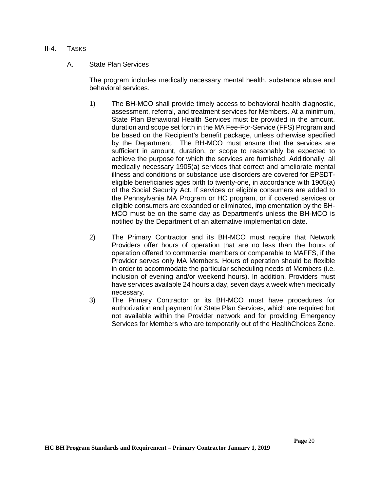### II-4. TASKS

## A. State Plan Services

The program includes medically necessary mental health, substance abuse and behavioral services.

- 1) The BH-MCO shall provide timely access to behavioral health diagnostic, assessment, referral, and treatment services for Members. At a minimum, State Plan Behavioral Health Services must be provided in the amount, duration and scope set forth in the MA Fee-For-Service (FFS) Program and be based on the Recipient's benefit package, unless otherwise specified by the Department. The BH-MCO must ensure that the services are sufficient in amount, duration, or scope to reasonably be expected to achieve the purpose for which the services are furnished. Additionally, all medically necessary 1905(a) services that correct and ameliorate mental illness and conditions or substance use disorders are covered for EPSDTeligible beneficiaries ages birth to twenty-one, in accordance with 1905(a) of the Social Security Act. If services or eligible consumers are added to the Pennsylvania MA Program or HC program, or if covered services or eligible consumers are expanded or eliminated, implementation by the BH-MCO must be on the same day as Department's unless the BH-MCO is notified by the Department of an alternative implementation date.
- 2) The Primary Contractor and its BH-MCO must require that Network Providers offer hours of operation that are no less than the hours of operation offered to commercial members or comparable to MAFFS, if the Provider serves only MA Members. Hours of operation should be flexible in order to accommodate the particular scheduling needs of Members (i.e. inclusion of evening and/or weekend hours). In addition, Providers must have services available 24 hours a day, seven days a week when medically necessary.
- 3) The Primary Contractor or its BH-MCO must have procedures for authorization and payment for State Plan Services, which are required but not available within the Provider network and for providing Emergency Services for Members who are temporarily out of the HealthChoices Zone.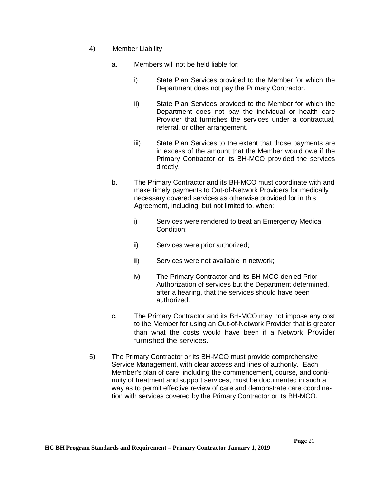- 4) Member Liability
	- a. Members will not be held liable for:
		- i) State Plan Services provided to the Member for which the Department does not pay the Primary Contractor.
		- ii) State Plan Services provided to the Member for which the Department does not pay the individual or health care Provider that furnishes the services under a contractual, referral, or other arrangement.
		- iii) State Plan Services to the extent that those payments are in excess of the amount that the Member would owe if the Primary Contractor or its BH-MCO provided the services directly.
	- b. The Primary Contractor and its BH-MCO must coordinate with and make timely payments to Out-of-Network Providers for medically necessary covered services as otherwise provided for in this Agreement, including, but not limited to, when:
		- i) Services were rendered to treat an Emergency Medical Condition;
		- ii) Services were prior authorized;
		- iii) Services were not available in network;
		- iv) The Primary Contractor and its BH-MCO denied Prior Authorization of services but the Department determined, after a hearing, that the services should have been authorized.
	- c. The Primary Contractor and its BH-MCO may not impose any cost to the Member for using an Out-of-Network Provider that is greater than what the costs would have been if a Network Provider furnished the services.
- 5) The Primary Contractor or its BH-MCO must provide comprehensive Service Management, with clear access and lines of authority. Each Member's plan of care, including the commencement, course, and continuity of treatment and support services, must be documented in such a way as to permit effective review of care and demonstrate care coordination with services covered by the Primary Contractor or its BH-MCO.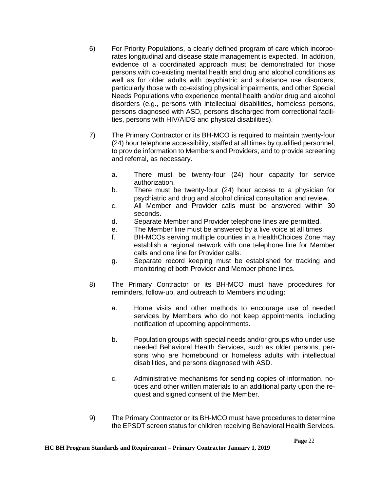- 6) For Priority Populations, a clearly defined program of care which incorporates longitudinal and disease state management is expected. In addition, evidence of a coordinated approach must be demonstrated for those persons with co-existing mental health and drug and alcohol conditions as well as for older adults with psychiatric and substance use disorders, particularly those with co-existing physical impairments, and other Special Needs Populations who experience mental health and/or drug and alcohol disorders (e.g., persons with intellectual disabilities, homeless persons, persons diagnosed with ASD, persons discharged from correctional facilities, persons with HIV/AIDS and physical disabilities).
- 7) The Primary Contractor or its BH-MCO is required to maintain twenty-four (24) hour telephone accessibility, staffed at all times by qualified personnel, to provide information to Members and Providers, and to provide screening and referral, as necessary.
	- a. There must be twenty-four (24) hour capacity for service authorization.
	- b. There must be twenty-four (24) hour access to a physician for psychiatric and drug and alcohol clinical consultation and review.
	- c. All Member and Provider calls must be answered within 30 seconds.
	- d. Separate Member and Provider telephone lines are permitted.
	- e. The Member line must be answered by a live voice at all times.
	- f. BH-MCOs serving multiple counties in a HealthChoices Zone may establish a regional network with one telephone line for Member calls and one line for Provider calls.
	- g. Separate record keeping must be established for tracking and monitoring of both Provider and Member phone lines.
- 8) The Primary Contractor or its BH-MCO must have procedures for reminders, follow-up, and outreach to Members including:
	- a. Home visits and other methods to encourage use of needed services by Members who do not keep appointments, including notification of upcoming appointments.
	- b. Population groups with special needs and/or groups who under use needed Behavioral Health Services, such as older persons, persons who are homebound or homeless adults with intellectual disabilities, and persons diagnosed with ASD.
	- c. Administrative mechanisms for sending copies of information, notices and other written materials to an additional party upon the request and signed consent of the Member.
- 9) The Primary Contractor or its BH-MCO must have procedures to determine the EPSDT screen status for children receiving Behavioral Health Services.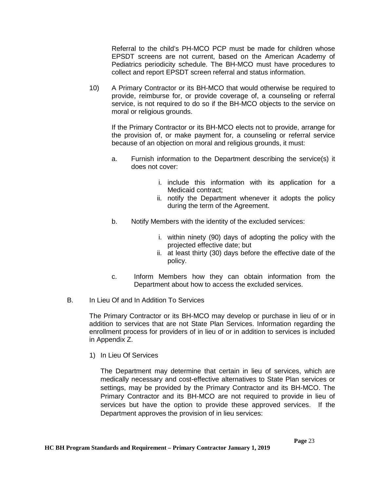Referral to the child's PH-MCO PCP must be made for children whose EPSDT screens are not current, based on the American Academy of Pediatrics periodicity schedule. The BH-MCO must have procedures to collect and report EPSDT screen referral and status information.

10) A Primary Contractor or its BH-MCO that would otherwise be required to provide, reimburse for, or provide coverage of, a counseling or referral service, is not required to do so if the BH-MCO objects to the service on moral or religious grounds.

If the Primary Contractor or its BH-MCO elects not to provide, arrange for the provision of, or make payment for, a counseling or referral service because of an objection on moral and religious grounds, it must:

- a. Furnish information to the Department describing the service(s) it does not cover:
	- i. include this information with its application for a Medicaid contract;
	- ii. notify the Department whenever it adopts the policy during the term of the Agreement.
- b. Notify Members with the identity of the excluded services:
	- i. within ninety (90) days of adopting the policy with the projected effective date; but
	- ii. at least thirty (30) days before the effective date of the policy.
- c. Inform Members how they can obtain information from the Department about how to access the excluded services.
- B. In Lieu Of and In Addition To Services

The Primary Contractor or its BH-MCO may develop or purchase in lieu of or in addition to services that are not State Plan Services. Information regarding the enrollment process for providers of in lieu of or in addition to services is included in Appendix Z.

1) In Lieu Of Services

The Department may determine that certain in lieu of services, which are medically necessary and cost-effective alternatives to State Plan services or settings, may be provided by the Primary Contractor and its BH-MCO. The Primary Contractor and its BH-MCO are not required to provide in lieu of services but have the option to provide these approved services. If the Department approves the provision of in lieu services: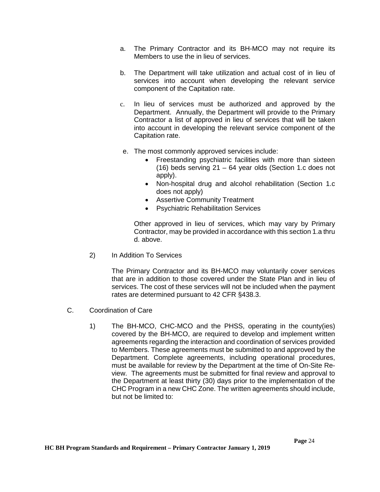- a. The Primary Contractor and its BH-MCO may not require its Members to use the in lieu of services.
- b. The Department will take utilization and actual cost of in lieu of services into account when developing the relevant service component of the Capitation rate.
- c. In lieu of services must be authorized and approved by the Department. Annually, the Department will provide to the Primary Contractor a list of approved in lieu of services that will be taken into account in developing the relevant service component of the Capitation rate.
- e. The most commonly approved services include:
	- Freestanding psychiatric facilities with more than sixteen (16) beds serving 21 – 64 year olds (Section 1.c does not apply).
	- Non-hospital drug and alcohol rehabilitation (Section 1.c does not apply)
	- Assertive Community Treatment
	- Psychiatric Rehabilitation Services

Other approved in lieu of services, which may vary by Primary Contractor, may be provided in accordance with this section 1.a thru d. above.

2) In Addition To Services

The Primary Contractor and its BH-MCO may voluntarily cover services that are in addition to those covered under the State Plan and in lieu of services. The cost of these services will not be included when the payment rates are determined pursuant to 42 CFR §438.3.

- C. Coordination of Care
	- 1) The BH-MCO, CHC-MCO and the PHSS, operating in the county(ies) covered by the BH-MCO, are required to develop and implement written agreements regarding the interaction and coordination of services provided to Members. These agreements must be submitted to and approved by the Department. Complete agreements, including operational procedures, must be available for review by the Department at the time of On-Site Review. The agreements must be submitted for final review and approval to the Department at least thirty (30) days prior to the implementation of the CHC Program in a new CHC Zone. The written agreements should include, but not be limited to: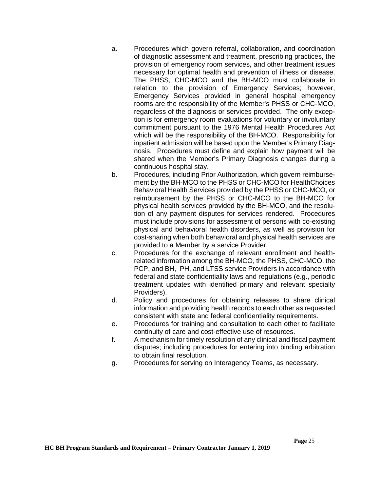- a. Procedures which govern referral, collaboration, and coordination of diagnostic assessment and treatment, prescribing practices, the provision of emergency room services, and other treatment issues necessary for optimal health and prevention of illness or disease. The PHSS, CHC-MCO and the BH-MCO must collaborate in relation to the provision of Emergency Services; however, Emergency Services provided in general hospital emergency rooms are the responsibility of the Member's PHSS or CHC-MCO, regardless of the diagnosis or services provided. The only exception is for emergency room evaluations for voluntary or involuntary commitment pursuant to the 1976 Mental Health Procedures Act which will be the responsibility of the BH-MCO. Responsibility for inpatient admission will be based upon the Member's Primary Diagnosis. Procedures must define and explain how payment will be shared when the Member's Primary Diagnosis changes during a continuous hospital stay.
- b. Procedures, including Prior Authorization, which govern reimbursement by the BH-MCO to the PHSS or CHC-MCO for HealthChoices Behavioral Health Services provided by the PHSS or CHC-MCO, or reimbursement by the PHSS or CHC-MCO to the BH-MCO for physical health services provided by the BH-MCO, and the resolution of any payment disputes for services rendered. Procedures must include provisions for assessment of persons with co-existing physical and behavioral health disorders, as well as provision for cost-sharing when both behavioral and physical health services are provided to a Member by a service Provider.
- c. Procedures for the exchange of relevant enrollment and healthrelated information among the BH-MCO, the PHSS, CHC-MCO, the PCP, and BH, PH, and LTSS service Providers in accordance with federal and state confidentiality laws and regulations (e.g., periodic treatment updates with identified primary and relevant specialty Providers).
- d. Policy and procedures for obtaining releases to share clinical information and providing health records to each other as requested consistent with state and federal confidentiality requirements.
- e. Procedures for training and consultation to each other to facilitate continuity of care and cost-effective use of resources.
- f. A mechanism for timely resolution of any clinical and fiscal payment disputes; including procedures for entering into binding arbitration to obtain final resolution.
- g. Procedures for serving on Interagency Teams, as necessary.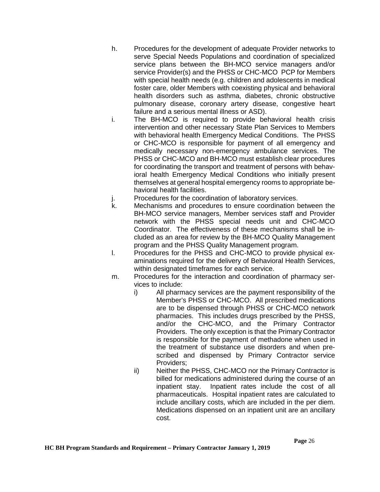- h. Procedures for the development of adequate Provider networks to serve Special Needs Populations and coordination of specialized service plans between the BH-MCO service managers and/or service Provider(s) and the PHSS or CHC-MCO PCP for Members with special health needs (e.g. children and adolescents in medical foster care, older Members with coexisting physical and behavioral health disorders such as asthma, diabetes, chronic obstructive pulmonary disease, coronary artery disease, congestive heart failure and a serious mental illness or ASD).
- i. The BH-MCO is required to provide behavioral health crisis intervention and other necessary State Plan Services to Members with behavioral health Emergency Medical Conditions. The PHSS or CHC-MCO is responsible for payment of all emergency and medically necessary non-emergency ambulance services. The PHSS or CHC-MCO and BH-MCO must establish clear procedures for coordinating the transport and treatment of persons with behavioral health Emergency Medical Conditions who initially present themselves at general hospital emergency rooms to appropriate behavioral health facilities.
- j. Procedures for the coordination of laboratory services.
- k. Mechanisms and procedures to ensure coordination between the BH-MCO service managers, Member services staff and Provider network with the PHSS special needs unit and CHC-MCO Coordinator. The effectiveness of these mechanisms shall be included as an area for review by the BH-MCO Quality Management program and the PHSS Quality Management program.
- l. Procedures for the PHSS and CHC-MCO to provide physical examinations required for the delivery of Behavioral Health Services, within designated timeframes for each service.
- m. Procedures for the interaction and coordination of pharmacy services to include:
	- i) All pharmacy services are the payment responsibility of the Member's PHSS or CHC-MCO. All prescribed medications are to be dispensed through PHSS or CHC-MCO network pharmacies. This includes drugs prescribed by the PHSS, and/or the CHC-MCO, and the Primary Contractor Providers. The only exception is that the Primary Contractor is responsible for the payment of methadone when used in the treatment of substance use disorders and when prescribed and dispensed by Primary Contractor service Providers;
	- ii) Neither the PHSS, CHC-MCO nor the Primary Contractor is billed for medications administered during the course of an inpatient stay. Inpatient rates include the cost of all pharmaceuticals. Hospital inpatient rates are calculated to include ancillary costs, which are included in the per diem. Medications dispensed on an inpatient unit are an ancillary cost.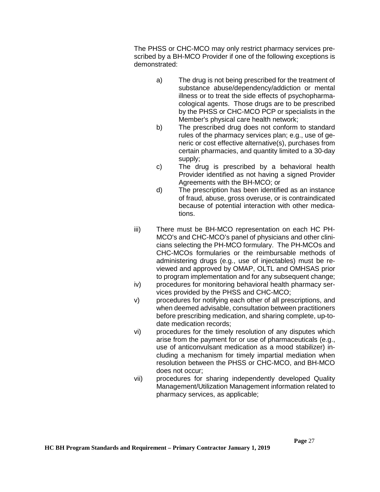The PHSS or CHC-MCO may only restrict pharmacy services prescribed by a BH-MCO Provider if one of the following exceptions is demonstrated:

- a) The drug is not being prescribed for the treatment of substance abuse/dependency/addiction or mental illness or to treat the side effects of psychopharmacological agents. Those drugs are to be prescribed by the PHSS or CHC-MCO PCP or specialists in the Member's physical care health network;
- b) The prescribed drug does not conform to standard rules of the pharmacy services plan; e.g., use of generic or cost effective alternative(s), purchases from certain pharmacies, and quantity limited to a 30-day supply;
- c) The drug is prescribed by a behavioral health Provider identified as not having a signed Provider Agreements with the BH-MCO; or
- d) The prescription has been identified as an instance of fraud, abuse, gross overuse, or is contraindicated because of potential interaction with other medications.
- iii) There must be BH-MCO representation on each HC PH-MCO's and CHC-MCO's panel of physicians and other clinicians selecting the PH-MCO formulary. The PH-MCOs and CHC-MCOs formularies or the reimbursable methods of administering drugs (e.g., use of injectables) must be reviewed and approved by OMAP, OLTL and OMHSAS prior to program implementation and for any subsequent change;
- iv) procedures for monitoring behavioral health pharmacy services provided by the PHSS and CHC-MCO;
- v) procedures for notifying each other of all prescriptions, and when deemed advisable, consultation between practitioners before prescribing medication, and sharing complete, up-todate medication records;
- vi) procedures for the timely resolution of any disputes which arise from the payment for or use of pharmaceuticals (e.g., use of anticonvulsant medication as a mood stabilizer) including a mechanism for timely impartial mediation when resolution between the PHSS or CHC-MCO, and BH-MCO does not occur;
- vii) procedures for sharing independently developed Quality Management/Utilization Management information related to pharmacy services, as applicable;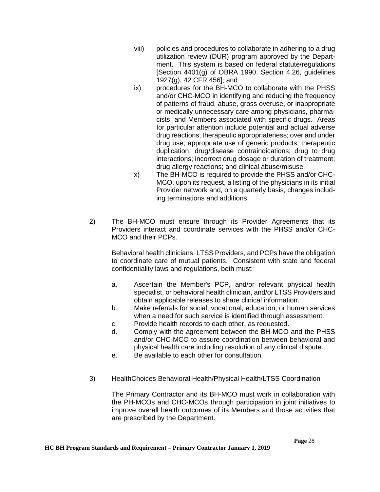- viii) policies and procedures to collaborate in adhering to a drug utilization review (DUR) program approved by the Department. This system is based on federal statute/regulations [Section 4401(g) of OBRA 1990, Section 4.26, guidelines 1927(g), 42 CFR 456]; and
- ix) procedures for the BH-MCO to collaborate with the PHSS and/or CHC-MCO in identifying and reducing the frequency of patterns of fraud, abuse, gross overuse, or inappropriate or medically unnecessary care among physicians, pharmacists, and Members associated with specific drugs. Areas for particular attention include potential and actual adverse drug reactions; therapeutic appropriateness; over and under drug use; appropriate use of generic products; therapeutic duplication; drug/disease contraindications; drug to drug interactions; incorrect drug dosage or duration of treatment; drug allergy reactions; and clinical abuse/misuse.
- x) The BH-MCO is required to provide the PHSS and/or CHC-MCO, upon its request, a listing of the physicians in its initial Provider network and, on a quarterly basis, changes including terminations and additions.
- 2) The BH-MCO must ensure through its Provider Agreements that its Providers interact and coordinate services with the PHSS and/or CHC-MCO and their PCPs.

Behavioral health clinicians, LTSS Providers, and PCPs have the obligation to coordinate care of mutual patients. Consistent with state and federal confidentiality laws and regulations, both must:

- a. Ascertain the Member's PCP, and/or relevant physical health specialist, or behavioral health clinician, and/or LTSS Providers and obtain applicable releases to share clinical information.
- b. Make referrals for social, vocational, education, or human services when a need for such service is identified through assessment.
- c. Provide health records to each other, as requested.
- d. Comply with the agreement between the BH-MCO and the PHSS and/or CHC-MCO to assure coordination between behavioral and physical health care including resolution of any clinical dispute.
- e. Be available to each other for consultation.
- 3) HealthChoices Behavioral Health/Physical Health/LTSS Coordination

The Primary Contractor and its BH-MCO must work in collaboration with the PH-MCOs and CHC-MCOs through participation in joint initiatives to improve overall health outcomes of its Members and those activities that are prescribed by the Department.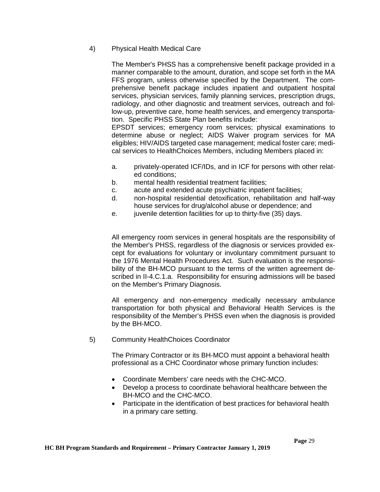# 4) Physical Health Medical Care

The Member's PHSS has a comprehensive benefit package provided in a manner comparable to the amount, duration, and scope set forth in the MA FFS program, unless otherwise specified by the Department. The comprehensive benefit package includes inpatient and outpatient hospital services, physician services, family planning services, prescription drugs, radiology, and other diagnostic and treatment services, outreach and follow-up, preventive care, home health services, and emergency transportation. Specific PHSS State Plan benefits include:

EPSDT services; emergency room services; physical examinations to determine abuse or neglect; AIDS Waiver program services for MA eligibles; HIV/AIDS targeted case management; medical foster care; medical services to HealthChoices Members, including Members placed in:

- a. privately-operated ICF/IDs, and in ICF for persons with other related conditions;
- b. mental health residential treatment facilities;
- c. acute and extended acute psychiatric inpatient facilities;
- d. non-hospital residential detoxification, rehabilitation and half-way house services for drug/alcohol abuse or dependence; and
- e. juvenile detention facilities for up to thirty-five (35) days.

All emergency room services in general hospitals are the responsibility of the Member's PHSS, regardless of the diagnosis or services provided except for evaluations for voluntary or involuntary commitment pursuant to the 1976 Mental Health Procedures Act. Such evaluation is the responsibility of the BH-MCO pursuant to the terms of the written agreement described in II-4.C.1.a. Responsibility for ensuring admissions will be based on the Member's Primary Diagnosis.

All emergency and non-emergency medically necessary ambulance transportation for both physical and Behavioral Health Services is the responsibility of the Member's PHSS even when the diagnosis is provided by the BH-MCO.

5) Community HealthChoices Coordinator

The Primary Contractor or its BH-MCO must appoint a behavioral health professional as a CHC Coordinator whose primary function includes:

- Coordinate Members' care needs with the CHC-MCO.
- Develop a process to coordinate behavioral healthcare between the BH-MCO and the CHC-MCO.
- Participate in the identification of best practices for behavioral health in a primary care setting.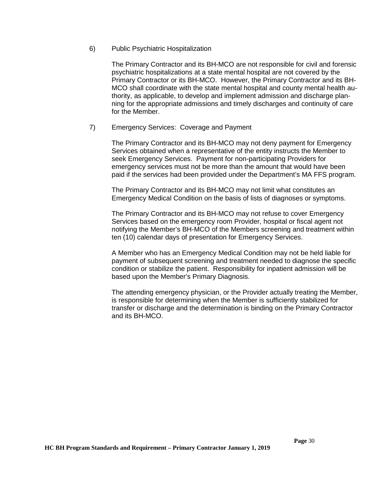#### 6) Public Psychiatric Hospitalization

The Primary Contractor and its BH-MCO are not responsible for civil and forensic psychiatric hospitalizations at a state mental hospital are not covered by the Primary Contractor or its BH-MCO. However, the Primary Contractor and its BH-MCO shall coordinate with the state mental hospital and county mental health authority, as applicable, to develop and implement admission and discharge planning for the appropriate admissions and timely discharges and continuity of care for the Member.

### 7) Emergency Services: Coverage and Payment

The Primary Contractor and its BH-MCO may not deny payment for Emergency Services obtained when a representative of the entity instructs the Member to seek Emergency Services. Payment for non-participating Providers for emergency services must not be more than the amount that would have been paid if the services had been provided under the Department's MA FFS program.

The Primary Contractor and its BH-MCO may not limit what constitutes an Emergency Medical Condition on the basis of lists of diagnoses or symptoms.

The Primary Contractor and its BH-MCO may not refuse to cover Emergency Services based on the emergency room Provider, hospital or fiscal agent not notifying the Member's BH-MCO of the Members screening and treatment within ten (10) calendar days of presentation for Emergency Services.

A Member who has an Emergency Medical Condition may not be held liable for payment of subsequent screening and treatment needed to diagnose the specific condition or stabilize the patient. Responsibility for inpatient admission will be based upon the Member's Primary Diagnosis.

The attending emergency physician, or the Provider actually treating the Member, is responsible for determining when the Member is sufficiently stabilized for transfer or discharge and the determination is binding on the Primary Contractor and its BH-MCO.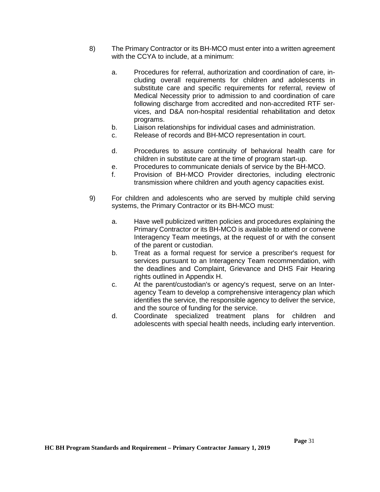- 8) The Primary Contractor or its BH-MCO must enter into a written agreement with the CCYA to include, at a minimum:
	- a. Procedures for referral, authorization and coordination of care, including overall requirements for children and adolescents in substitute care and specific requirements for referral, review of Medical Necessity prior to admission to and coordination of care following discharge from accredited and non-accredited RTF services, and D&A non-hospital residential rehabilitation and detox programs.
	- b. Liaison relationships for individual cases and administration.
	- c. Release of records and BH-MCO representation in court.
	- d. Procedures to assure continuity of behavioral health care for children in substitute care at the time of program start-up.
	- e. Procedures to communicate denials of service by the BH-MCO.
	- f. Provision of BH-MCO Provider directories, including electronic transmission where children and youth agency capacities exist.
- 9) For children and adolescents who are served by multiple child serving systems, the Primary Contractor or its BH-MCO must:
	- a. Have well publicized written policies and procedures explaining the Primary Contractor or its BH-MCO is available to attend or convene Interagency Team meetings, at the request of or with the consent of the parent or custodian.
	- b. Treat as a formal request for service a prescriber's request for services pursuant to an Interagency Team recommendation, with the deadlines and Complaint, Grievance and DHS Fair Hearing rights outlined in Appendix H.
	- c. At the parent/custodian's or agency's request, serve on an Interagency Team to develop a comprehensive interagency plan which identifies the service, the responsible agency to deliver the service, and the source of funding for the service.
	- d. Coordinate specialized treatment plans for children and adolescents with special health needs, including early intervention.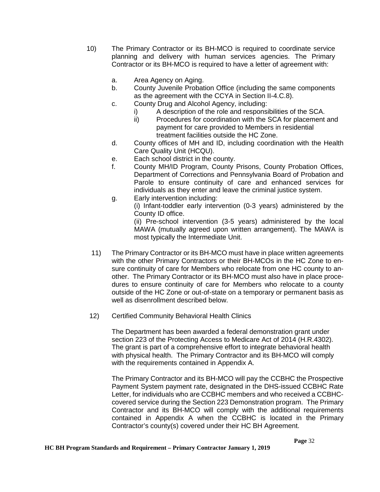- 10) The Primary Contractor or its BH-MCO is required to coordinate service planning and delivery with human services agencies. The Primary Contractor or its BH-MCO is required to have a letter of agreement with:
	- a. Area Agency on Aging.
	- b. County Juvenile Probation Office (including the same components as the agreement with the CCYA in Section II-4.C.8).
	- c. County Drug and Alcohol Agency, including:
		- i) A description of the role and responsibilities of the SCA.
		- ii) Procedures for coordination with the SCA for placement and payment for care provided to Members in residential treatment facilities outside the HC Zone.
	- d. County offices of MH and ID, including coordination with the Health Care Quality Unit (HCQU).
	- e. Each school district in the county.
	- f. County MH/ID Program, County Prisons, County Probation Offices, Department of Corrections and Pennsylvania Board of Probation and Parole to ensure continuity of care and enhanced services for individuals as they enter and leave the criminal justice system.
	- g. Early intervention including: (i) Infant-toddler early intervention (0-3 years) administered by the County ID office. (ii) Pre-school intervention (3-5 years) administered by the local

MAWA (mutually agreed upon written arrangement). The MAWA is most typically the Intermediate Unit.

- 11) The Primary Contractor or its BH-MCO must have in place written agreements with the other Primary Contractors or their BH-MCOs in the HC Zone to ensure continuity of care for Members who relocate from one HC county to another. The Primary Contractor or its BH-MCO must also have in place procedures to ensure continuity of care for Members who relocate to a county outside of the HC Zone or out-of-state on a temporary or permanent basis as well as disenrollment described below.
- 12) Certified Community Behavioral Health Clinics

The Department has been awarded a federal demonstration grant under section 223 of the Protecting Access to Medicare Act of 2014 (H.R.4302). The grant is part of a comprehensive effort to integrate behavioral health with physical health. The Primary Contractor and its BH-MCO will comply with the requirements contained in Appendix A.

The Primary Contractor and its BH-MCO will pay the CCBHC the Prospective Payment System payment rate, designated in the DHS-issued CCBHC Rate Letter, for individuals who are CCBHC members and who received a CCBHCcovered service during the Section 223 Demonstration program. The Primary Contractor and its BH-MCO will comply with the additional requirements contained in Appendix A when the CCBHC is located in the Primary Contractor's county(s) covered under their HC BH Agreement.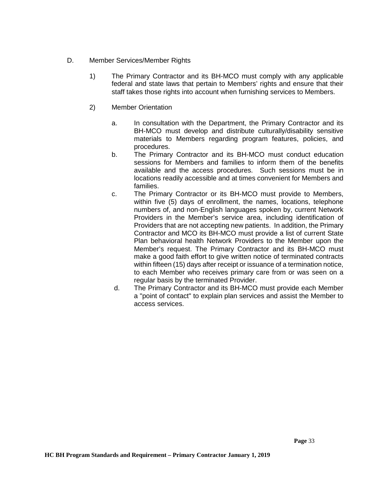- D. Member Services/Member Rights
	- 1) The Primary Contractor and its BH-MCO must comply with any applicable federal and state laws that pertain to Members' rights and ensure that their staff takes those rights into account when furnishing services to Members.
	- 2) Member Orientation
		- a. In consultation with the Department, the Primary Contractor and its BH-MCO must develop and distribute culturally/disability sensitive materials to Members regarding program features, policies, and procedures.
		- b. The Primary Contractor and its BH-MCO must conduct education sessions for Members and families to inform them of the benefits available and the access procedures. Such sessions must be in locations readily accessible and at times convenient for Members and families.
		- c. The Primary Contractor or its BH-MCO must provide to Members, within five (5) days of enrollment, the names, locations, telephone numbers of, and non-English languages spoken by, current Network Providers in the Member's service area, including identification of Providers that are not accepting new patients. In addition, the Primary Contractor and MCO its BH-MCO must provide a list of current State Plan behavioral health Network Providers to the Member upon the Member's request. The Primary Contractor and its BH-MCO must make a good faith effort to give written notice of terminated contracts within fifteen (15) days after receipt or issuance of a termination notice, to each Member who receives primary care from or was seen on a regular basis by the terminated Provider.
		- d. The Primary Contractor and its BH-MCO must provide each Member a "point of contact" to explain plan services and assist the Member to access services.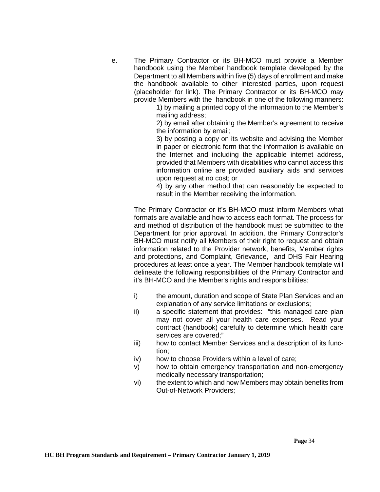e. The Primary Contractor or its BH-MCO must provide a Member handbook using the Member handbook template developed by the Department to all Members within five (5) days of enrollment and make the handbook available to other interested parties, upon request (placeholder for link). The Primary Contractor or its BH-MCO may provide Members with the handbook in one of the following manners:

1) by mailing a printed copy of the information to the Member's mailing address;

2) by email after obtaining the Member's agreement to receive the information by email;

3) by posting a copy on its website and advising the Member in paper or electronic form that the information is available on the Internet and including the applicable internet address, provided that Members with disabilities who cannot access this information online are provided auxiliary aids and services upon request at no cost; or

4) by any other method that can reasonably be expected to result in the Member receiving the information.

The Primary Contractor or it's BH-MCO must inform Members what formats are available and how to access each format. The process for and method of distribution of the handbook must be submitted to the Department for prior approval. In addition, the Primary Contractor's BH-MCO must notify all Members of their right to request and obtain information related to the Provider network, benefits, Member rights and protections, and Complaint, Grievance, and DHS Fair Hearing procedures at least once a year. The Member handbook template will delineate the following responsibilities of the Primary Contractor and it's BH-MCO and the Member's rights and responsibilities:

- i) the amount, duration and scope of State Plan Services and an explanation of any service limitations or exclusions;
- ii) a specific statement that provides: "this managed care plan may not cover all your health care expenses. Read your contract (handbook) carefully to determine which health care services are covered;"
- iii) how to contact Member Services and a description of its function;
- iv) how to choose Providers within a level of care;
- v) how to obtain emergency transportation and non-emergency medically necessary transportation;
- vi) the extent to which and how Members may obtain benefits from Out-of-Network Providers;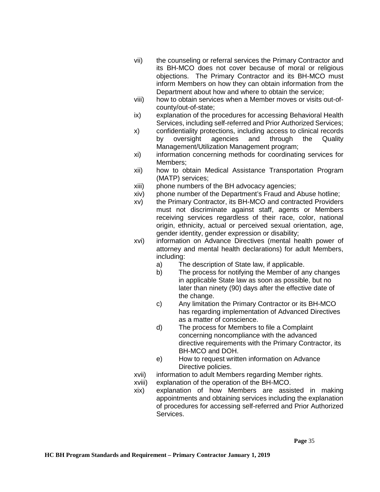- vii) the counseling or referral services the Primary Contractor and its BH-MCO does not cover because of moral or religious objections. The Primary Contractor and its BH-MCO must inform Members on how they can obtain information from the Department about how and where to obtain the service;
- viii) how to obtain services when a Member moves or visits out-ofcounty/out-of-state;
- ix) explanation of the procedures for accessing Behavioral Health Services, including self-referred and Prior Authorized Services;
- x) confidentiality protections, including access to clinical records by oversight agencies and through the Quality Management/Utilization Management program;
- xi) information concerning methods for coordinating services for Members;
- xii) how to obtain Medical Assistance Transportation Program (MATP) services;
- xiii) phone numbers of the BH advocacy agencies;
- xiv) phone number of the Department's Fraud and Abuse hotline;
- xv) the Primary Contractor, its BH-MCO and contracted Providers must not discriminate against staff, agents or Members receiving services regardless of their race, color, national origin, ethnicity, actual or perceived sexual orientation, age, gender identity, gender expression or disability;
- xvi) information on Advance Directives (mental health power of attorney and mental health declarations) for adult Members, including:
	- a) The description of State law, if applicable.
	- b) The process for notifying the Member of any changes in applicable State law as soon as possible, but no later than ninety (90) days after the effective date of the change.
	- c) Any limitation the Primary Contractor or its BH-MCO has regarding implementation of Advanced Directives as a matter of conscience.
	- d) The process for Members to file a Complaint concerning noncompliance with the advanced directive requirements with the Primary Contractor, its BH-MCO and DOH.
	- e) How to request written information on Advance Directive policies.
- xvii) information to adult Members regarding Member rights.
- xviii) explanation of the operation of the BH-MCO.
- xix) explanation of how Members are assisted in making appointments and obtaining services including the explanation of procedures for accessing self-referred and Prior Authorized Services.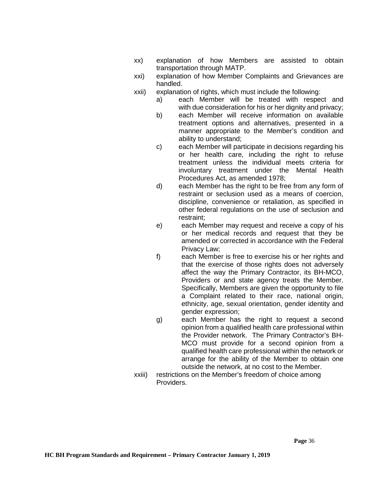- xx) explanation of how Members are assisted to obtain transportation through MATP.
- xxi) explanation of how Member Complaints and Grievances are handled.
- xxii) explanation of rights, which must include the following:
	- a) each Member will be treated with respect and with due consideration for his or her dignity and privacy;
	- b) each Member will receive information on available treatment options and alternatives, presented in a manner appropriate to the Member's condition and ability to understand;
	- c) each Member will participate in decisions regarding his or her health care, including the right to refuse treatment unless the individual meets criteria for involuntary treatment under the Mental Health Procedures Act, as amended 1978;
	- d) each Member has the right to be free from any form of restraint or seclusion used as a means of coercion, discipline, convenience or retaliation, as specified in other federal regulations on the use of seclusion and restraint;
	- e) each Member may request and receive a copy of his or her medical records and request that they be amended or corrected in accordance with the Federal Privacy Law;
	- f) each Member is free to exercise his or her rights and that the exercise of those rights does not adversely affect the way the Primary Contractor, its BH-MCO, Providers or and state agency treats the Member. Specifically, Members are given the opportunity to file a Complaint related to their race, national origin, ethnicity, age, sexual orientation, gender identity and gender expression;
	- g) each Member has the right to request a second opinion from a qualified health care professional within the Provider network. The Primary Contractor's BH-MCO must provide for a second opinion from a qualified health care professional within the network or arrange for the ability of the Member to obtain one outside the network, at no cost to the Member.
- xxiii) restrictions on the Member's freedom of choice among Providers.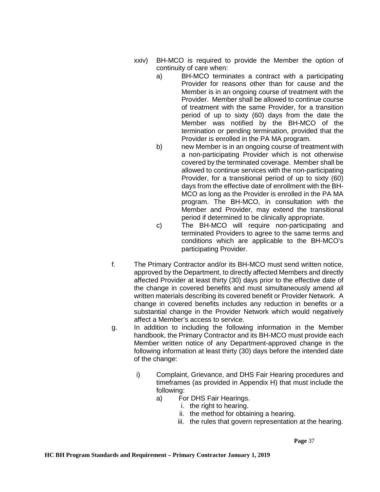- xxiv) BH-MCO is required to provide the Member the option of continuity of care when:
	- a) BH-MCO terminates a contract with a participating Provider for reasons other than for cause and the Member is in an ongoing course of treatment with the Provider. Member shall be allowed to continue course of treatment with the same Provider, for a transition period of up to sixty (60) days from the date the Member was notified by the BH-MCO of the termination or pending termination, provided that the Provider is enrolled in the PA MA program.
	- b) new Member is in an ongoing course of treatment with a non-participating Provider which is not otherwise covered by the terminated coverage. Member shall be allowed to continue services with the non-participating Provider, for a transitional period of up to sixty (60) days from the effective date of enrollment with the BH-MCO as long as the Provider is enrolled in the PA MA program. The BH-MCO, in consultation with the Member and Provider, may extend the transitional period if determined to be clinically appropriate.
	- c) The BH-MCO will require non-participating and terminated Providers to agree to the same terms and conditions which are applicable to the BH-MCO's participating Provider.
- f. The Primary Contractor and/or its BH-MCO must send written notice, approved by the Department, to directly affected Members and directly affected Provider at least thirty (30) days prior to the effective date of the change in covered benefits and must simultaneously amend all written materials describing its covered benefit or Provider Network. A change in covered benefits includes any reduction in benefits or a substantial change in the Provider Network which would negatively affect a Member's access to service.
- g. In addition to including the following information in the Member handbook, the Primary Contractor and its BH-MCO must provide each Member written notice of any Department-approved change in the following information at least thirty (30) days before the intended date of the change:
	- i) Complaint, Grievance, and DHS Fair Hearing procedures and timeframes (as provided in Appendix H) that must include the following:
		- a) For DHS Fair Hearings.
			- i. the right to hearing.
			- ii. the method for obtaining a hearing.
			- iii. the rules that govern representation at the hearing.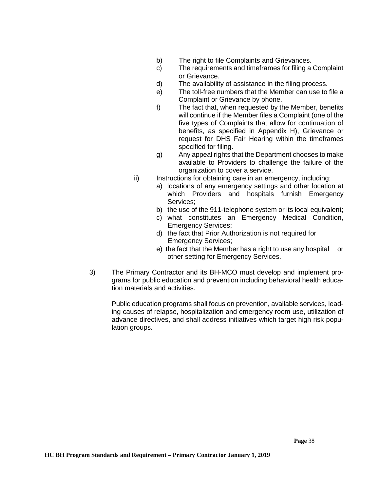- b) The right to file Complaints and Grievances.<br>c) The requirements and timeframes for filing a
- The requirements and timeframes for filing a Complaint or Grievance.
- d) The availability of assistance in the filing process.
- e) The toll-free numbers that the Member can use to file a Complaint or Grievance by phone.
- f) The fact that, when requested by the Member, benefits will continue if the Member files a Complaint (one of the five types of Complaints that allow for continuation of benefits, as specified in Appendix H), Grievance or request for DHS Fair Hearing within the timeframes specified for filing.
- g) Any appeal rights that the Department chooses to make available to Providers to challenge the failure of the organization to cover a service.
- ii) Instructions for obtaining care in an emergency, including;
	- a) locations of any emergency settings and other location at which Providers and hospitals furnish Emergency Services;
	- b) the use of the 911-telephone system or its local equivalent;
	- c) what constitutes an Emergency Medical Condition, Emergency Services;
	- d) the fact that Prior Authorization is not required for Emergency Services;
	- e) the fact that the Member has a right to use any hospital or other setting for Emergency Services.
- 3) The Primary Contractor and its BH-MCO must develop and implement programs for public education and prevention including behavioral health education materials and activities.

Public education programs shall focus on prevention, available services, leading causes of relapse, hospitalization and emergency room use, utilization of advance directives, and shall address initiatives which target high risk population groups.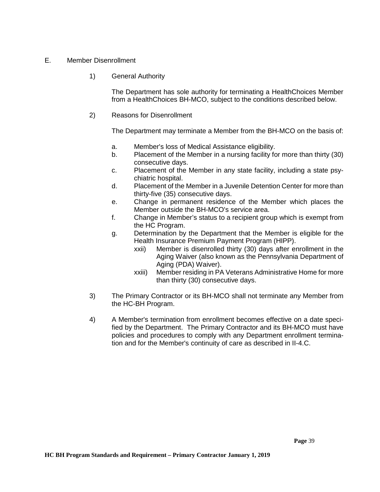# E. Member Disenrollment

1) General Authority

The Department has sole authority for terminating a HealthChoices Member from a HealthChoices BH-MCO, subject to the conditions described below.

2) Reasons for Disenrollment

The Department may terminate a Member from the BH-MCO on the basis of:

- a. Member's loss of Medical Assistance eligibility.
- b. Placement of the Member in a nursing facility for more than thirty (30) consecutive days.
- c. Placement of the Member in any state facility, including a state psychiatric hospital.
- d. Placement of the Member in a Juvenile Detention Center for more than thirty-five (35) consecutive days.
- e. Change in permanent residence of the Member which places the Member outside the BH-MCO's service area.
- f. Change in Member's status to a recipient group which is exempt from the HC Program.
- g. Determination by the Department that the Member is eligible for the Health Insurance Premium Payment Program (HIPP).
	- xxii) Member is disenrolled thirty (30) days after enrollment in the Aging Waiver (also known as the Pennsylvania Department of Aging (PDA) Waiver).
	- xxiii) Member residing in PA Veterans Administrative Home for more than thirty (30) consecutive days.
- 3) The Primary Contractor or its BH-MCO shall not terminate any Member from the HC-BH Program.
- 4) A Member's termination from enrollment becomes effective on a date specified by the Department. The Primary Contractor and its BH-MCO must have policies and procedures to comply with any Department enrollment termination and for the Member's continuity of care as described in II-4.C.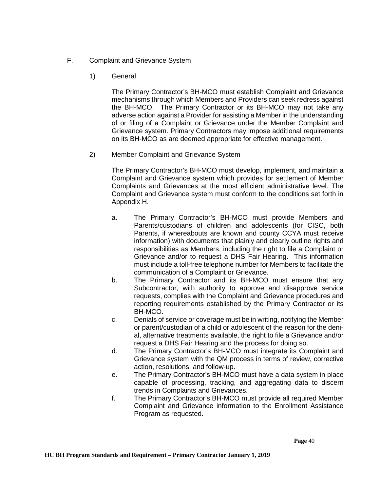- F. Complaint and Grievance System
	- 1) General

The Primary Contractor's BH-MCO must establish Complaint and Grievance mechanisms through which Members and Providers can seek redress against the BH-MCO. The Primary Contractor or its BH-MCO may not take any adverse action against a Provider for assisting a Member in the understanding of or filing of a Complaint or Grievance under the Member Complaint and Grievance system. Primary Contractors may impose additional requirements on its BH-MCO as are deemed appropriate for effective management.

2) Member Complaint and Grievance System

The Primary Contractor's BH-MCO must develop, implement, and maintain a Complaint and Grievance system which provides for settlement of Member Complaints and Grievances at the most efficient administrative level. The Complaint and Grievance system must conform to the conditions set forth in Appendix H.

- a. The Primary Contractor's BH-MCO must provide Members and Parents/custodians of children and adolescents (for CISC, both Parents, if whereabouts are known and county CCYA must receive information) with documents that plainly and clearly outline rights and responsibilities as Members, including the right to file a Complaint or Grievance and/or to request a DHS Fair Hearing. This information must include a toll-free telephone number for Members to facilitate the communication of a Complaint or Grievance.
- b. The Primary Contractor and its BH-MCO must ensure that any Subcontractor, with authority to approve and disapprove service requests, complies with the Complaint and Grievance procedures and reporting requirements established by the Primary Contractor or its BH-MCO.
- c. Denials of service or coverage must be in writing, notifying the Member or parent/custodian of a child or adolescent of the reason for the denial, alternative treatments available, the right to file a Grievance and/or request a DHS Fair Hearing and the process for doing so.
- d. The Primary Contractor's BH-MCO must integrate its Complaint and Grievance system with the QM process in terms of review, corrective action, resolutions, and follow-up.
- e. The Primary Contractor's BH-MCO must have a data system in place capable of processing, tracking, and aggregating data to discern trends in Complaints and Grievances.
- f. The Primary Contractor's BH-MCO must provide all required Member Complaint and Grievance information to the Enrollment Assistance Program as requested.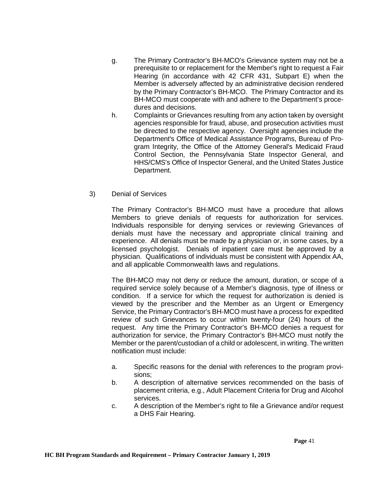- g. The Primary Contractor's BH-MCO's Grievance system may not be a prerequisite to or replacement for the Member's right to request a Fair Hearing (in accordance with 42 CFR 431, Subpart E) when the Member is adversely affected by an administrative decision rendered by the Primary Contractor's BH-MCO. The Primary Contractor and its BH-MCO must cooperate with and adhere to the Department's procedures and decisions.
- h. Complaints or Grievances resulting from any action taken by oversight agencies responsible for fraud, abuse, and prosecution activities must be directed to the respective agency. Oversight agencies include the Department's Office of Medical Assistance Programs, Bureau of Program Integrity, the Office of the Attorney General's Medicaid Fraud Control Section, the Pennsylvania State Inspector General, and HHS/CMS's Office of Inspector General, and the United States Justice Department.
- 3) Denial of Services

The Primary Contractor's BH-MCO must have a procedure that allows Members to grieve denials of requests for authorization for services. Individuals responsible for denying services or reviewing Grievances of denials must have the necessary and appropriate clinical training and experience. All denials must be made by a physician or, in some cases, by a licensed psychologist. Denials of inpatient care must be approved by a physician. Qualifications of individuals must be consistent with Appendix AA, and all applicable Commonwealth laws and regulations.

The BH-MCO may not deny or reduce the amount, duration, or scope of a required service solely because of a Member's diagnosis, type of illness or condition. If a service for which the request for authorization is denied is viewed by the prescriber and the Member as an Urgent or Emergency Service, the Primary Contractor's BH-MCO must have a process for expedited review of such Grievances to occur within twenty-four (24) hours of the request. Any time the Primary Contractor's BH-MCO denies a request for authorization for service, the Primary Contractor's BH-MCO must notify the Member or the parent/custodian of a child or adolescent, in writing. The written notification must include:

- a. Specific reasons for the denial with references to the program provisions;
- b. A description of alternative services recommended on the basis of placement criteria, e.g., Adult Placement Criteria for Drug and Alcohol services.
- c. A description of the Member's right to file a Grievance and/or request a DHS Fair Hearing.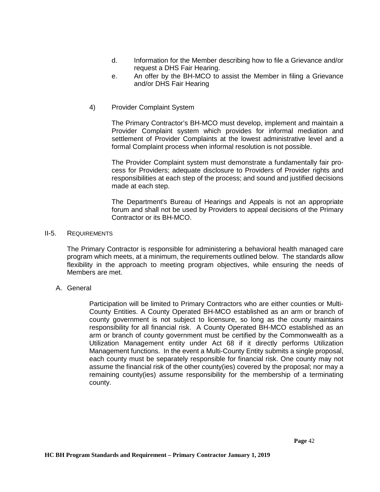- d. Information for the Member describing how to file a Grievance and/or request a DHS Fair Hearing.
- e. An offer by the BH-MCO to assist the Member in filing a Grievance and/or DHS Fair Hearing
- 4) Provider Complaint System

The Primary Contractor's BH-MCO must develop, implement and maintain a Provider Complaint system which provides for informal mediation and settlement of Provider Complaints at the lowest administrative level and a formal Complaint process when informal resolution is not possible.

The Provider Complaint system must demonstrate a fundamentally fair process for Providers; adequate disclosure to Providers of Provider rights and responsibilities at each step of the process; and sound and justified decisions made at each step.

The Department's Bureau of Hearings and Appeals is not an appropriate forum and shall not be used by Providers to appeal decisions of the Primary Contractor or its BH-MCO.

### II-5. REQUIREMENTS

The Primary Contractor is responsible for administering a behavioral health managed care program which meets, at a minimum, the requirements outlined below. The standards allow flexibility in the approach to meeting program objectives, while ensuring the needs of Members are met.

# A. General

Participation will be limited to Primary Contractors who are either counties or Multi-County Entities. A County Operated BH-MCO established as an arm or branch of county government is not subject to licensure, so long as the county maintains responsibility for all financial risk. A County Operated BH-MCO established as an arm or branch of county government must be certified by the Commonwealth as a Utilization Management entity under Act 68 if it directly performs Utilization Management functions. In the event a Multi-County Entity submits a single proposal, each county must be separately responsible for financial risk. One county may not assume the financial risk of the other county(ies) covered by the proposal; nor may a remaining county(ies) assume responsibility for the membership of a terminating county.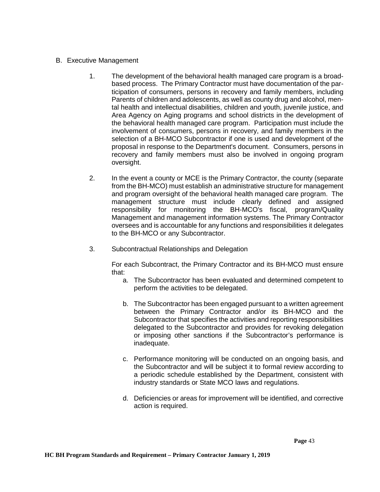- B. Executive Management
	- 1. The development of the behavioral health managed care program is a broadbased process. The Primary Contractor must have documentation of the participation of consumers, persons in recovery and family members, including Parents of children and adolescents, as well as county drug and alcohol, mental health and intellectual disabilities, children and youth, juvenile justice, and Area Agency on Aging programs and school districts in the development of the behavioral health managed care program. Participation must include the involvement of consumers, persons in recovery, and family members in the selection of a BH-MCO Subcontractor if one is used and development of the proposal in response to the Department's document. Consumers, persons in recovery and family members must also be involved in ongoing program oversight.
	- 2. In the event a county or MCE is the Primary Contractor, the county (separate from the BH-MCO) must establish an administrative structure for management and program oversight of the behavioral health managed care program. The management structure must include clearly defined and assigned responsibility for monitoring the BH-MCO's fiscal, program/Quality Management and management information systems. The Primary Contractor oversees and is accountable for any functions and responsibilities it delegates to the BH-MCO or any Subcontractor.
	- 3. Subcontractual Relationships and Delegation

For each Subcontract, the Primary Contractor and its BH-MCO must ensure that:

- a. The Subcontractor has been evaluated and determined competent to perform the activities to be delegated.
- b. The Subcontractor has been engaged pursuant to a written agreement between the Primary Contractor and/or its BH-MCO and the Subcontractor that specifies the activities and reporting responsibilities delegated to the Subcontractor and provides for revoking delegation or imposing other sanctions if the Subcontractor's performance is inadequate.
- c. Performance monitoring will be conducted on an ongoing basis, and the Subcontractor and will be subject it to formal review according to a periodic schedule established by the Department, consistent with industry standards or State MCO laws and regulations.
- d. Deficiencies or areas for improvement will be identified, and corrective action is required.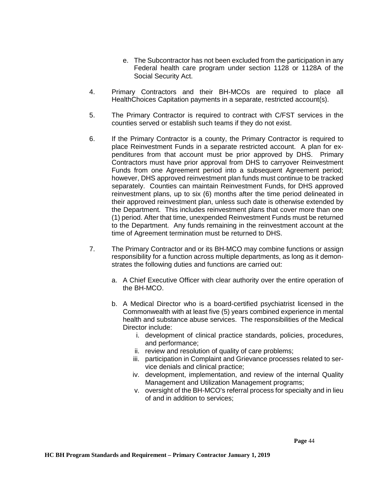- e. The Subcontractor has not been excluded from the participation in any Federal health care program under section 1128 or 1128A of the Social Security Act.
- 4. Primary Contractors and their BH-MCOs are required to place all HealthChoices Capitation payments in a separate, restricted account(s).
- 5. The Primary Contractor is required to contract with C/FST services in the counties served or establish such teams if they do not exist.
- 6. If the Primary Contractor is a county, the Primary Contractor is required to place Reinvestment Funds in a separate restricted account. A plan for expenditures from that account must be prior approved by DHS. Primary Contractors must have prior approval from DHS to carryover Reinvestment Funds from one Agreement period into a subsequent Agreement period; however, DHS approved reinvestment plan funds must continue to be tracked separately. Counties can maintain Reinvestment Funds, for DHS approved reinvestment plans, up to six (6) months after the time period delineated in their approved reinvestment plan, unless such date is otherwise extended by the Department. This includes reinvestment plans that cover more than one (1) period. After that time, unexpended Reinvestment Funds must be returned to the Department. Any funds remaining in the reinvestment account at the time of Agreement termination must be returned to DHS.
- 7. The Primary Contractor and or its BH-MCO may combine functions or assign responsibility for a function across multiple departments, as long as it demonstrates the following duties and functions are carried out:
	- a. A Chief Executive Officer with clear authority over the entire operation of the BH-MCO.
	- b. A Medical Director who is a board-certified psychiatrist licensed in the Commonwealth with at least five (5) years combined experience in mental health and substance abuse services. The responsibilities of the Medical Director include:
		- i. development of clinical practice standards, policies, procedures, and performance;
		- ii. review and resolution of quality of care problems;
		- iii. participation in Complaint and Grievance processes related to service denials and clinical practice;
		- iv. development, implementation, and review of the internal Quality Management and Utilization Management programs;
		- v. oversight of the BH-MCO's referral process for specialty and in lieu of and in addition to services;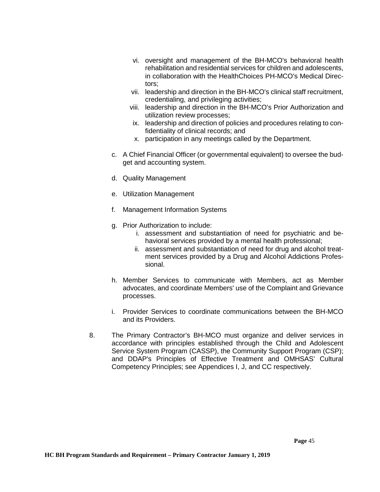- vi. oversight and management of the BH-MCO's behavioral health rehabilitation and residential services for children and adolescents, in collaboration with the HealthChoices PH-MCO's Medical Directors;
- vii. leadership and direction in the BH-MCO's clinical staff recruitment, credentialing, and privileging activities;
- viii. leadership and direction in the BH-MCO's Prior Authorization and utilization review processes;
- ix. leadership and direction of policies and procedures relating to confidentiality of clinical records; and
- x. participation in any meetings called by the Department.
- c. A Chief Financial Officer (or governmental equivalent) to oversee the budget and accounting system.
- d. Quality Management
- e. Utilization Management
- f. Management Information Systems
- g. Prior Authorization to include:
	- i. assessment and substantiation of need for psychiatric and behavioral services provided by a mental health professional;
	- ii. assessment and substantiation of need for drug and alcohol treatment services provided by a Drug and Alcohol Addictions Professional.
- h. Member Services to communicate with Members, act as Member advocates, and coordinate Members' use of the Complaint and Grievance processes.
- i. Provider Services to coordinate communications between the BH-MCO and its Providers.
- 8. The Primary Contractor's BH-MCO must organize and deliver services in accordance with principles established through the Child and Adolescent Service System Program (CASSP), the Community Support Program (CSP); and DDAP's Principles of Effective Treatment and OMHSAS' Cultural Competency Principles; see Appendices I, J, and CC respectively.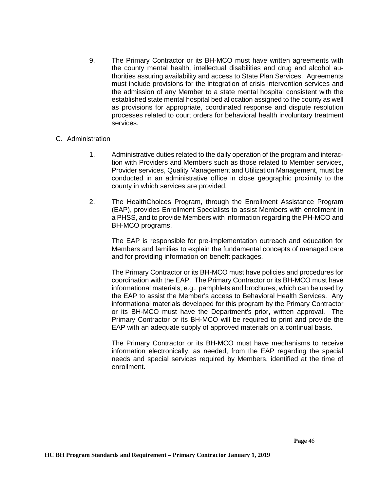9. The Primary Contractor or its BH-MCO must have written agreements with the county mental health, intellectual disabilities and drug and alcohol authorities assuring availability and access to State Plan Services. Agreements must include provisions for the integration of crisis intervention services and the admission of any Member to a state mental hospital consistent with the established state mental hospital bed allocation assigned to the county as well as provisions for appropriate, coordinated response and dispute resolution processes related to court orders for behavioral health involuntary treatment services.

### C. Administration

- 1. Administrative duties related to the daily operation of the program and interaction with Providers and Members such as those related to Member services, Provider services, Quality Management and Utilization Management, must be conducted in an administrative office in close geographic proximity to the county in which services are provided.
- 2. The HealthChoices Program, through the Enrollment Assistance Program (EAP), provides Enrollment Specialists to assist Members with enrollment in a PHSS, and to provide Members with information regarding the PH-MCO and BH-MCO programs.

The EAP is responsible for pre-implementation outreach and education for Members and families to explain the fundamental concepts of managed care and for providing information on benefit packages.

The Primary Contractor or its BH-MCO must have policies and procedures for coordination with the EAP. The Primary Contractor or its BH-MCO must have informational materials; e.g., pamphlets and brochures, which can be used by the EAP to assist the Member's access to Behavioral Health Services. Any informational materials developed for this program by the Primary Contractor or its BH-MCO must have the Department's prior, written approval. The Primary Contractor or its BH-MCO will be required to print and provide the EAP with an adequate supply of approved materials on a continual basis.

The Primary Contractor or its BH-MCO must have mechanisms to receive information electronically, as needed, from the EAP regarding the special needs and special services required by Members, identified at the time of enrollment.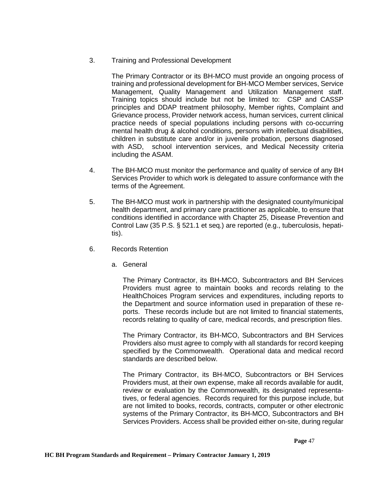3. Training and Professional Development

The Primary Contractor or its BH-MCO must provide an ongoing process of training and professional development for BH-MCO Member services, Service Management, Quality Management and Utilization Management staff. Training topics should include but not be limited to: CSP and CASSP principles and DDAP treatment philosophy, Member rights, Complaint and Grievance process, Provider network access, human services, current clinical practice needs of special populations including persons with co-occurring mental health drug & alcohol conditions, persons with intellectual disabilities, children in substitute care and/or in juvenile probation, persons diagnosed with ASD, school intervention services, and Medical Necessity criteria including the ASAM.

- 4. The BH-MCO must monitor the performance and quality of service of any BH Services Provider to which work is delegated to assure conformance with the terms of the Agreement.
- 5. The BH-MCO must work in partnership with the designated county/municipal health department, and primary care practitioner as applicable, to ensure that conditions identified in accordance with Chapter 25, Disease Prevention and Control Law (35 P.S. § 521.1 et seq.) are reported (e.g., tuberculosis, hepatitis).
- 6. Records Retention
	- a. General

The Primary Contractor, its BH-MCO, Subcontractors and BH Services Providers must agree to maintain books and records relating to the HealthChoices Program services and expenditures, including reports to the Department and source information used in preparation of these reports. These records include but are not limited to financial statements, records relating to quality of care, medical records, and prescription files.

The Primary Contractor, its BH-MCO, Subcontractors and BH Services Providers also must agree to comply with all standards for record keeping specified by the Commonwealth. Operational data and medical record standards are described below.

The Primary Contractor, its BH-MCO, Subcontractors or BH Services Providers must, at their own expense, make all records available for audit, review or evaluation by the Commonwealth, its designated representatives, or federal agencies. Records required for this purpose include, but are not limited to books, records, contracts, computer or other electronic systems of the Primary Contractor, its BH-MCO, Subcontractors and BH Services Providers. Access shall be provided either on-site, during regular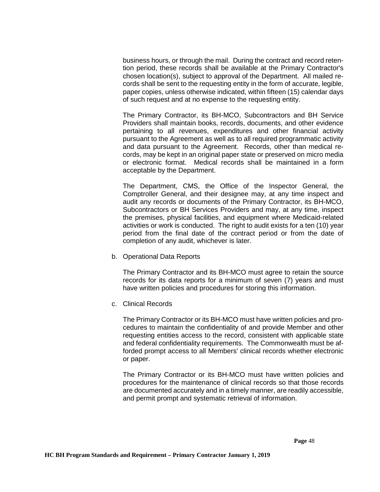business hours, or through the mail. During the contract and record retention period, these records shall be available at the Primary Contractor's chosen location(s), subject to approval of the Department. All mailed records shall be sent to the requesting entity in the form of accurate, legible, paper copies, unless otherwise indicated, within fifteen (15) calendar days of such request and at no expense to the requesting entity.

The Primary Contractor, its BH-MCO, Subcontractors and BH Service Providers shall maintain books, records, documents, and other evidence pertaining to all revenues, expenditures and other financial activity pursuant to the Agreement as well as to all required programmatic activity and data pursuant to the Agreement. Records, other than medical records, may be kept in an original paper state or preserved on micro media or electronic format. Medical records shall be maintained in a form acceptable by the Department.

The Department, CMS, the Office of the Inspector General, the Comptroller General, and their designee may, at any time inspect and audit any records or documents of the Primary Contractor, its BH-MCO, Subcontractors or BH Services Providers and may, at any time, inspect the premises, physical facilities, and equipment where Medicaid-related activities or work is conducted. The right to audit exists for a ten (10) year period from the final date of the contract period or from the date of completion of any audit, whichever is later.

b. Operational Data Reports

The Primary Contractor and its BH-MCO must agree to retain the source records for its data reports for a minimum of seven (7) years and must have written policies and procedures for storing this information.

c. Clinical Records

The Primary Contractor or its BH-MCO must have written policies and procedures to maintain the confidentiality of and provide Member and other requesting entities access to the record, consistent with applicable state and federal confidentiality requirements. The Commonwealth must be afforded prompt access to all Members' clinical records whether electronic or paper.

The Primary Contractor or its BH-MCO must have written policies and procedures for the maintenance of clinical records so that those records are documented accurately and in a timely manner, are readily accessible, and permit prompt and systematic retrieval of information.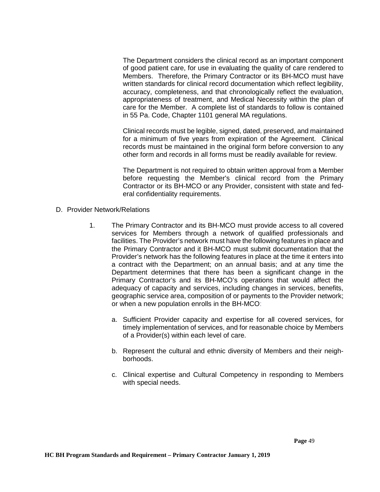The Department considers the clinical record as an important component of good patient care, for use in evaluating the quality of care rendered to Members. Therefore, the Primary Contractor or its BH-MCO must have written standards for clinical record documentation which reflect legibility, accuracy, completeness, and that chronologically reflect the evaluation, appropriateness of treatment, and Medical Necessity within the plan of care for the Member. A complete list of standards to follow is contained in 55 Pa. Code, Chapter 1101 general MA regulations.

Clinical records must be legible, signed, dated, preserved, and maintained for a minimum of five years from expiration of the Agreement. Clinical records must be maintained in the original form before conversion to any other form and records in all forms must be readily available for review.

The Department is not required to obtain written approval from a Member before requesting the Member's clinical record from the Primary Contractor or its BH-MCO or any Provider, consistent with state and federal confidentiality requirements.

- D. Provider Network/Relations
	- 1. The Primary Contractor and its BH-MCO must provide access to all covered services for Members through a network of qualified professionals and facilities. The Provider's network must have the following features in place and the Primary Contractor and it BH-MCO must submit documentation that the Provider's network has the following features in place at the time it enters into a contract with the Department; on an annual basis; and at any time the Department determines that there has been a significant change in the Primary Contractor's and its BH-MCO's operations that would affect the adequacy of capacity and services, including changes in services, benefits, geographic service area, composition of or payments to the Provider network; or when a new population enrolls in the BH-MCO:
		- a. Sufficient Provider capacity and expertise for all covered services, for timely implementation of services, and for reasonable choice by Members of a Provider(s) within each level of care.
		- b. Represent the cultural and ethnic diversity of Members and their neighborhoods.
		- c. Clinical expertise and Cultural Competency in responding to Members with special needs.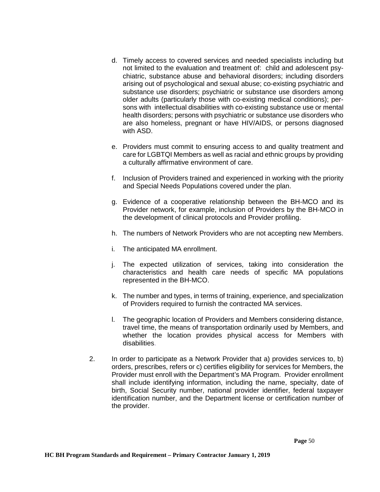- d. Timely access to covered services and needed specialists including but not limited to the evaluation and treatment of: child and adolescent psychiatric, substance abuse and behavioral disorders; including disorders arising out of psychological and sexual abuse; co-existing psychiatric and substance use disorders; psychiatric or substance use disorders among older adults (particularly those with co-existing medical conditions); persons with intellectual disabilities with co-existing substance use or mental health disorders; persons with psychiatric or substance use disorders who are also homeless, pregnant or have HIV/AIDS, or persons diagnosed with ASD.
- e. Providers must commit to ensuring access to and quality treatment and care for LGBTQI Members as well as racial and ethnic groups by providing a culturally affirmative environment of care.
- f. Inclusion of Providers trained and experienced in working with the priority and Special Needs Populations covered under the plan.
- g. Evidence of a cooperative relationship between the BH-MCO and its Provider network, for example, inclusion of Providers by the BH-MCO in the development of clinical protocols and Provider profiling.
- h. The numbers of Network Providers who are not accepting new Members.
- i. The anticipated MA enrollment.
- j. The expected utilization of services, taking into consideration the characteristics and health care needs of specific MA populations represented in the BH-MCO.
- k. The number and types, in terms of training, experience, and specialization of Providers required to furnish the contracted MA services.
- l. The geographic location of Providers and Members considering distance, travel time, the means of transportation ordinarily used by Members, and whether the location provides physical access for Members with disabilities.
- 2. In order to participate as a Network Provider that a) provides services to, b) orders, prescribes, refers or c) certifies eligibility for services for Members, the Provider must enroll with the Department's MA Program. Provider enrollment shall include identifying information, including the name, specialty, date of birth, Social Security number, national provider identifier, federal taxpayer identification number, and the Department license or certification number of the provider.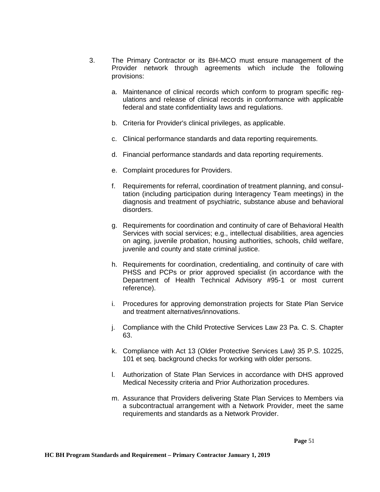- 3. The Primary Contractor or its BH-MCO must ensure management of the Provider network through agreements which include the following provisions:
	- a. Maintenance of clinical records which conform to program specific regulations and release of clinical records in conformance with applicable federal and state confidentiality laws and regulations.
	- b. Criteria for Provider's clinical privileges, as applicable.
	- c. Clinical performance standards and data reporting requirements.
	- d. Financial performance standards and data reporting requirements.
	- e. Complaint procedures for Providers.
	- f. Requirements for referral, coordination of treatment planning, and consultation (including participation during Interagency Team meetings) in the diagnosis and treatment of psychiatric, substance abuse and behavioral disorders.
	- g. Requirements for coordination and continuity of care of Behavioral Health Services with social services; e.g., intellectual disabilities, area agencies on aging, juvenile probation, housing authorities, schools, child welfare, juvenile and county and state criminal justice.
	- h. Requirements for coordination, credentialing, and continuity of care with PHSS and PCPs or prior approved specialist (in accordance with the Department of Health Technical Advisory #95-1 or most current reference).
	- i. Procedures for approving demonstration projects for State Plan Service and treatment alternatives/innovations.
	- j. Compliance with the Child Protective Services Law 23 Pa. C. S. Chapter 63.
	- k. Compliance with Act 13 (Older Protective Services Law) 35 P.S. 10225, 101 et seq. background checks for working with older persons.
	- l. Authorization of State Plan Services in accordance with DHS approved Medical Necessity criteria and Prior Authorization procedures.
	- m. Assurance that Providers delivering State Plan Services to Members via a subcontractual arrangement with a Network Provider, meet the same requirements and standards as a Network Provider.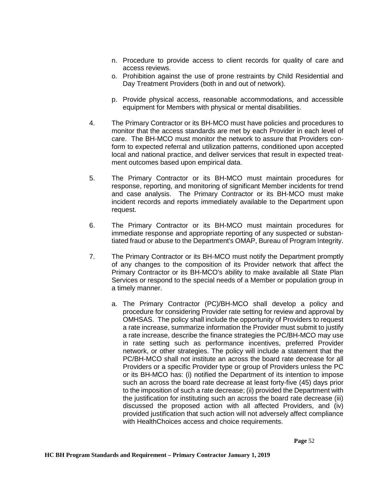- n. Procedure to provide access to client records for quality of care and access reviews.
- o. Prohibition against the use of prone restraints by Child Residential and Day Treatment Providers (both in and out of network).
- p. Provide physical access, reasonable accommodations, and accessible equipment for Members with physical or mental disabilities.
- 4. The Primary Contractor or its BH-MCO must have policies and procedures to monitor that the access standards are met by each Provider in each level of care. The BH-MCO must monitor the network to assure that Providers conform to expected referral and utilization patterns, conditioned upon accepted local and national practice, and deliver services that result in expected treatment outcomes based upon empirical data.
- 5. The Primary Contractor or its BH-MCO must maintain procedures for response, reporting, and monitoring of significant Member incidents for trend and case analysis. The Primary Contractor or its BH-MCO must make incident records and reports immediately available to the Department upon request.
- 6. The Primary Contractor or its BH-MCO must maintain procedures for immediate response and appropriate reporting of any suspected or substantiated fraud or abuse to the Department's OMAP, Bureau of Program Integrity.
- 7. The Primary Contractor or its BH-MCO must notify the Department promptly of any changes to the composition of its Provider network that affect the Primary Contractor or its BH-MCO's ability to make available all State Plan Services or respond to the special needs of a Member or population group in a timely manner.
	- a. The Primary Contractor (PC)/BH-MCO shall develop a policy and procedure for considering Provider rate setting for review and approval by OMHSAS. The policy shall include the opportunity of Providers to request a rate increase, summarize information the Provider must submit to justify a rate increase, describe the finance strategies the PC/BH-MCO may use in rate setting such as performance incentives, preferred Provider network, or other strategies. The policy will include a statement that the PC/BH-MCO shall not institute an across the board rate decrease for all Providers or a specific Provider type or group of Providers unless the PC or its BH-MCO has: (i) notified the Department of its intention to impose such an across the board rate decrease at least forty-five (45) days prior to the imposition of such a rate decrease; (ii) provided the Department with the justification for instituting such an across the board rate decrease (iii) discussed the proposed action with all affected Providers, and (iv) provided justification that such action will not adversely affect compliance with HealthChoices access and choice requirements.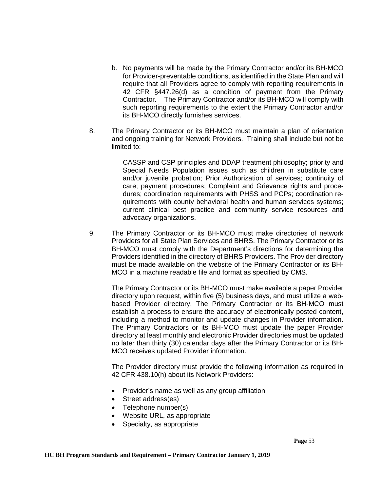- b. No payments will be made by the Primary Contractor and/or its BH-MCO for Provider-preventable conditions, as identified in the State Plan and will require that all Providers agree to comply with reporting requirements in 42 CFR §447.26(d) as a condition of payment from the Primary Contractor. The Primary Contractor and/or its BH-MCO will comply with such reporting requirements to the extent the Primary Contractor and/or its BH-MCO directly furnishes services.
- 8. The Primary Contractor or its BH-MCO must maintain a plan of orientation and ongoing training for Network Providers. Training shall include but not be limited to:

CASSP and CSP principles and DDAP treatment philosophy; priority and Special Needs Population issues such as children in substitute care and/or juvenile probation; Prior Authorization of services; continuity of care; payment procedures; Complaint and Grievance rights and procedures; coordination requirements with PHSS and PCPs; coordination requirements with county behavioral health and human services systems; current clinical best practice and community service resources and advocacy organizations.

9. The Primary Contractor or its BH-MCO must make directories of network Providers for all State Plan Services and BHRS. The Primary Contractor or its BH-MCO must comply with the Department's directions for determining the Providers identified in the directory of BHRS Providers. The Provider directory must be made available on the website of the Primary Contractor or its BH-MCO in a machine readable file and format as specified by CMS.

The Primary Contractor or its BH-MCO must make available a paper Provider directory upon request, within five (5) business days, and must utilize a webbased Provider directory. The Primary Contractor or its BH-MCO must establish a process to ensure the accuracy of electronically posted content, including a method to monitor and update changes in Provider information. The Primary Contractors or its BH-MCO must update the paper Provider directory at least monthly and electronic Provider directories must be updated no later than thirty (30) calendar days after the Primary Contractor or its BH-MCO receives updated Provider information.

The Provider directory must provide the following information as required in 42 CFR 438.10(h) about its Network Providers:

- Provider's name as well as any group affiliation
- Street address(es)
- Telephone number(s)
- Website URL, as appropriate
- Specialty, as appropriate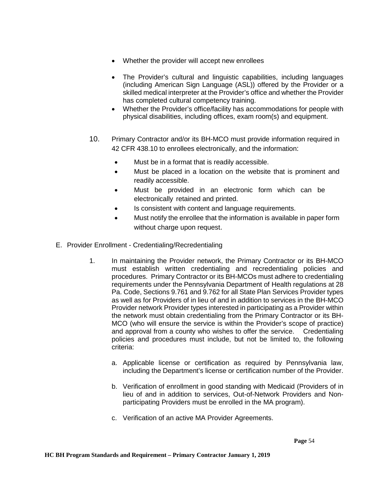- Whether the provider will accept new enrollees
- The Provider's cultural and linguistic capabilities, including languages (including American Sign Language (ASL)) offered by the Provider or a skilled medical interpreter at the Provider's office and whether the Provider has completed cultural competency training.
- Whether the Provider's office/facility has accommodations for people with physical disabilities, including offices, exam room(s) and equipment.
- 10. Primary Contractor and/or its BH-MCO must provide information required in 42 CFR 438.10 to enrollees electronically, and the information:
	- Must be in a format that is readily accessible.
	- Must be placed in a location on the website that is prominent and readily accessible.
	- Must be provided in an electronic form which can be electronically retained and printed.
	- Is consistent with content and language requirements.
	- Must notify the enrollee that the information is available in paper form without charge upon request.
- E. Provider Enrollment Credentialing/Recredentialing
	- 1. In maintaining the Provider network, the Primary Contractor or its BH-MCO must establish written credentialing and recredentialing policies and procedures. Primary Contractor or its BH-MCOs must adhere to credentialing requirements under the Pennsylvania Department of Health regulations at 28 Pa. Code, Sections 9.761 and 9.762 for all State Plan Services Provider types as well as for Providers of in lieu of and in addition to services in the BH-MCO Provider network Provider types interested in participating as a Provider within the network must obtain credentialing from the Primary Contractor or its BH-MCO (who will ensure the service is within the Provider's scope of practice) and approval from a county who wishes to offer the service. Credentialing policies and procedures must include, but not be limited to, the following criteria:
		- a. Applicable license or certification as required by Pennsylvania law, including the Department's license or certification number of the Provider.
		- b. Verification of enrollment in good standing with Medicaid (Providers of in lieu of and in addition to services, Out-of-Network Providers and Nonparticipating Providers must be enrolled in the MA program).
		- c. Verification of an active MA Provider Agreements.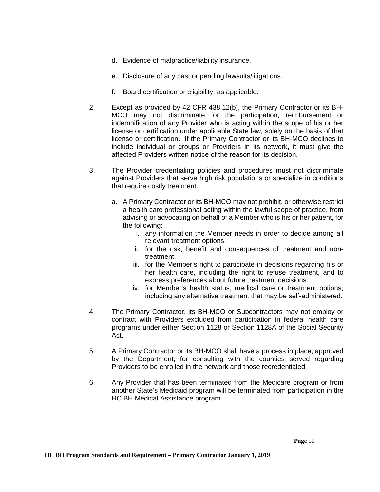- d. Evidence of malpractice/liability insurance.
- e. Disclosure of any past or pending lawsuits/litigations.
- f. Board certification or eligibility, as applicable.
- 2. Except as provided by 42 CFR 438.12(b), the Primary Contractor or its BH-MCO may not discriminate for the participation, reimbursement or indemnification of any Provider who is acting within the scope of his or her license or certification under applicable State law, solely on the basis of that license or certification. If the Primary Contractor or its BH-MCO declines to include individual or groups or Providers in its network, it must give the affected Providers written notice of the reason for its decision.
- 3. The Provider credentialing policies and procedures must not discriminate against Providers that serve high risk populations or specialize in conditions that require costly treatment.
	- a. A Primary Contractor or its BH-MCO may not prohibit, or otherwise restrict a health care professional acting within the lawful scope of practice, from advising or advocating on behalf of a Member who is his or her patient, for the following:
		- i. any information the Member needs in order to decide among all relevant treatment options.
		- ii. for the risk, benefit and consequences of treatment and nontreatment.
		- iii. for the Member's right to participate in decisions regarding his or her health care, including the right to refuse treatment, and to express preferences about future treatment decisions.
		- iv. for Member's health status, medical care or treatment options, including any alternative treatment that may be self-administered.
- 4. The Primary Contractor, its BH-MCO or Subcontractors may not employ or contract with Providers excluded from participation in federal health care programs under either Section 1128 or Section 1128A of the Social Security Act.
- 5. A Primary Contractor or its BH-MCO shall have a process in place, approved by the Department, for consulting with the counties served regarding Providers to be enrolled in the network and those recredentialed.
- 6. Any Provider that has been terminated from the Medicare program or from another State's Medicaid program will be terminated from participation in the HC BH Medical Assistance program.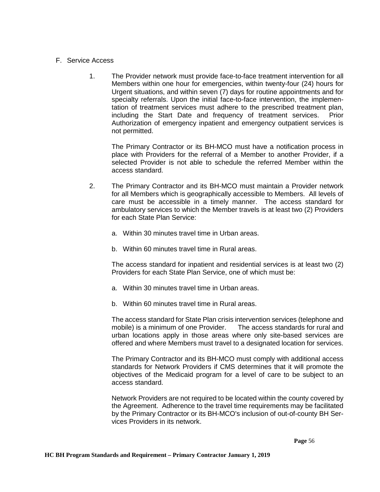### F. Service Access

1. The Provider network must provide face-to-face treatment intervention for all Members within one hour for emergencies, within twenty-four (24) hours for Urgent situations, and within seven (7) days for routine appointments and for specialty referrals. Upon the initial face-to-face intervention, the implementation of treatment services must adhere to the prescribed treatment plan, including the Start Date and frequency of treatment services. Prior Authorization of emergency inpatient and emergency outpatient services is not permitted.

The Primary Contractor or its BH-MCO must have a notification process in place with Providers for the referral of a Member to another Provider, if a selected Provider is not able to schedule the referred Member within the access standard.

- 2. The Primary Contractor and its BH-MCO must maintain a Provider network for all Members which is geographically accessible to Members. All levels of care must be accessible in a timely manner. The access standard for ambulatory services to which the Member travels is at least two (2) Providers for each State Plan Service:
	- a. Within 30 minutes travel time in Urban areas.
	- b. Within 60 minutes travel time in Rural areas.

The access standard for inpatient and residential services is at least two (2) Providers for each State Plan Service, one of which must be:

- a. Within 30 minutes travel time in Urban areas.
- b. Within 60 minutes travel time in Rural areas.

The access standard for State Plan crisis intervention services (telephone and mobile) is a minimum of one Provider. The access standards for rural and urban locations apply in those areas where only site-based services are offered and where Members must travel to a designated location for services.

The Primary Contractor and its BH-MCO must comply with additional access standards for Network Providers if CMS determines that it will promote the objectives of the Medicaid program for a level of care to be subject to an access standard.

Network Providers are not required to be located within the county covered by the Agreement. Adherence to the travel time requirements may be facilitated by the Primary Contractor or its BH-MCO's inclusion of out-of-county BH Services Providers in its network.

 **Page** 56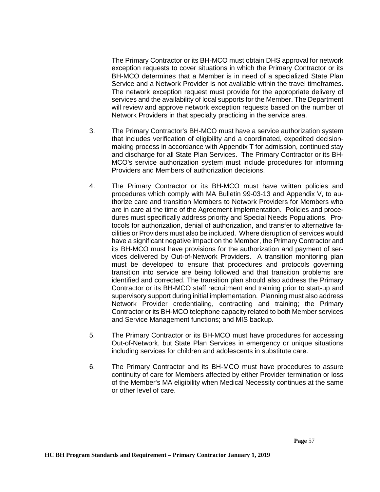The Primary Contractor or its BH-MCO must obtain DHS approval for network exception requests to cover situations in which the Primary Contractor or its BH-MCO determines that a Member is in need of a specialized State Plan Service and a Network Provider is not available within the travel timeframes. The network exception request must provide for the appropriate delivery of services and the availability of local supports for the Member. The Department will review and approve network exception requests based on the number of Network Providers in that specialty practicing in the service area.

- 3. The Primary Contractor's BH-MCO must have a service authorization system that includes verification of eligibility and a coordinated, expedited decisionmaking process in accordance with Appendix T for admission, continued stay and discharge for all State Plan Services. The Primary Contractor or its BH-MCO's service authorization system must include procedures for informing Providers and Members of authorization decisions.
- 4. The Primary Contractor or its BH-MCO must have written policies and procedures which comply with MA Bulletin 99-03-13 and Appendix V, to authorize care and transition Members to Network Providers for Members who are in care at the time of the Agreement implementation. Policies and procedures must specifically address priority and Special Needs Populations. Protocols for authorization, denial of authorization, and transfer to alternative facilities or Providers must also be included. Where disruption of services would have a significant negative impact on the Member, the Primary Contractor and its BH-MCO must have provisions for the authorization and payment of services delivered by Out-of-Network Providers. A transition monitoring plan must be developed to ensure that procedures and protocols governing transition into service are being followed and that transition problems are identified and corrected. The transition plan should also address the Primary Contractor or its BH-MCO staff recruitment and training prior to start-up and supervisory support during initial implementation. Planning must also address Network Provider credentialing, contracting and training; the Primary Contractor or its BH-MCO telephone capacity related to both Member services and Service Management functions; and MIS backup.
- 5. The Primary Contractor or its BH-MCO must have procedures for accessing Out-of-Network, but State Plan Services in emergency or unique situations including services for children and adolescents in substitute care.
- 6. The Primary Contractor and its BH-MCO must have procedures to assure continuity of care for Members affected by either Provider termination or loss of the Member's MA eligibility when Medical Necessity continues at the same or other level of care.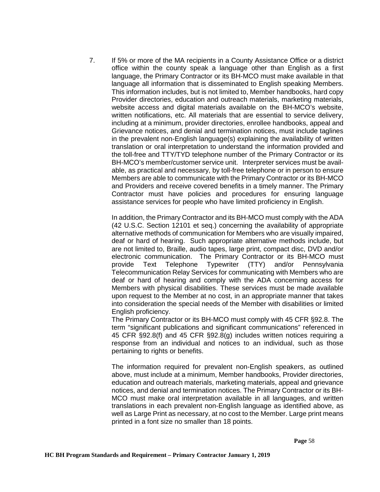7. If 5% or more of the MA recipients in a County Assistance Office or a district office within the county speak a language other than English as a first language, the Primary Contractor or its BH-MCO must make available in that language all information that is disseminated to English speaking Members. This information includes, but is not limited to, Member handbooks, hard copy Provider directories, education and outreach materials, marketing materials, website access and digital materials available on the BH-MCO's website, written notifications, etc. All materials that are essential to service delivery, including at a minimum, provider directories, enrollee handbooks, appeal and Grievance notices, and denial and termination notices, must include taglines in the prevalent non-English language(s) explaining the availability of written translation or oral interpretation to understand the information provided and the toll-free and TTY/TYD telephone number of the Primary Contractor or its BH-MCO's member/customer service unit. Interpreter services must be available, as practical and necessary, by toll-free telephone or in person to ensure Members are able to communicate with the Primary Contractor or its BH-MCO and Providers and receive covered benefits in a timely manner. The Primary Contractor must have policies and procedures for ensuring language assistance services for people who have limited proficiency in English.

In addition, the Primary Contractor and its BH-MCO must comply with the ADA (42 U.S.C. Section 12101 et seq.) concerning the availability of appropriate alternative methods of communication for Members who are visually impaired, deaf or hard of hearing. Such appropriate alternative methods include, but are not limited to, Braille, audio tapes, large print, compact disc, DVD and/or electronic communication. The Primary Contractor or its BH-MCO must provide Text Telephone Typewriter (TTY) and/or Pennsylvania Telecommunication Relay Services for communicating with Members who are deaf or hard of hearing and comply with the ADA concerning access for Members with physical disabilities. These services must be made available upon request to the Member at no cost, in an appropriate manner that takes into consideration the special needs of the Member with disabilities or limited English proficiency.

The Primary Contractor or its BH-MCO must comply with 45 CFR §92.8. The term "significant publications and significant communications" referenced in 45 CFR §92.8(f) and 45 CFR §92.8(g) includes written notices requiring a response from an individual and notices to an individual, such as those pertaining to rights or benefits.

The information required for prevalent non-English speakers, as outlined above, must include at a minimum, Member handbooks, Provider directories, education and outreach materials, marketing materials, appeal and grievance notices, and denial and termination notices. The Primary Contractor or its BH-MCO must make oral interpretation available in all languages, and written translations in each prevalent non-English language as identified above, as well as Large Print as necessary, at no cost to the Member. Large print means printed in a font size no smaller than 18 points.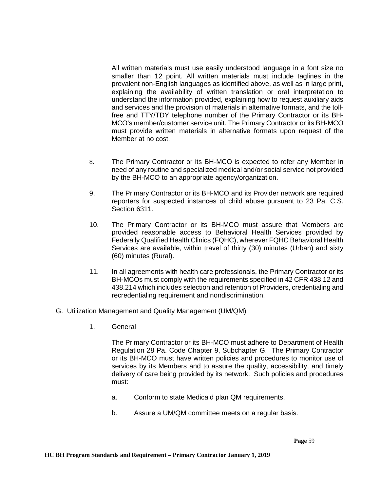All written materials must use easily understood language in a font size no smaller than 12 point. All written materials must include taglines in the prevalent non-English languages as identified above, as well as in large print, explaining the availability of written translation or oral interpretation to understand the information provided, explaining how to request auxiliary aids and services and the provision of materials in alternative formats, and the tollfree and TTY/TDY telephone number of the Primary Contractor or its BH-MCO's member/customer service unit. The Primary Contractor or its BH-MCO must provide written materials in alternative formats upon request of the Member at no cost.

- 8. The Primary Contractor or its BH-MCO is expected to refer any Member in need of any routine and specialized medical and/or social service not provided by the BH-MCO to an appropriate agency/organization.
- 9. The Primary Contractor or its BH-MCO and its Provider network are required reporters for suspected instances of child abuse pursuant to 23 Pa. C.S. Section 6311.
- 10. The Primary Contractor or its BH-MCO must assure that Members are provided reasonable access to Behavioral Health Services provided by Federally Qualified Health Clinics (FQHC), wherever FQHC Behavioral Health Services are available, within travel of thirty (30) minutes (Urban) and sixty (60) minutes (Rural).
- 11. In all agreements with health care professionals, the Primary Contractor or its BH-MCOs must comply with the requirements specified in 42 CFR 438.12 and 438.214 which includes selection and retention of Providers, credentialing and recredentialing requirement and nondiscrimination.
- G. Utilization Management and Quality Management (UM/QM)
	- 1. General

The Primary Contractor or its BH-MCO must adhere to Department of Health Regulation 28 Pa. Code Chapter 9, Subchapter G. The Primary Contractor or its BH-MCO must have written policies and procedures to monitor use of services by its Members and to assure the quality, accessibility, and timely delivery of care being provided by its network. Such policies and procedures must:

- a. Conform to state Medicaid plan QM requirements.
- b. Assure a UM/QM committee meets on a regular basis.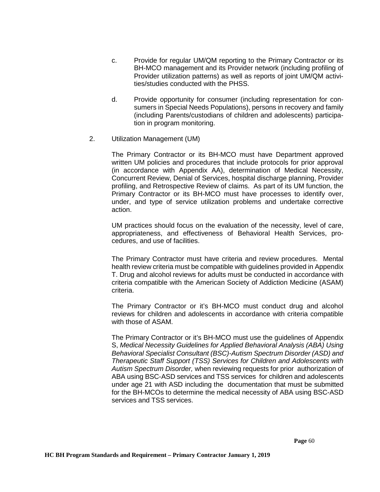- c. Provide for regular UM/QM reporting to the Primary Contractor or its BH-MCO management and its Provider network (including profiling of Provider utilization patterns) as well as reports of joint UM/QM activities/studies conducted with the PHSS.
- d. Provide opportunity for consumer (including representation for consumers in Special Needs Populations), persons in recovery and family (including Parents/custodians of children and adolescents) participation in program monitoring.
- 2. Utilization Management (UM)

The Primary Contractor or its BH-MCO must have Department approved written UM policies and procedures that include protocols for prior approval (in accordance with Appendix AA), determination of Medical Necessity, Concurrent Review, Denial of Services, hospital discharge planning, Provider profiling, and Retrospective Review of claims. As part of its UM function, the Primary Contractor or its BH-MCO must have processes to identify over, under, and type of service utilization problems and undertake corrective action.

UM practices should focus on the evaluation of the necessity, level of care, appropriateness, and effectiveness of Behavioral Health Services, procedures, and use of facilities.

The Primary Contractor must have criteria and review procedures. Mental health review criteria must be compatible with guidelines provided in Appendix T. Drug and alcohol reviews for adults must be conducted in accordance with criteria compatible with the American Society of Addiction Medicine (ASAM) criteria.

The Primary Contractor or it's BH-MCO must conduct drug and alcohol reviews for children and adolescents in accordance with criteria compatible with those of ASAM.

The Primary Contractor or it's BH-MCO must use the guidelines of Appendix S, *Medical Necessity Guidelines for Applied Behavioral Analysis (ABA) Using Behavioral Specialist Consultant (BSC)-Autism Spectrum Disorder (ASD) and Therapeutic Staff Support (TSS) Services for Children and Adolescents with Autism Spectrum Disorder,* when reviewing requests for prior authorization of ABA using BSC-ASD services and TSS services for children and adolescents under age 21 with ASD including the documentation that must be submitted for the BH-MCOs to determine the medical necessity of ABA using BSC-ASD services and TSS services.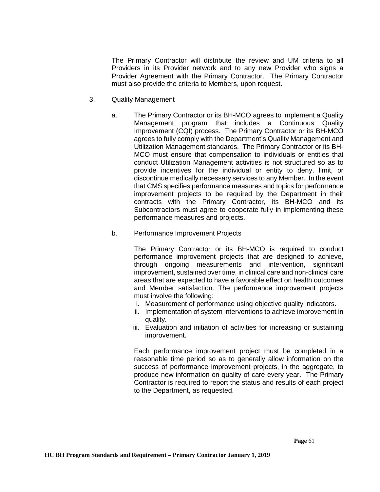The Primary Contractor will distribute the review and UM criteria to all Providers in its Provider network and to any new Provider who signs a Provider Agreement with the Primary Contractor. The Primary Contractor must also provide the criteria to Members, upon request.

- 3. Quality Management
	- a. The Primary Contractor or its BH-MCO agrees to implement a Quality Management program that includes a Continuous Quality Improvement (CQI) process. The Primary Contractor or its BH-MCO agrees to fully comply with the Department's Quality Management and Utilization Management standards. The Primary Contractor or its BH-MCO must ensure that compensation to individuals or entities that conduct Utilization Management activities is not structured so as to provide incentives for the individual or entity to deny, limit, or discontinue medically necessary services to any Member. In the event that CMS specifies performance measures and topics for performance improvement projects to be required by the Department in their contracts with the Primary Contractor, its BH-MCO and its Subcontractors must agree to cooperate fully in implementing these performance measures and projects.
	- b. Performance Improvement Projects

The Primary Contractor or its BH-MCO is required to conduct performance improvement projects that are designed to achieve, through ongoing measurements and intervention, significant improvement, sustained over time, in clinical care and non-clinical care areas that are expected to have a favorable effect on health outcomes and Member satisfaction. The performance improvement projects must involve the following:

- i. Measurement of performance using objective quality indicators.
- ii. Implementation of system interventions to achieve improvement in quality.
- iii. Evaluation and initiation of activities for increasing or sustaining improvement.

Each performance improvement project must be completed in a reasonable time period so as to generally allow information on the success of performance improvement projects, in the aggregate, to produce new information on quality of care every year. The Primary Contractor is required to report the status and results of each project to the Department, as requested.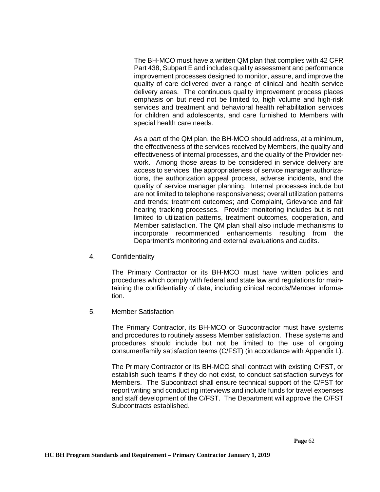The BH-MCO must have a written QM plan that complies with 42 CFR Part 438, Subpart E and includes quality assessment and performance improvement processes designed to monitor, assure, and improve the quality of care delivered over a range of clinical and health service delivery areas. The continuous quality improvement process places emphasis on but need not be limited to, high volume and high-risk services and treatment and behavioral health rehabilitation services for children and adolescents, and care furnished to Members with special health care needs.

As a part of the QM plan, the BH-MCO should address, at a minimum, the effectiveness of the services received by Members, the quality and effectiveness of internal processes, and the quality of the Provider network. Among those areas to be considered in service delivery are access to services, the appropriateness of service manager authorizations, the authorization appeal process, adverse incidents, and the quality of service manager planning. Internal processes include but are not limited to telephone responsiveness; overall utilization patterns and trends; treatment outcomes; and Complaint, Grievance and fair hearing tracking processes. Provider monitoring includes but is not limited to utilization patterns, treatment outcomes, cooperation, and Member satisfaction. The QM plan shall also include mechanisms to incorporate recommended enhancements resulting from the Department's monitoring and external evaluations and audits.

4. Confidentiality

The Primary Contractor or its BH-MCO must have written policies and procedures which comply with federal and state law and regulations for maintaining the confidentiality of data, including clinical records/Member information.

5. Member Satisfaction

The Primary Contractor, its BH-MCO or Subcontractor must have systems and procedures to routinely assess Member satisfaction. These systems and procedures should include but not be limited to the use of ongoing consumer/family satisfaction teams (C/FST) (in accordance with Appendix L).

The Primary Contractor or its BH-MCO shall contract with existing C/FST, or establish such teams if they do not exist, to conduct satisfaction surveys for Members. The Subcontract shall ensure technical support of the C/FST for report writing and conducting interviews and include funds for travel expenses and staff development of the C/FST. The Department will approve the C/FST Subcontracts established.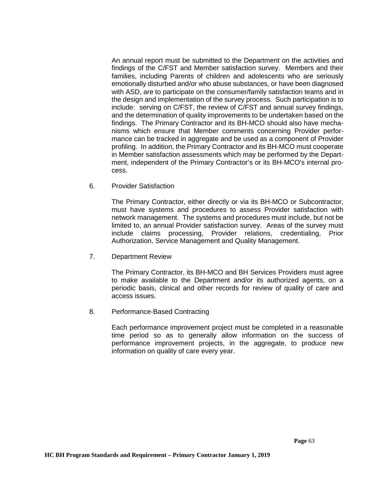An annual report must be submitted to the Department on the activities and findings of the C/FST and Member satisfaction survey. Members and their families, including Parents of children and adolescents who are seriously emotionally disturbed and/or who abuse substances, or have been diagnosed with ASD, are to participate on the consumer/family satisfaction teams and in the design and implementation of the survey process. Such participation is to include: serving on C/FST, the review of C/FST and annual survey findings, and the determination of quality improvements to be undertaken based on the findings. The Primary Contractor and its BH-MCO should also have mechanisms which ensure that Member comments concerning Provider performance can be tracked in aggregate and be used as a component of Provider profiling. In addition, the Primary Contractor and its BH-MCO must cooperate in Member satisfaction assessments which may be performed by the Department, independent of the Primary Contractor's or its BH-MCO's internal process.

6. Provider Satisfaction

The Primary Contractor, either directly or via its BH-MCO or Subcontractor, must have systems and procedures to assess Provider satisfaction with network management. The systems and procedures must include, but not be limited to, an annual Provider satisfaction survey. Areas of the survey must include claims processing, Provider relations, credentialing, Prior Authorization, Service Management and Quality Management.

7. Department Review

The Primary Contractor, its BH-MCO and BH Services Providers must agree to make available to the Department and/or its authorized agents, on a periodic basis, clinical and other records for review of quality of care and access issues.

8. Performance-Based Contracting

Each performance improvement project must be completed in a reasonable time period so as to generally allow information on the success of performance improvement projects, in the aggregate, to produce new information on quality of care every year.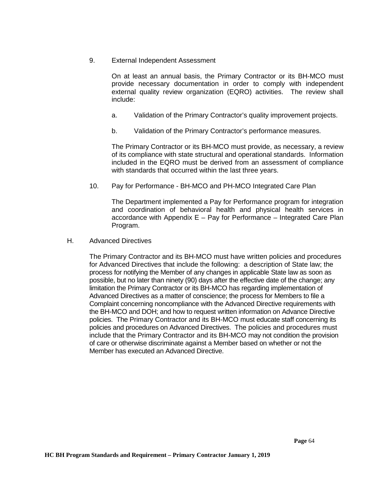9. External Independent Assessment

On at least an annual basis, the Primary Contractor or its BH-MCO must provide necessary documentation in order to comply with independent external quality review organization (EQRO) activities. The review shall include:

- a. Validation of the Primary Contractor's quality improvement projects.
- b. Validation of the Primary Contractor's performance measures.

The Primary Contractor or its BH-MCO must provide, as necessary, a review of its compliance with state structural and operational standards. Information included in the EQRO must be derived from an assessment of compliance with standards that occurred within the last three years.

10. Pay for Performance - BH-MCO and PH-MCO Integrated Care Plan

The Department implemented a Pay for Performance program for integration and coordination of behavioral health and physical health services in accordance with Appendix E – Pay for Performance – Integrated Care Plan Program.

H. Advanced Directives

The Primary Contractor and its BH-MCO must have written policies and procedures for Advanced Directives that include the following: a description of State law; the process for notifying the Member of any changes in applicable State law as soon as possible, but no later than ninety (90) days after the effective date of the change; any limitation the Primary Contractor or its BH-MCO has regarding implementation of Advanced Directives as a matter of conscience; the process for Members to file a Complaint concerning noncompliance with the Advanced Directive requirements with the BH-MCO and DOH; and how to request written information on Advance Directive policies. The Primary Contractor and its BH-MCO must educate staff concerning its policies and procedures on Advanced Directives. The policies and procedures must include that the Primary Contractor and its BH-MCO may not condition the provision of care or otherwise discriminate against a Member based on whether or not the Member has executed an Advanced Directive.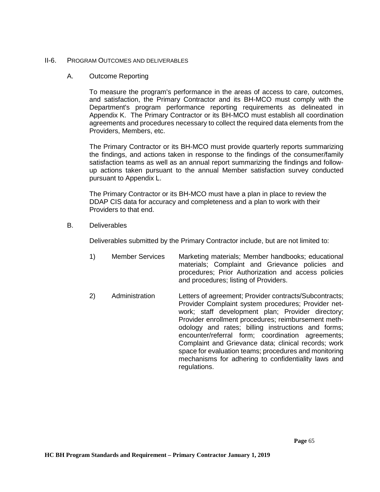#### II-6. PROGRAM OUTCOMES AND DELIVERABLES

### A. Outcome Reporting

To measure the program's performance in the areas of access to care, outcomes, and satisfaction, the Primary Contractor and its BH-MCO must comply with the Department's program performance reporting requirements as delineated in Appendix K. The Primary Contractor or its BH-MCO must establish all coordination agreements and procedures necessary to collect the required data elements from the Providers, Members, etc.

The Primary Contractor or its BH-MCO must provide quarterly reports summarizing the findings, and actions taken in response to the findings of the consumer/family satisfaction teams as well as an annual report summarizing the findings and followup actions taken pursuant to the annual Member satisfaction survey conducted pursuant to Appendix L.

The Primary Contractor or its BH-MCO must have a plan in place to review the DDAP CIS data for accuracy and completeness and a plan to work with their Providers to that end.

B. Deliverables

Deliverables submitted by the Primary Contractor include, but are not limited to:

- 1) Member Services Marketing materials; Member handbooks; educational materials; Complaint and Grievance policies and procedures; Prior Authorization and access policies and procedures; listing of Providers.
- 2) Administration Letters of agreement; Provider contracts/Subcontracts; Provider Complaint system procedures; Provider network; staff development plan; Provider directory; Provider enrollment procedures; reimbursement methodology and rates; billing instructions and forms; encounter/referral form; coordination agreements; Complaint and Grievance data; clinical records; work space for evaluation teams; procedures and monitoring mechanisms for adhering to confidentiality laws and regulations.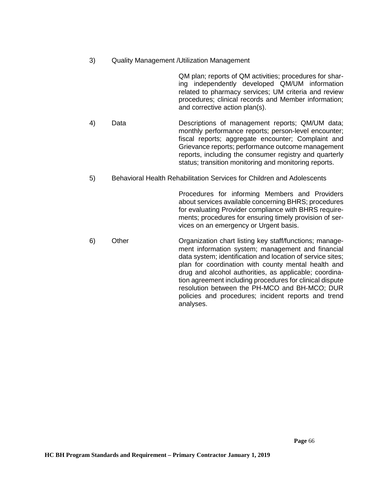3) Quality Management /Utilization Management

QM plan; reports of QM activities; procedures for sharing independently developed QM/UM information related to pharmacy services; UM criteria and review procedures; clinical records and Member information; and corrective action plan(s).

- 4) Data Descriptions of management reports; QM/UM data; monthly performance reports; person-level encounter; fiscal reports; aggregate encounter; Complaint and Grievance reports; performance outcome management reports, including the consumer registry and quarterly status; transition monitoring and monitoring reports.
- 5) Behavioral Health Rehabilitation Services for Children and Adolescents

Procedures for informing Members and Providers about services available concerning BHRS; procedures for evaluating Provider compliance with BHRS requirements; procedures for ensuring timely provision of services on an emergency or Urgent basis.

6) Other Organization chart listing key staff/functions; management information system; management and financial data system; identification and location of service sites; plan for coordination with county mental health and drug and alcohol authorities, as applicable; coordination agreement including procedures for clinical dispute resolution between the PH-MCO and BH-MCO; DUR policies and procedures; incident reports and trend analyses.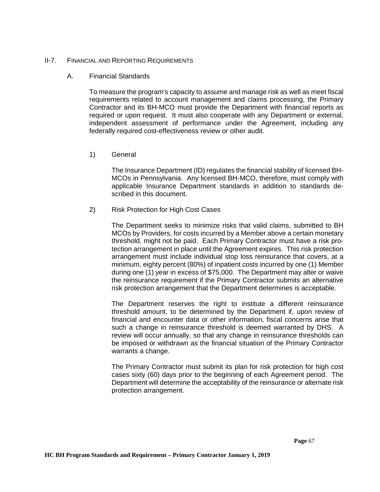#### II-7. FINANCIAL AND REPORTING REQUIREMENTS

### A. Financial Standards

To measure the program's capacity to assume and manage risk as well as meet fiscal requirements related to account management and claims processing, the Primary Contractor and its BH-MCO must provide the Department with financial reports as required or upon request. It must also cooperate with any Department or external, independent assessment of performance under the Agreement, including any federally required cost-effectiveness review or other audit.

1) General

The Insurance Department (ID) regulates the financial stability of licensed BH-MCOs in Pennsylvania. Any licensed BH-MCO, therefore, must comply with applicable Insurance Department standards in addition to standards described in this document.

2) Risk Protection for High Cost Cases

The Department seeks to minimize risks that valid claims, submitted to BH MCOs by Providers, for costs incurred by a Member above a certain monetary threshold, might not be paid. Each Primary Contractor must have a risk protection arrangement in place until the Agreement expires. This risk protection arrangement must include individual stop loss reinsurance that covers, at a minimum, eighty percent (80%) of inpatient costs incurred by one (1) Member during one (1) year in excess of \$75,000. The Department may alter or waive the reinsurance requirement if the Primary Contractor submits an alternative risk protection arrangement that the Department determines is acceptable.

The Department reserves the right to institute a different reinsurance threshold amount, to be determined by the Department if, upon review of financial and encounter data or other information, fiscal concerns arise that such a change in reinsurance threshold is deemed warranted by DHS. A review will occur annually, so that any change in reinsurance thresholds can be imposed or withdrawn as the financial situation of the Primary Contractor warrants a change.

The Primary Contractor must submit its plan for risk protection for high cost cases sixty (60) days prior to the beginning of each Agreement period. The Department will determine the acceptability of the reinsurance or alternate risk protection arrangement.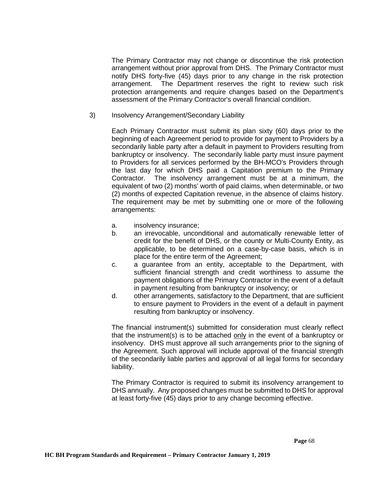The Primary Contractor may not change or discontinue the risk protection arrangement without prior approval from DHS. The Primary Contractor must notify DHS forty-five (45) days prior to any change in the risk protection arrangement. The Department reserves the right to review such risk protection arrangements and require changes based on the Department's assessment of the Primary Contractor's overall financial condition.

3) Insolvency Arrangement/Secondary Liability

Each Primary Contractor must submit its plan sixty (60) days prior to the beginning of each Agreement period to provide for payment to Providers by a secondarily liable party after a default in payment to Providers resulting from bankruptcy or insolvency. The secondarily liable party must insure payment to Providers for all services performed by the BH-MCO's Providers through the last day for which DHS paid a Capitation premium to the Primary Contractor. The insolvency arrangement must be at a minimum, the equivalent of two (2) months' worth of paid claims, when determinable, or two (2) months of expected Capitation revenue, in the absence of claims history. The requirement may be met by submitting one or more of the following arrangements:

- a. insolvency insurance;
- b. an irrevocable, unconditional and automatically renewable letter of credit for the benefit of DHS, or the county or Multi-County Entity, as applicable, to be determined on a case-by-case basis, which is in place for the entire term of the Agreement;
- c. a guarantee from an entity, acceptable to the Department, with sufficient financial strength and credit worthiness to assume the payment obligations of the Primary Contractor in the event of a default in payment resulting from bankruptcy or insolvency; or
- d. other arrangements, satisfactory to the Department, that are sufficient to ensure payment to Providers in the event of a default in payment resulting from bankruptcy or insolvency.

The financial instrument(s) submitted for consideration must clearly reflect that the instrument(s) is to be attached only in the event of a bankruptcy or insolvency. DHS must approve all such arrangements prior to the signing of the Agreement. Such approval will include approval of the financial strength of the secondarily liable parties and approval of all legal forms for secondary liability.

The Primary Contractor is required to submit its insolvency arrangement to DHS annually. Any proposed changes must be submitted to DHS for approval at least forty-five (45) days prior to any change becoming effective.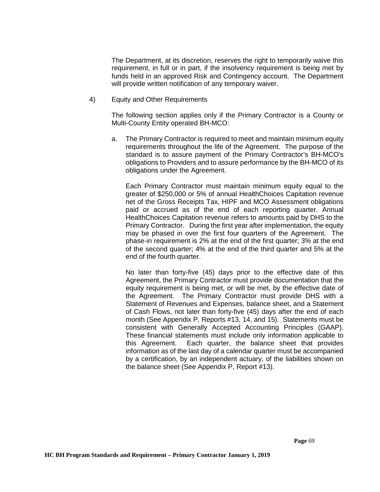The Department, at its discretion, reserves the right to temporarily waive this requirement, in full or in part, if the insolvency requirement is being met by funds held in an approved Risk and Contingency account. The Department will provide written notification of any temporary waiver.

4) Equity and Other Requirements

The following section applies only if the Primary Contractor is a County or Multi-County Entity operated BH-MCO:

a. The Primary Contractor is required to meet and maintain minimum equity requirements throughout the life of the Agreement. The purpose of the standard is to assure payment of the Primary Contractor's BH-MCO's obligations to Providers and to assure performance by the BH-MCO of its obligations under the Agreement.

Each Primary Contractor must maintain minimum equity equal to the greater of \$250,000 or 5% of annual HealthChoices Capitation revenue net of the Gross Receipts Tax, HIPF and MCO Assessment obligations paid or accrued as of the end of each reporting quarter. Annual HealthChoices Capitation revenue refers to amounts paid by DHS to the Primary Contractor. During the first year after implementation, the equity may be phased in over the first four quarters of the Agreement. The phase-in requirement is 2% at the end of the first quarter; 3% at the end of the second quarter; 4% at the end of the third quarter and 5% at the end of the fourth quarter.

No later than forty-five (45) days prior to the effective date of this Agreement, the Primary Contractor must provide documentation that the equity requirement is being met, or will be met, by the effective date of the Agreement. The Primary Contractor must provide DHS with a Statement of Revenues and Expenses, balance sheet, and a Statement of Cash Flows, not later than forty-five (45) days after the end of each month (See Appendix P, Reports #13, 14, and 15). Statements must be consistent with Generally Accepted Accounting Principles (GAAP). These financial statements must include only information applicable to this Agreement. Each quarter, the balance sheet that provides information as of the last day of a calendar quarter must be accompanied by a certification, by an independent actuary, of the liabilities shown on the balance sheet (See Appendix P, Report #13).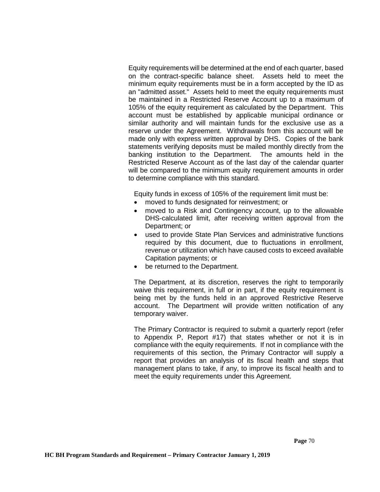Equity requirements will be determined at the end of each quarter, based on the contract-specific balance sheet. Assets held to meet the minimum equity requirements must be in a form accepted by the ID as an "admitted asset." Assets held to meet the equity requirements must be maintained in a Restricted Reserve Account up to a maximum of 105% of the equity requirement as calculated by the Department. This account must be established by applicable municipal ordinance or similar authority and will maintain funds for the exclusive use as a reserve under the Agreement. Withdrawals from this account will be made only with express written approval by DHS. Copies of the bank statements verifying deposits must be mailed monthly directly from the banking institution to the Department. The amounts held in the Restricted Reserve Account as of the last day of the calendar quarter will be compared to the minimum equity requirement amounts in order to determine compliance with this standard.

Equity funds in excess of 105% of the requirement limit must be:

- moved to funds designated for reinvestment; or
- moved to a Risk and Contingency account, up to the allowable DHS-calculated limit, after receiving written approval from the Department; or
- used to provide State Plan Services and administrative functions required by this document, due to fluctuations in enrollment, revenue or utilization which have caused costs to exceed available Capitation payments; or
- be returned to the Department.

The Department, at its discretion, reserves the right to temporarily waive this requirement, in full or in part, if the equity requirement is being met by the funds held in an approved Restrictive Reserve account. The Department will provide written notification of any temporary waiver.

The Primary Contractor is required to submit a quarterly report (refer to Appendix P, Report #17) that states whether or not it is in compliance with the equity requirements. If not in compliance with the requirements of this section, the Primary Contractor will supply a report that provides an analysis of its fiscal health and steps that management plans to take, if any, to improve its fiscal health and to meet the equity requirements under this Agreement.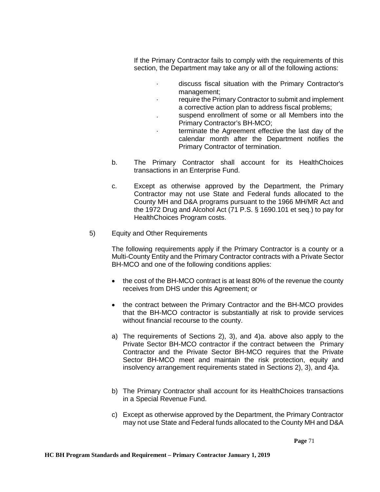If the Primary Contractor fails to comply with the requirements of this section, the Department may take any or all of the following actions:

- · discuss fiscal situation with the Primary Contractor's management;
- require the Primary Contractor to submit and implement a corrective action plan to address fiscal problems;
- suspend enrollment of some or all Members into the Primary Contractor's BH-MCO;
	- terminate the Agreement effective the last day of the calendar month after the Department notifies the Primary Contractor of termination.
- b. The Primary Contractor shall account for its HealthChoices transactions in an Enterprise Fund.
- c. Except as otherwise approved by the Department, the Primary Contractor may not use State and Federal funds allocated to the County MH and D&A programs pursuant to the 1966 MH/MR Act and the 1972 Drug and Alcohol Act (71 P.S. § 1690.101 et seq.) to pay for HealthChoices Program costs.
- 5) Equity and Other Requirements

The following requirements apply if the Primary Contractor is a county or a Multi-County Entity and the Primary Contractor contracts with a Private Sector BH-MCO and one of the following conditions applies:

- the cost of the BH-MCO contract is at least 80% of the revenue the county receives from DHS under this Agreement; or
- the contract between the Primary Contractor and the BH-MCO provides that the BH-MCO contractor is substantially at risk to provide services without financial recourse to the county.
- a) The requirements of Sections 2), 3), and 4)a. above also apply to the Private Sector BH-MCO contractor if the contract between the Primary Contractor and the Private Sector BH-MCO requires that the Private Sector BH-MCO meet and maintain the risk protection, equity and insolvency arrangement requirements stated in Sections 2), 3), and 4)a.
- b) The Primary Contractor shall account for its HealthChoices transactions in a Special Revenue Fund.
- c) Except as otherwise approved by the Department, the Primary Contractor may not use State and Federal funds allocated to the County MH and D&A

 **Page** 71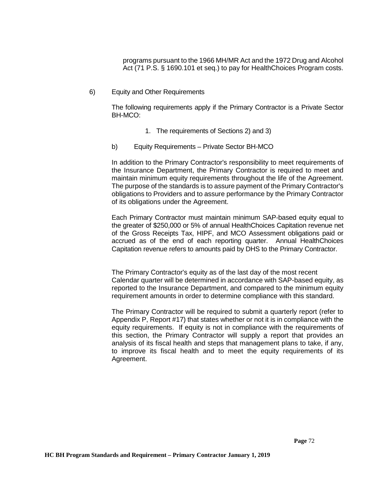programs pursuant to the 1966 MH/MR Act and the 1972 Drug and Alcohol Act (71 P.S. § 1690.101 et seq.) to pay for HealthChoices Program costs.

6) Equity and Other Requirements

The following requirements apply if the Primary Contractor is a Private Sector BH-MCO:

- 1. The requirements of Sections 2) and 3)
- b) Equity Requirements Private Sector BH-MCO

In addition to the Primary Contractor's responsibility to meet requirements of the Insurance Department, the Primary Contractor is required to meet and maintain minimum equity requirements throughout the life of the Agreement. The purpose of the standards is to assure payment of the Primary Contractor's obligations to Providers and to assure performance by the Primary Contractor of its obligations under the Agreement.

Each Primary Contractor must maintain minimum SAP-based equity equal to the greater of \$250,000 or 5% of annual HealthChoices Capitation revenue net of the Gross Receipts Tax, HIPF, and MCO Assessment obligations paid or accrued as of the end of each reporting quarter. Annual HealthChoices Capitation revenue refers to amounts paid by DHS to the Primary Contractor.

The Primary Contractor's equity as of the last day of the most recent Calendar quarter will be determined in accordance with SAP-based equity, as reported to the Insurance Department, and compared to the minimum equity requirement amounts in order to determine compliance with this standard.

The Primary Contractor will be required to submit a quarterly report (refer to Appendix P, Report #17) that states whether or not it is in compliance with the equity requirements. If equity is not in compliance with the requirements of this section, the Primary Contractor will supply a report that provides an analysis of its fiscal health and steps that management plans to take, if any, to improve its fiscal health and to meet the equity requirements of its Agreement.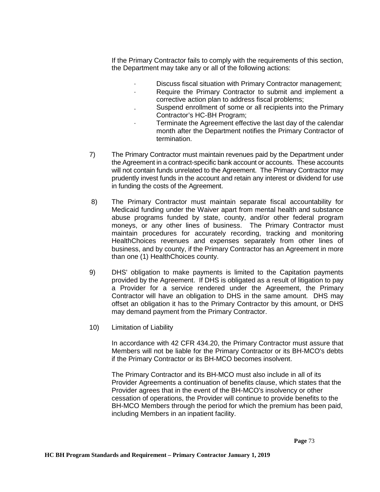If the Primary Contractor fails to comply with the requirements of this section, the Department may take any or all of the following actions:

- · Discuss fiscal situation with Primary Contractor management;
- Require the Primary Contractor to submit and implement a corrective action plan to address fiscal problems;
- . Suspend enrollment of some or all recipients into the Primary Contractor's HC-BH Program;
- Terminate the Agreement effective the last day of the calendar month after the Department notifies the Primary Contractor of termination.
- 7) The Primary Contractor must maintain revenues paid by the Department under the Agreement in a contract-specific bank account or accounts. These accounts will not contain funds unrelated to the Agreement. The Primary Contractor may prudently invest funds in the account and retain any interest or dividend for use in funding the costs of the Agreement.
- 8) The Primary Contractor must maintain separate fiscal accountability for Medicaid funding under the Waiver apart from mental health and substance abuse programs funded by state, county, and/or other federal program moneys, or any other lines of business. The Primary Contractor must maintain procedures for accurately recording, tracking and monitoring HealthChoices revenues and expenses separately from other lines of business, and by county, if the Primary Contractor has an Agreement in more than one (1) HealthChoices county.
- 9) DHS' obligation to make payments is limited to the Capitation payments provided by the Agreement. If DHS is obligated as a result of litigation to pay a Provider for a service rendered under the Agreement, the Primary Contractor will have an obligation to DHS in the same amount. DHS may offset an obligation it has to the Primary Contractor by this amount, or DHS may demand payment from the Primary Contractor.
- 10) Limitation of Liability

In accordance with 42 CFR 434.20, the Primary Contractor must assure that Members will not be liable for the Primary Contractor or its BH-MCO's debts if the Primary Contractor or its BH-MCO becomes insolvent.

The Primary Contractor and its BH-MCO must also include in all of its Provider Agreements a continuation of benefits clause, which states that the Provider agrees that in the event of the BH-MCO's insolvency or other cessation of operations, the Provider will continue to provide benefits to the BH-MCO Members through the period for which the premium has been paid, including Members in an inpatient facility.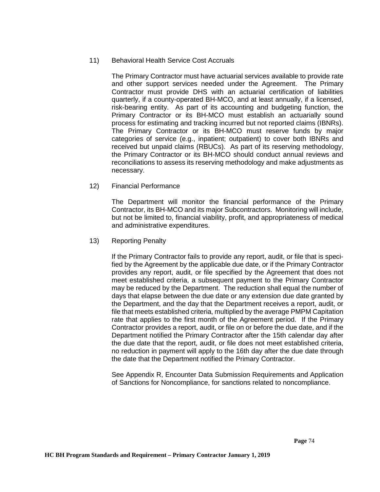## 11) Behavioral Health Service Cost Accruals

The Primary Contractor must have actuarial services available to provide rate and other support services needed under the Agreement. The Primary Contractor must provide DHS with an actuarial certification of liabilities quarterly, if a county-operated BH-MCO, and at least annually, if a licensed, risk-bearing entity. As part of its accounting and budgeting function, the Primary Contractor or its BH-MCO must establish an actuarially sound process for estimating and tracking incurred but not reported claims (IBNRs). The Primary Contractor or its BH-MCO must reserve funds by major categories of service (e.g., inpatient; outpatient) to cover both IBNRs and received but unpaid claims (RBUCs). As part of its reserving methodology, the Primary Contractor or its BH-MCO should conduct annual reviews and reconciliations to assess its reserving methodology and make adjustments as necessary.

12) Financial Performance

The Department will monitor the financial performance of the Primary Contractor, its BH-MCO and its major Subcontractors. Monitoring will include, but not be limited to, financial viability, profit, and appropriateness of medical and administrative expenditures.

13) Reporting Penalty

If the Primary Contractor fails to provide any report, audit, or file that is specified by the Agreement by the applicable due date, or if the Primary Contractor provides any report, audit, or file specified by the Agreement that does not meet established criteria, a subsequent payment to the Primary Contractor may be reduced by the Department. The reduction shall equal the number of days that elapse between the due date or any extension due date granted by the Department, and the day that the Department receives a report, audit, or file that meets established criteria, multiplied by the average PMPM Capitation rate that applies to the first month of the Agreement period. If the Primary Contractor provides a report, audit, or file on or before the due date, and if the Department notified the Primary Contractor after the 15th calendar day after the due date that the report, audit, or file does not meet established criteria, no reduction in payment will apply to the 16th day after the due date through the date that the Department notified the Primary Contractor.

See Appendix R, Encounter Data Submission Requirements and Application of Sanctions for Noncompliance, for sanctions related to noncompliance.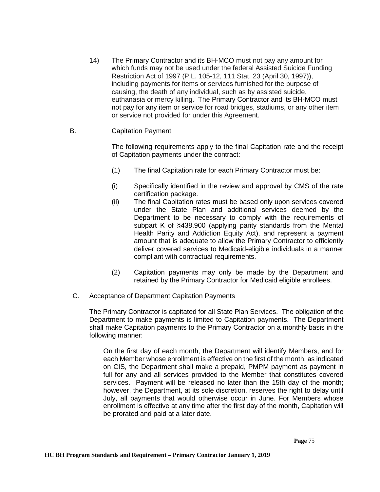14) The Primary Contractor and its BH-MCO must not pay any amount for which funds may not be used under the federal Assisted Suicide Funding Restriction Act of 1997 (P.L. 105-12, 111 Stat. 23 (April 30, 1997)), including payments for items or services furnished for the purpose of causing, the death of any individual, such as by assisted suicide, euthanasia or mercy killing. The Primary Contractor and its BH-MCO must not pay for any item or service for road bridges, stadiums, or any other item or service not provided for under this Agreement.

# B. Capitation Payment

The following requirements apply to the final Capitation rate and the receipt of Capitation payments under the contract:

- (1) The final Capitation rate for each Primary Contractor must be:
- (i) Specifically identified in the review and approval by CMS of the rate certification package.
- (ii) The final Capitation rates must be based only upon services covered under the State Plan and additional services deemed by the Department to be necessary to comply with the requirements of subpart K of §438.900 (applying parity standards from the Mental Health Parity and Addiction Equity Act), and represent a payment amount that is adequate to allow the Primary Contractor to efficiently deliver covered services to Medicaid-eligible individuals in a manner compliant with contractual requirements.
- (2) Capitation payments may only be made by the Department and retained by the Primary Contractor for Medicaid eligible enrollees.
- C. Acceptance of Department Capitation Payments

The Primary Contractor is capitated for all State Plan Services. The obligation of the Department to make payments is limited to Capitation payments. The Department shall make Capitation payments to the Primary Contractor on a monthly basis in the following manner:

On the first day of each month, the Department will identify Members, and for each Member whose enrollment is effective on the first of the month, as indicated on CIS, the Department shall make a prepaid, PMPM payment as payment in full for any and all services provided to the Member that constitutes covered services. Payment will be released no later than the 15th day of the month; however, the Department, at its sole discretion, reserves the right to delay until July, all payments that would otherwise occur in June. For Members whose enrollment is effective at any time after the first day of the month, Capitation will be prorated and paid at a later date.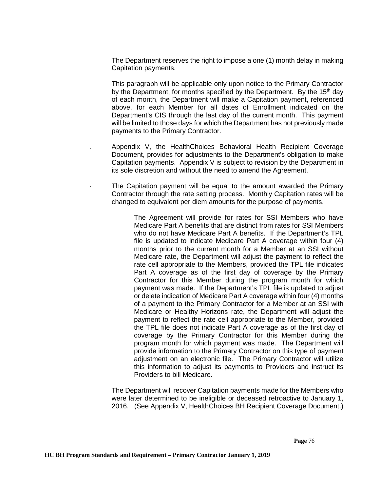The Department reserves the right to impose a one (1) month delay in making Capitation payments.

This paragraph will be applicable only upon notice to the Primary Contractor by the Department, for months specified by the Department. By the  $15<sup>th</sup>$  day of each month, the Department will make a Capitation payment, referenced above, for each Member for all dates of Enrollment indicated on the Department's CIS through the last day of the current month. This payment will be limited to those days for which the Department has not previously made payments to the Primary Contractor.

- . Appendix V, the HealthChoices Behavioral Health Recipient Coverage Document, provides for adjustments to the Department's obligation to make Capitation payments. Appendix V is subject to revision by the Department in its sole discretion and without the need to amend the Agreement.
- The Capitation payment will be equal to the amount awarded the Primary Contractor through the rate setting process. Monthly Capitation rates will be changed to equivalent per diem amounts for the purpose of payments.

The Agreement will provide for rates for SSI Members who have Medicare Part A benefits that are distinct from rates for SSI Members who do not have Medicare Part A benefits. If the Department's TPL file is updated to indicate Medicare Part A coverage within four (4) months prior to the current month for a Member at an SSI without Medicare rate, the Department will adjust the payment to reflect the rate cell appropriate to the Members, provided the TPL file indicates Part A coverage as of the first day of coverage by the Primary Contractor for this Member during the program month for which payment was made. If the Department's TPL file is updated to adjust or delete indication of Medicare Part A coverage within four (4) months of a payment to the Primary Contractor for a Member at an SSI with Medicare or Healthy Horizons rate, the Department will adjust the payment to reflect the rate cell appropriate to the Member, provided the TPL file does not indicate Part A coverage as of the first day of coverage by the Primary Contractor for this Member during the program month for which payment was made. The Department will provide information to the Primary Contractor on this type of payment adjustment on an electronic file. The Primary Contractor will utilize this information to adjust its payments to Providers and instruct its Providers to bill Medicare.

The Department will recover Capitation payments made for the Members who were later determined to be ineligible or deceased retroactive to January 1, 2016. (See Appendix V, HealthChoices BH Recipient Coverage Document.)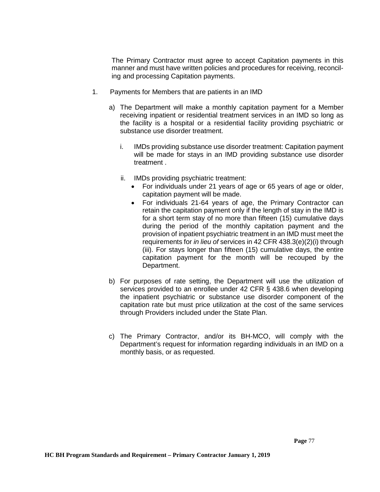The Primary Contractor must agree to accept Capitation payments in this manner and must have written policies and procedures for receiving, reconciling and processing Capitation payments.

- 1. Payments for Members that are patients in an IMD
	- a) The Department will make a monthly capitation payment for a Member receiving inpatient or residential treatment services in an IMD so long as the facility is a hospital or a residential facility providing psychiatric or substance use disorder treatment.
		- i. IMDs providing substance use disorder treatment: Capitation payment will be made for stays in an IMD providing substance use disorder treatment .
		- ii. IMDs providing psychiatric treatment:
			- For individuals under 21 years of age or 65 years of age or older, capitation payment will be made.
			- For individuals 21-64 years of age, the Primary Contractor can retain the capitation payment only if the length of stay in the IMD is for a short term stay of no more than fifteen (15) cumulative days during the period of the monthly capitation payment and the provision of inpatient psychiatric treatment in an IMD must meet the requirements for *in lieu of* services in 42 CFR 438.3(e)(2)(i) through (iii). For stays longer than fifteen (15) cumulative days, the entire capitation payment for the month will be recouped by the Department.
	- b) For purposes of rate setting, the Department will use the utilization of services provided to an enrollee under 42 CFR § 438.6 when developing the inpatient psychiatric or substance use disorder component of the capitation rate but must price utilization at the cost of the same services through Providers included under the State Plan.
	- c) The Primary Contractor, and/or its BH-MCO, will comply with the Department's request for information regarding individuals in an IMD on a monthly basis, or as requested.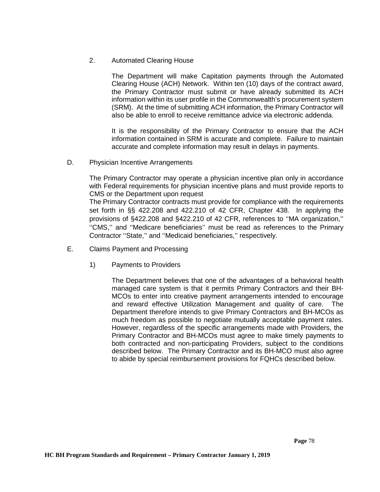## 2. Automated Clearing House

The Department will make Capitation payments through the Automated Clearing House (ACH) Network. Within ten (10) days of the contract award, the Primary Contractor must submit or have already submitted its ACH information within its user profile in the Commonwealth's procurement system (SRM). At the time of submitting ACH information, the Primary Contractor will also be able to enroll to receive remittance advice via electronic addenda.

It is the responsibility of the Primary Contractor to ensure that the ACH information contained in SRM is accurate and complete. Failure to maintain accurate and complete information may result in delays in payments.

D. Physician Incentive Arrangements

The Primary Contractor may operate a physician incentive plan only in accordance with Federal requirements for physician incentive plans and must provide reports to CMS or the Department upon request

The Primary Contractor contracts must provide for compliance with the requirements set forth in §§ 422.208 and 422.210 of 42 CFR, Chapter 438. In applying the provisions of §422.208 and §422.210 of 42 CFR, references to ''MA organization,'' ''CMS,'' and ''Medicare beneficiaries'' must be read as references to the Primary Contractor ''State,'' and ''Medicaid beneficiaries,'' respectively.

- E. Claims Payment and Processing
	- 1) Payments to Providers

The Department believes that one of the advantages of a behavioral health managed care system is that it permits Primary Contractors and their BH-MCOs to enter into creative payment arrangements intended to encourage and reward effective Utilization Management and quality of care. The Department therefore intends to give Primary Contractors and BH-MCOs as much freedom as possible to negotiate mutually acceptable payment rates. However, regardless of the specific arrangements made with Providers, the Primary Contractor and BH-MCOs must agree to make timely payments to both contracted and non-participating Providers, subject to the conditions described below. The Primary Contractor and its BH-MCO must also agree to abide by special reimbursement provisions for FQHCs described below.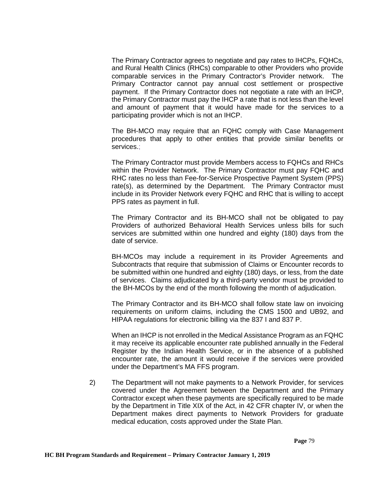The Primary Contractor agrees to negotiate and pay rates to IHCPs, FQHCs, and Rural Health Clinics (RHCs) comparable to other Providers who provide comparable services in the Primary Contractor's Provider network. The Primary Contractor cannot pay annual cost settlement or prospective payment. If the Primary Contractor does not negotiate a rate with an IHCP, the Primary Contractor must pay the IHCP a rate that is not less than the level and amount of payment that it would have made for the services to a participating provider which is not an IHCP.

The BH-MCO may require that an FQHC comply with Case Management procedures that apply to other entities that provide similar benefits or services.;

The Primary Contractor must provide Members access to FQHCs and RHCs within the Provider Network. The Primary Contractor must pay FQHC and RHC rates no less than Fee-for-Service Prospective Payment System (PPS) rate(s), as determined by the Department. The Primary Contractor must include in its Provider Network every FQHC and RHC that is willing to accept PPS rates as payment in full.

The Primary Contractor and its BH-MCO shall not be obligated to pay Providers of authorized Behavioral Health Services unless bills for such services are submitted within one hundred and eighty (180) days from the date of service.

BH-MCOs may include a requirement in its Provider Agreements and Subcontracts that require that submission of Claims or Encounter records to be submitted within one hundred and eighty (180) days, or less, from the date of services. Claims adjudicated by a third-party vendor must be provided to the BH-MCOs by the end of the month following the month of adjudication.

The Primary Contractor and its BH-MCO shall follow state law on invoicing requirements on uniform claims, including the CMS 1500 and UB92, and HIPAA regulations for electronic billing via the 837 I and 837 P.

When an IHCP is not enrolled in the Medical Assistance Program as an FQHC it may receive its applicable encounter rate published annually in the Federal Register by the Indian Health Service, or in the absence of a published encounter rate, the amount it would receive if the services were provided under the Department's MA FFS program.

2) The Department will not make payments to a Network Provider, for services covered under the Agreement between the Department and the Primary Contractor except when these payments are specifically required to be made by the Department in Title XIX of the Act, in 42 CFR chapter IV, or when the Department makes direct payments to Network Providers for graduate medical education, costs approved under the State Plan.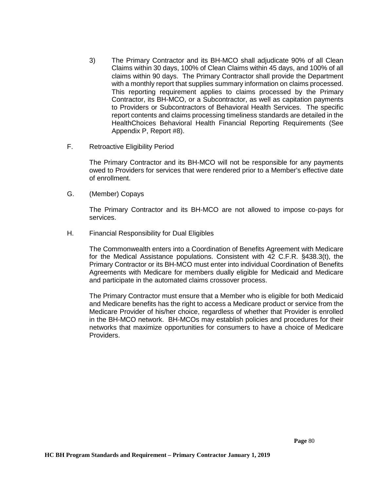- 3) The Primary Contractor and its BH-MCO shall adjudicate 90% of all Clean Claims within 30 days, 100% of Clean Claims within 45 days, and 100% of all claims within 90 days. The Primary Contractor shall provide the Department with a monthly report that supplies summary information on claims processed. This reporting requirement applies to claims processed by the Primary Contractor, its BH-MCO, or a Subcontractor, as well as capitation payments to Providers or Subcontractors of Behavioral Health Services. The specific report contents and claims processing timeliness standards are detailed in the HealthChoices Behavioral Health Financial Reporting Requirements (See Appendix P, Report #8).
- F. Retroactive Eligibility Period

The Primary Contractor and its BH-MCO will not be responsible for any payments owed to Providers for services that were rendered prior to a Member's effective date of enrollment.

G. (Member) Copays

The Primary Contractor and its BH-MCO are not allowed to impose co-pays for services.

H. Financial Responsibility for Dual Eligibles

The Commonwealth enters into a Coordination of Benefits Agreement with Medicare for the Medical Assistance populations. Consistent with 42 C.F.R. §438.3(t), the Primary Contractor or its BH-MCO must enter into individual Coordination of Benefits Agreements with Medicare for members dually eligible for Medicaid and Medicare and participate in the automated claims crossover process.

The Primary Contractor must ensure that a Member who is eligible for both Medicaid and Medicare benefits has the right to access a Medicare product or service from the Medicare Provider of his/her choice, regardless of whether that Provider is enrolled in the BH-MCO network. BH-MCOs may establish policies and procedures for their networks that maximize opportunities for consumers to have a choice of Medicare Providers.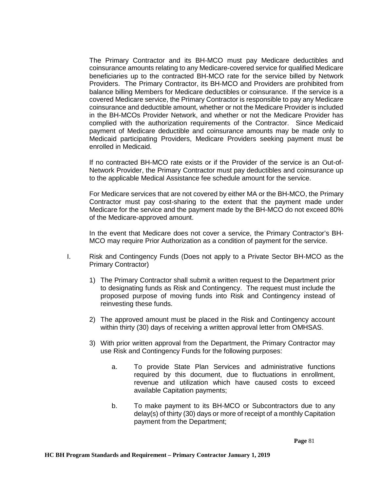The Primary Contractor and its BH-MCO must pay Medicare deductibles and coinsurance amounts relating to any Medicare-covered service for qualified Medicare beneficiaries up to the contracted BH-MCO rate for the service billed by Network Providers. The Primary Contractor, its BH-MCO and Providers are prohibited from balance billing Members for Medicare deductibles or coinsurance. If the service is a covered Medicare service, the Primary Contractor is responsible to pay any Medicare coinsurance and deductible amount, whether or not the Medicare Provider is included in the BH-MCOs Provider Network, and whether or not the Medicare Provider has complied with the authorization requirements of the Contractor. Since Medicaid payment of Medicare deductible and coinsurance amounts may be made only to Medicaid participating Providers, Medicare Providers seeking payment must be enrolled in Medicaid.

If no contracted BH-MCO rate exists or if the Provider of the service is an Out-of-Network Provider, the Primary Contractor must pay deductibles and coinsurance up to the applicable Medical Assistance fee schedule amount for the service.

For Medicare services that are not covered by either MA or the BH-MCO, the Primary Contractor must pay cost-sharing to the extent that the payment made under Medicare for the service and the payment made by the BH-MCO do not exceed 80% of the Medicare-approved amount.

In the event that Medicare does not cover a service, the Primary Contractor's BH-MCO may require Prior Authorization as a condition of payment for the service.

- I. Risk and Contingency Funds (Does not apply to a Private Sector BH-MCO as the Primary Contractor)
	- 1) The Primary Contractor shall submit a written request to the Department prior to designating funds as Risk and Contingency. The request must include the proposed purpose of moving funds into Risk and Contingency instead of reinvesting these funds.
	- 2) The approved amount must be placed in the Risk and Contingency account within thirty (30) days of receiving a written approval letter from OMHSAS.
	- 3) With prior written approval from the Department, the Primary Contractor may use Risk and Contingency Funds for the following purposes:
		- a. To provide State Plan Services and administrative functions required by this document, due to fluctuations in enrollment, revenue and utilization which have caused costs to exceed available Capitation payments;
		- b. To make payment to its BH-MCO or Subcontractors due to any delay(s) of thirty (30) days or more of receipt of a monthly Capitation payment from the Department;

 **Page** 81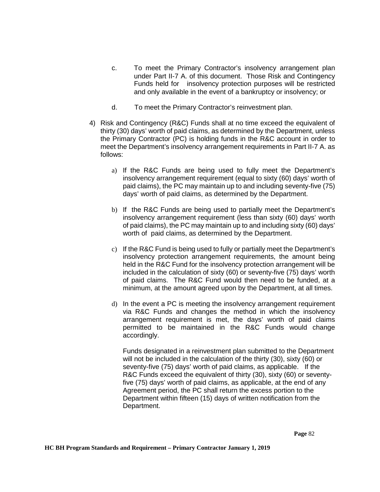- c. To meet the Primary Contractor's insolvency arrangement plan under Part II-7 A. of this document. Those Risk and Contingency Funds held for insolvency protection purposes will be restricted and only available in the event of a bankruptcy or insolvency; or
- d. To meet the Primary Contractor's reinvestment plan.
- 4) Risk and Contingency (R&C) Funds shall at no time exceed the equivalent of thirty (30) days' worth of paid claims, as determined by the Department, unless the Primary Contractor (PC) is holding funds in the R&C account in order to meet the Department's insolvency arrangement requirements in Part II-7 A. as follows:
	- a) If the R&C Funds are being used to fully meet the Department's insolvency arrangement requirement (equal to sixty (60) days' worth of paid claims), the PC may maintain up to and including seventy-five (75) days' worth of paid claims, as determined by the Department.
	- b) If the R&C Funds are being used to partially meet the Department's insolvency arrangement requirement (less than sixty (60) days' worth of paid claims), the PC may maintain up to and including sixty (60) days' worth of paid claims, as determined by the Department.
	- c) If the R&C Fund is being used to fully or partially meet the Department's insolvency protection arrangement requirements, the amount being held in the R&C Fund for the insolvency protection arrangement will be included in the calculation of sixty (60) or seventy-five (75) days' worth of paid claims. The R&C Fund would then need to be funded, at a minimum, at the amount agreed upon by the Department, at all times.
	- d) In the event a PC is meeting the insolvency arrangement requirement via R&C Funds and changes the method in which the insolvency arrangement requirement is met, the days' worth of paid claims permitted to be maintained in the R&C Funds would change accordingly.

Funds designated in a reinvestment plan submitted to the Department will not be included in the calculation of the thirty (30), sixty (60) or seventy-five (75) days' worth of paid claims, as applicable. If the R&C Funds exceed the equivalent of thirty (30), sixty (60) or seventyfive (75) days' worth of paid claims, as applicable, at the end of any Agreement period, the PC shall return the excess portion to the Department within fifteen (15) days of written notification from the Department.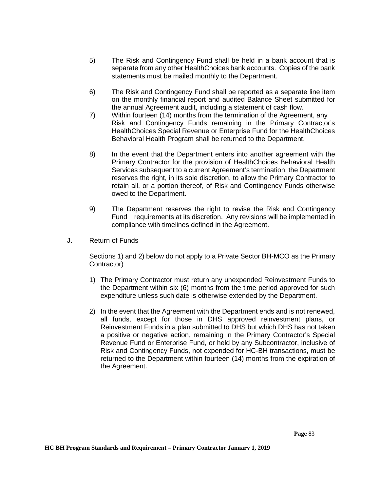- 5) The Risk and Contingency Fund shall be held in a bank account that is separate from any other HealthChoices bank accounts. Copies of the bank statements must be mailed monthly to the Department.
- 6) The Risk and Contingency Fund shall be reported as a separate line item on the monthly financial report and audited Balance Sheet submitted for the annual Agreement audit, including a statement of cash flow.
- 7) Within fourteen (14) months from the termination of the Agreement, any Risk and Contingency Funds remaining in the Primary Contractor's HealthChoices Special Revenue or Enterprise Fund for the HealthChoices Behavioral Health Program shall be returned to the Department.
- 8) In the event that the Department enters into another agreement with the Primary Contractor for the provision of HealthChoices Behavioral Health Services subsequent to a current Agreement's termination, the Department reserves the right, in its sole discretion, to allow the Primary Contractor to retain all, or a portion thereof, of Risk and Contingency Funds otherwise owed to the Department.
- 9) The Department reserves the right to revise the Risk and Contingency Fund requirements at its discretion. Any revisions will be implemented in compliance with timelines defined in the Agreement.
- J. Return of Funds

Sections 1) and 2) below do not apply to a Private Sector BH-MCO as the Primary Contractor)

- 1) The Primary Contractor must return any unexpended Reinvestment Funds to the Department within six (6) months from the time period approved for such expenditure unless such date is otherwise extended by the Department.
- 2) In the event that the Agreement with the Department ends and is not renewed, all funds, except for those in DHS approved reinvestment plans, or Reinvestment Funds in a plan submitted to DHS but which DHS has not taken a positive or negative action, remaining in the Primary Contractor's Special Revenue Fund or Enterprise Fund, or held by any Subcontractor, inclusive of Risk and Contingency Funds, not expended for HC-BH transactions, must be returned to the Department within fourteen (14) months from the expiration of the Agreement.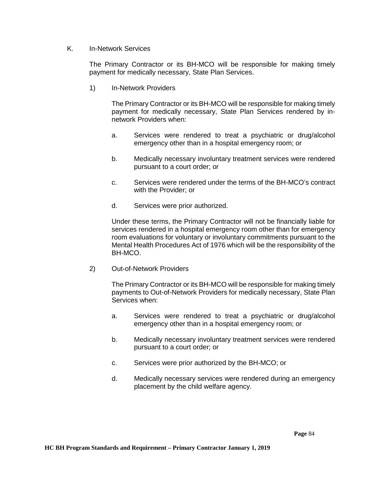## K. In-Network Services

The Primary Contractor or its BH-MCO will be responsible for making timely payment for medically necessary, State Plan Services.

1) In-Network Providers

The Primary Contractor or its BH-MCO will be responsible for making timely payment for medically necessary, State Plan Services rendered by innetwork Providers when:

- a. Services were rendered to treat a psychiatric or drug/alcohol emergency other than in a hospital emergency room; or
- b. Medically necessary involuntary treatment services were rendered pursuant to a court order; or
- c. Services were rendered under the terms of the BH-MCO's contract with the Provider; or
- d. Services were prior authorized.

Under these terms, the Primary Contractor will not be financially liable for services rendered in a hospital emergency room other than for emergency room evaluations for voluntary or involuntary commitments pursuant to the Mental Health Procedures Act of 1976 which will be the responsibility of the BH-MCO.

2) Out-of-Network Providers

The Primary Contractor or its BH-MCO will be responsible for making timely payments to Out-of-Network Providers for medically necessary, State Plan Services when:

- a. Services were rendered to treat a psychiatric or drug/alcohol emergency other than in a hospital emergency room; or
- b. Medically necessary involuntary treatment services were rendered pursuant to a court order; or
- c. Services were prior authorized by the BH-MCO; or
- d. Medically necessary services were rendered during an emergency placement by the child welfare agency.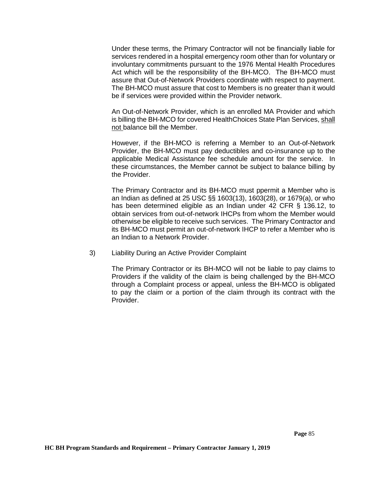Under these terms, the Primary Contractor will not be financially liable for services rendered in a hospital emergency room other than for voluntary or involuntary commitments pursuant to the 1976 Mental Health Procedures Act which will be the responsibility of the BH-MCO. The BH-MCO must assure that Out-of-Network Providers coordinate with respect to payment. The BH-MCO must assure that cost to Members is no greater than it would be if services were provided within the Provider network.

An Out-of-Network Provider, which is an enrolled MA Provider and which is billing the BH-MCO for covered HealthChoices State Plan Services, shall not balance bill the Member.

However, if the BH-MCO is referring a Member to an Out-of-Network Provider, the BH-MCO must pay deductibles and co-insurance up to the applicable Medical Assistance fee schedule amount for the service. In these circumstances, the Member cannot be subject to balance billing by the Provider.

The Primary Contractor and its BH-MCO must ppermit a Member who is an Indian as defined at 25 USC §§ 1603(13), 1603(28), or 1679(a), or who has been determined eligible as an Indian under 42 CFR § 136.12, to obtain services from out-of-network IHCPs from whom the Member would otherwise be eligible to receive such services. The Primary Contractor and its BH-MCO must permit an out-of-network IHCP to refer a Member who is an Indian to a Network Provider.

3) Liability During an Active Provider Complaint

The Primary Contractor or its BH-MCO will not be liable to pay claims to Providers if the validity of the claim is being challenged by the BH-MCO through a Complaint process or appeal, unless the BH-MCO is obligated to pay the claim or a portion of the claim through its contract with the Provider.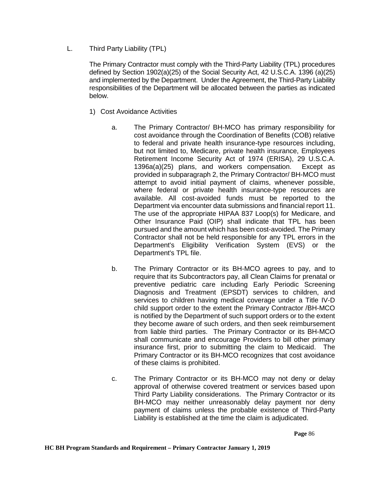L. Third Party Liability (TPL)

The Primary Contractor must comply with the Third-Party Liability (TPL) procedures defined by Section 1902(a)(25) of the Social Security Act, 42 U.S.C.A. 1396 (a)(25) and implemented by the Department. Under the Agreement, the Third-Party Liability responsibilities of the Department will be allocated between the parties as indicated below.

- 1) Cost Avoidance Activities
	- a. The Primary Contractor/ BH-MCO has primary responsibility for cost avoidance through the Coordination of Benefits (COB) relative to federal and private health insurance-type resources including, but not limited to, Medicare, private health insurance, Employees Retirement Income Security Act of 1974 (ERISA), 29 U.S.C.A. 1396a(a)(25) plans, and workers compensation. Except as provided in subparagraph 2, the Primary Contractor/ BH-MCO must attempt to avoid initial payment of claims, whenever possible, where federal or private health insurance-type resources are available. All cost-avoided funds must be reported to the Department via encounter data submissions and financial report 11. The use of the appropriate HIPAA 837 Loop(s) for Medicare, and Other Insurance Paid (OIP) shall indicate that TPL has been pursued and the amount which has been cost-avoided. The Primary Contractor shall not be held responsible for any TPL errors in the Department's Eligibility Verification System (EVS) or the Department's TPL file.
	- b. The Primary Contractor or its BH-MCO agrees to pay, and to require that its Subcontractors pay, all Clean Claims for prenatal or preventive pediatric care including Early Periodic Screening Diagnosis and Treatment (EPSDT) services to children, and services to children having medical coverage under a Title IV-D child support order to the extent the Primary Contractor /BH-MCO is notified by the Department of such support orders or to the extent they become aware of such orders, and then seek reimbursement from liable third parties. The Primary Contractor or its BH-MCO shall communicate and encourage Providers to bill other primary insurance first, prior to submitting the claim to Medicaid. The Primary Contractor or its BH-MCO recognizes that cost avoidance of these claims is prohibited.
	- c. The Primary Contractor or its BH-MCO may not deny or delay approval of otherwise covered treatment or services based upon Third Party Liability considerations. The Primary Contractor or its BH-MCO may neither unreasonably delay payment nor deny payment of claims unless the probable existence of Third-Party Liability is established at the time the claim is adjudicated.

 **Page** 86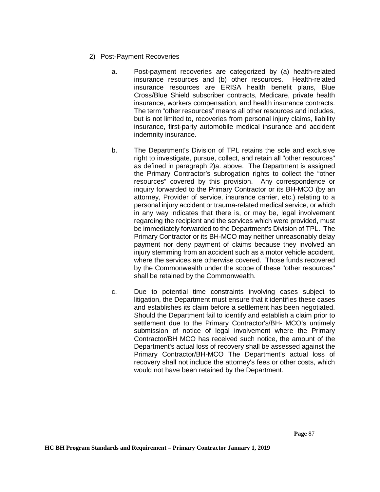- 2) Post-Payment Recoveries
	- a. Post-payment recoveries are categorized by (a) health-related insurance resources and (b) other resources. Health-related insurance resources are ERISA health benefit plans, Blue Cross/Blue Shield subscriber contracts, Medicare, private health insurance, workers compensation, and health insurance contracts. The term "other resources" means all other resources and includes, but is not limited to, recoveries from personal injury claims, liability insurance, first-party automobile medical insurance and accident indemnity insurance.
	- b. The Department's Division of TPL retains the sole and exclusive right to investigate, pursue, collect, and retain all "other resources" as defined in paragraph 2)a. above. The Department is assigned the Primary Contractor's subrogation rights to collect the "other resources" covered by this provision. Any correspondence or inquiry forwarded to the Primary Contractor or its BH-MCO (by an attorney, Provider of service, insurance carrier, etc.) relating to a personal injury accident or trauma-related medical service, or which in any way indicates that there is, or may be, legal involvement regarding the recipient and the services which were provided, must be immediately forwarded to the Department's Division of TPL. The Primary Contractor or its BH-MCO may neither unreasonably delay payment nor deny payment of claims because they involved an injury stemming from an accident such as a motor vehicle accident, where the services are otherwise covered. Those funds recovered by the Commonwealth under the scope of these "other resources" shall be retained by the Commonwealth.
	- c. Due to potential time constraints involving cases subject to litigation, the Department must ensure that it identifies these cases and establishes its claim before a settlement has been negotiated. Should the Department fail to identify and establish a claim prior to settlement due to the Primary Contractor's/BH- MCO's untimely submission of notice of legal involvement where the Primary Contractor/BH MCO has received such notice, the amount of the Department's actual loss of recovery shall be assessed against the Primary Contractor/BH-MCO The Department's actual loss of recovery shall not include the attorney's fees or other costs, which would not have been retained by the Department.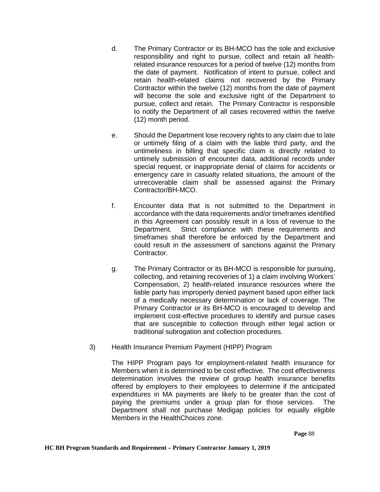- d. The Primary Contractor or its BH-MCO has the sole and exclusive responsibility and right to pursue, collect and retain all healthrelated insurance resources for a period of twelve (12) months from the date of payment. Notification of intent to pursue, collect and retain health-related claims not recovered by the Primary Contractor within the twelve (12) months from the date of payment will become the sole and exclusive right of the Department to pursue, collect and retain. The Primary Contractor is responsible to notify the Department of all cases recovered within the twelve (12) month period.
- e. Should the Department lose recovery rights to any claim due to late or untimely filing of a claim with the liable third party, and the untimeliness in billing that specific claim is directly related to untimely submission of encounter data, additional records under special request, or inappropriate denial of claims for accidents or emergency care in casualty related situations, the amount of the unrecoverable claim shall be assessed against the Primary Contractor/BH-MCO.
- f. Encounter data that is not submitted to the Department in accordance with the data requirements and/or timeframes identified in this Agreement can possibly result in a loss of revenue to the Department. Strict compliance with these requirements and timeframes shall therefore be enforced by the Department and could result in the assessment of sanctions against the Primary Contractor.
- g. The Primary Contractor or its BH-MCO is responsible for pursuing, collecting, and retaining recoveries of 1) a claim involving Workers' Compensation, 2) health-related insurance resources where the liable party has improperly denied payment based upon either lack of a medically necessary determination or lack of coverage. The Primary Contractor or its BH-MCO is encouraged to develop and implement cost-effective procedures to identify and pursue cases that are susceptible to collection through either legal action or traditional subrogation and collection procedures.
- 3) Health Insurance Premium Payment (HIPP) Program

The HIPP Program pays for employment-related health insurance for Members when it is determined to be cost effective. The cost effectiveness determination involves the review of group health insurance benefits offered by employers to their employees to determine if the anticipated expenditures in MA payments are likely to be greater than the cost of paying the premiums under a group plan for those services. The Department shall not purchase Medigap policies for equally eligible Members in the HealthChoices zone.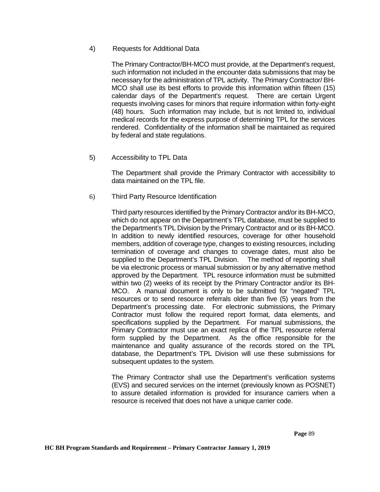## 4)Requests for Additional Data

The Primary Contractor/BH-MCO must provide, at the Department's request, such information not included in the encounter data submissions that may be necessary for the administration of TPL activity. The Primary Contractor/ BH-MCO shall use its best efforts to provide this information within fifteen (15) calendar days of the Department's request. There are certain Urgent requests involving cases for minors that require information within forty-eight (48) hours. Such information may include, but is not limited to, individual medical records for the express purpose of determining TPL for the services rendered. Confidentiality of the information shall be maintained as required by federal and state regulations.

5) Accessibility to TPL Data

The Department shall provide the Primary Contractor with accessibility to data maintained on the TPL file.

6) Third Party Resource Identification

Third party resources identified by the Primary Contractor and/or its BH-MCO, which do not appear on the Department's TPL database, must be supplied to the Department's TPL Division by the Primary Contractor and or its BH-MCO. In addition to newly identified resources, coverage for other household members, addition of coverage type, changes to existing resources, including termination of coverage and changes to coverage dates, must also be supplied to the Department's TPL Division. The method of reporting shall be via electronic process or manual submission or by any alternative method approved by the Department. TPL resource information must be submitted within two (2) weeks of its receipt by the Primary Contractor and/or its BH-MCO. A manual document is only to be submitted for "negated" TPL resources or to send resource referrals older than five (5) years from the Department's processing date. For electronic submissions, the Primary Contractor must follow the required report format, data elements, and specifications supplied by the Department. For manual submissions, the Primary Contractor must use an exact replica of the TPL resource referral form supplied by the Department. As the office responsible for the maintenance and quality assurance of the records stored on the TPL database, the Department's TPL Division will use these submissions for subsequent updates to the system.

The Primary Contractor shall use the Department's verification systems (EVS) and secured services on the internet (previously known as POSNET) to assure detailed information is provided for insurance carriers when a resource is received that does not have a unique carrier code.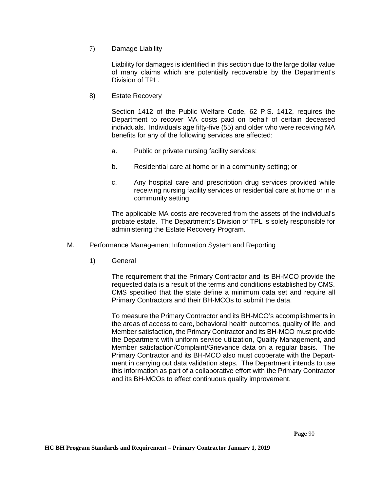7) Damage Liability

Liability for damages is identified in this section due to the large dollar value of many claims which are potentially recoverable by the Department's Division of TPL.

8) Estate Recovery

Section 1412 of the Public Welfare Code, 62 P.S. 1412, requires the Department to recover MA costs paid on behalf of certain deceased individuals. Individuals age fifty-five (55) and older who were receiving MA benefits for any of the following services are affected:

- a. Public or private nursing facility services;
- b. Residential care at home or in a community setting; or
- c. Any hospital care and prescription drug services provided while receiving nursing facility services or residential care at home or in a community setting.

The applicable MA costs are recovered from the assets of the individual's probate estate. The Department's Division of TPL is solely responsible for administering the Estate Recovery Program.

- M. Performance Management Information System and Reporting
	- 1) General

The requirement that the Primary Contractor and its BH-MCO provide the requested data is a result of the terms and conditions established by CMS. CMS specified that the state define a minimum data set and require all Primary Contractors and their BH-MCOs to submit the data.

To measure the Primary Contractor and its BH-MCO's accomplishments in the areas of access to care, behavioral health outcomes, quality of life, and Member satisfaction, the Primary Contractor and its BH-MCO must provide the Department with uniform service utilization, Quality Management, and Member satisfaction/Complaint/Grievance data on a regular basis. The Primary Contractor and its BH-MCO also must cooperate with the Department in carrying out data validation steps. The Department intends to use this information as part of a collaborative effort with the Primary Contractor and its BH-MCOs to effect continuous quality improvement.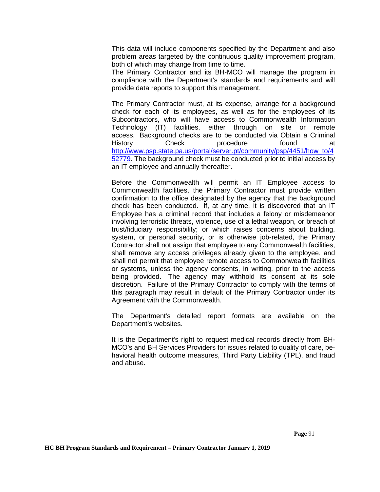This data will include components specified by the Department and also problem areas targeted by the continuous quality improvement program, both of which may change from time to time.

The Primary Contractor and its BH-MCO will manage the program in compliance with the Department's standards and requirements and will provide data reports to support this management.

The Primary Contractor must, at its expense, arrange for a background check for each of its employees, as well as for the employees of its Subcontractors, who will have access to Commonwealth Information Technology (IT) facilities, either through on site or remote access. Background checks are to be conducted via Obtain a Criminal History Check procedure found at [http://www.psp.state.pa.us/portal/server.pt/community/psp/4451/how\\_to/4](http://www.psp.state.pa.us/portal/server.pt/community/psp/4451/how_to/452779) [52779.](http://www.psp.state.pa.us/portal/server.pt/community/psp/4451/how_to/452779) The background check must be conducted prior to initial access by an IT employee and annually thereafter.

Before the Commonwealth will permit an IT Employee access to Commonwealth facilities, the Primary Contractor must provide written confirmation to the office designated by the agency that the background check has been conducted. If, at any time, it is discovered that an IT Employee has a criminal record that includes a felony or misdemeanor involving terroristic threats, violence, use of a lethal weapon, or breach of trust/fiduciary responsibility; or which raises concerns about building, system, or personal security, or is otherwise job-related, the Primary Contractor shall not assign that employee to any Commonwealth facilities, shall remove any access privileges already given to the employee, and shall not permit that employee remote access to Commonwealth facilities or systems, unless the agency consents, in writing, prior to the access being provided. The agency may withhold its consent at its sole discretion. Failure of the Primary Contractor to comply with the terms of this paragraph may result in default of the Primary Contractor under its Agreement with the Commonwealth.

The Department's detailed report formats are available on the Department's websites.

It is the Department's right to request medical records directly from BH-MCO's and BH Services Providers for issues related to quality of care, behavioral health outcome measures, Third Party Liability (TPL), and fraud and abuse.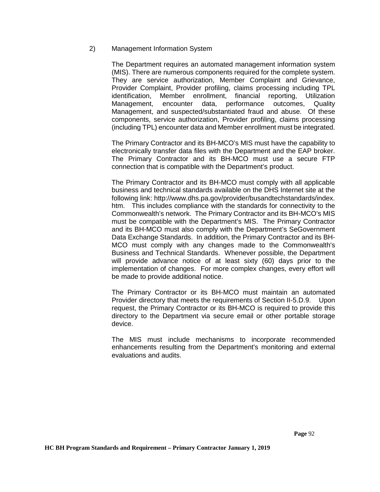#### 2) Management Information System

The Department requires an automated management information system (MIS). There are numerous components required for the complete system. They are service authorization, Member Complaint and Grievance, Provider Complaint, Provider profiling, claims processing including TPL identification, Member enrollment, financial reporting, Utilization Management, encounter data, performance outcomes, Quality Management, and suspected/substantiated fraud and abuse. Of these components, service authorization, Provider profiling, claims processing (including TPL) encounter data and Member enrollment must be integrated.

The Primary Contractor and its BH-MCO's MIS must have the capability to electronically transfer data files with the Department and the EAP broker. The Primary Contractor and its BH-MCO must use a secure FTP connection that is compatible with the Department's product.

The Primary Contractor and its BH-MCO must comply with all applicable business and technical standards available on the DHS Internet site at the following link: http://www.dhs.pa.gov/provider/busandtechstandards/index. htm. This includes compliance with the standards for connectivity to the Commonwealth's network. The Primary Contractor and its BH-MCO's MIS must be compatible with the Department's MIS. The Primary Contractor and its BH-MCO must also comply with the Department's SeGovernment Data Exchange Standards. In addition, the Primary Contractor and its BH-MCO must comply with any changes made to the Commonwealth's Business and Technical Standards. Whenever possible, the Department will provide advance notice of at least sixty (60) days prior to the implementation of changes. For more complex changes, every effort will be made to provide additional notice.

The Primary Contractor or its BH-MCO must maintain an automated Provider directory that meets the requirements of Section II-5.D.9. Upon request, the Primary Contractor or its BH-MCO is required to provide this directory to the Department via secure email or other portable storage device.

The MIS must include mechanisms to incorporate recommended enhancements resulting from the Department's monitoring and external evaluations and audits.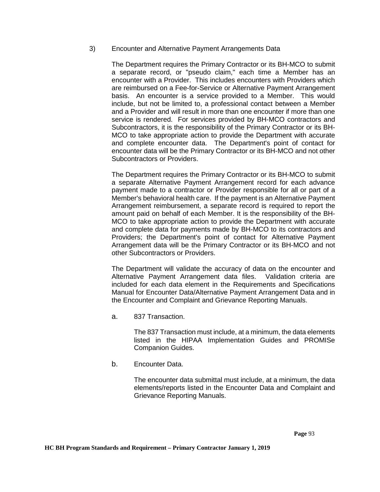## 3) Encounter and Alternative Payment Arrangements Data

The Department requires the Primary Contractor or its BH-MCO to submit a separate record, or "pseudo claim," each time a Member has an encounter with a Provider. This includes encounters with Providers which are reimbursed on a Fee-for-Service or Alternative Payment Arrangement basis. An encounter is a service provided to a Member. This would include, but not be limited to, a professional contact between a Member and a Provider and will result in more than one encounter if more than one service is rendered. For services provided by BH-MCO contractors and Subcontractors, it is the responsibility of the Primary Contractor or its BH-MCO to take appropriate action to provide the Department with accurate and complete encounter data. The Department's point of contact for encounter data will be the Primary Contractor or its BH-MCO and not other Subcontractors or Providers.

The Department requires the Primary Contractor or its BH-MCO to submit a separate Alternative Payment Arrangement record for each advance payment made to a contractor or Provider responsible for all or part of a Member's behavioral health care. If the payment is an Alternative Payment Arrangement reimbursement, a separate record is required to report the amount paid on behalf of each Member. It is the responsibility of the BH-MCO to take appropriate action to provide the Department with accurate and complete data for payments made by BH-MCO to its contractors and Providers; the Department's point of contact for Alternative Payment Arrangement data will be the Primary Contractor or its BH-MCO and not other Subcontractors or Providers.

The Department will validate the accuracy of data on the encounter and Alternative Payment Arrangement data files. Validation criteria are included for each data element in the Requirements and Specifications Manual for Encounter Data/Alternative Payment Arrangement Data and in the Encounter and Complaint and Grievance Reporting Manuals.

a. 837 Transaction.

The 837 Transaction must include, at a minimum, the data elements listed in the HIPAA Implementation Guides and PROMISe Companion Guides.

b. Encounter Data.

The encounter data submittal must include, at a minimum, the data elements/reports listed in the Encounter Data and Complaint and Grievance Reporting Manuals.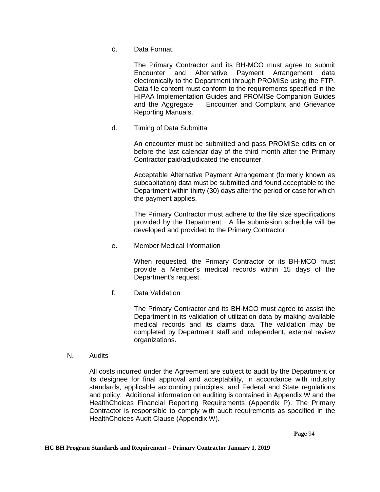c. Data Format.

The Primary Contractor and its BH-MCO must agree to submit Encounter and Alternative Payment Arrangement data electronically to the Department through PROMISe using the FTP. Data file content must conform to the requirements specified in the HIPAA Implementation Guides and PROMISe Companion Guides and the Aggregate Encounter and Complaint and Grievance Reporting Manuals.

d. Timing of Data Submittal

An encounter must be submitted and pass PROMISe edits on or before the last calendar day of the third month after the Primary Contractor paid/adjudicated the encounter.

Acceptable Alternative Payment Arrangement (formerly known as subcapitation) data must be submitted and found acceptable to the Department within thirty (30) days after the period or case for which the payment applies.

The Primary Contractor must adhere to the file size specifications provided by the Department. A file submission schedule will be developed and provided to the Primary Contractor.

e. Member Medical Information

When requested, the Primary Contractor or its BH-MCO must provide a Member's medical records within 15 days of the Department's request.

f. Data Validation

The Primary Contractor and its BH-MCO must agree to assist the Department in its validation of utilization data by making available medical records and its claims data. The validation may be completed by Department staff and independent, external review organizations.

N. Audits

All costs incurred under the Agreement are subject to audit by the Department or its designee for final approval and acceptability, in accordance with industry standards, applicable accounting principles, and Federal and State regulations and policy. Additional information on auditing is contained in Appendix W and the HealthChoices Financial Reporting Requirements (Appendix P). The Primary Contractor is responsible to comply with audit requirements as specified in the HealthChoices Audit Clause (Appendix W).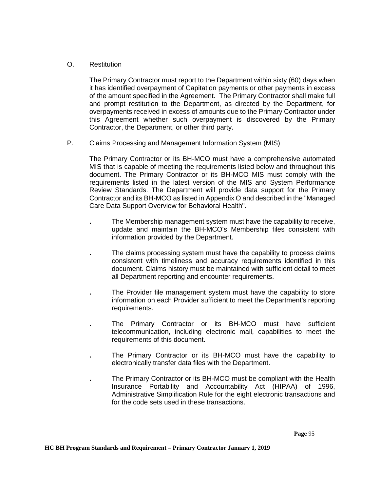# O. Restitution

The Primary Contractor must report to the Department within sixty (60) days when it has identified overpayment of Capitation payments or other payments in excess of the amount specified in the Agreement. The Primary Contractor shall make full and prompt restitution to the Department, as directed by the Department, for overpayments received in excess of amounts due to the Primary Contractor under this Agreement whether such overpayment is discovered by the Primary Contractor, the Department, or other third party.

P. Claims Processing and Management Information System (MIS)

The Primary Contractor or its BH-MCO must have a comprehensive automated MIS that is capable of meeting the requirements listed below and throughout this document. The Primary Contractor or its BH-MCO MIS must comply with the requirements listed in the latest version of the MIS and System Performance Review Standards. The Department will provide data support for the Primary Contractor and its BH-MCO as listed in Appendix O and described in the "Managed Care Data Support Overview for Behavioral Health".

- **.** The Membership management system must have the capability to receive, update and maintain the BH-MCO's Membership files consistent with information provided by the Department.
- **.** The claims processing system must have the capability to process claims consistent with timeliness and accuracy requirements identified in this document. Claims history must be maintained with sufficient detail to meet all Department reporting and encounter requirements.
- **.** The Provider file management system must have the capability to store information on each Provider sufficient to meet the Department's reporting requirements.
- **.** The Primary Contractor or its BH-MCO must have sufficient telecommunication, including electronic mail, capabilities to meet the requirements of this document.
- **.** The Primary Contractor or its BH-MCO must have the capability to electronically transfer data files with the Department.
- **.** The Primary Contractor or its BH-MCO must be compliant with the Health Insurance Portability and Accountability Act (HIPAA) of 1996, Administrative Simplification Rule for the eight electronic transactions and for the code sets used in these transactions.